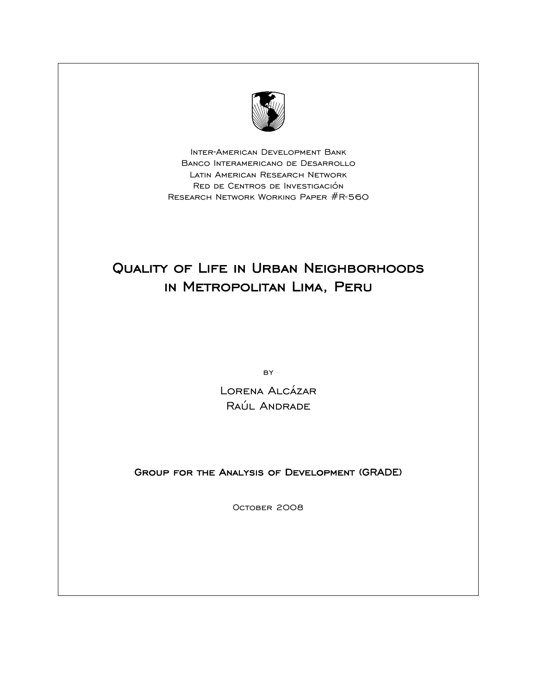

Inter-American Development Bank Banco Interamericano de Desarrollo Latin American Research Network Red de Centros de Investigación Research Network Working Paper #R-560

# Quality of Life in Urban Neighborhoods in Metropolitan Lima, Peru

**BY** 

Lorena Alcázar Raúl Andrade

Group for the Analysis of Development (GRADE)

October 2008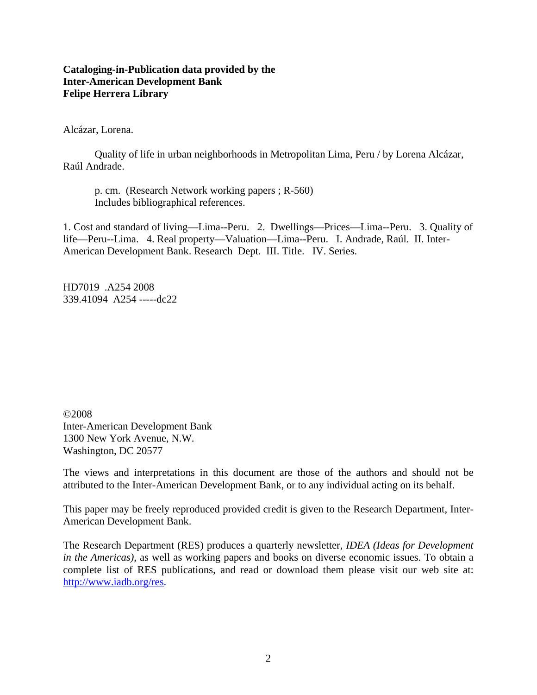## **Cataloging-in-Publication data provided by the Inter-American Development Bank Felipe Herrera Library**

Alcázar, Lorena.

Quality of life in urban neighborhoods in Metropolitan Lima, Peru / by Lorena Alcázar, Raúl Andrade.

p. cm. (Research Network working papers ; R-560) Includes bibliographical references.

1. Cost and standard of living—Lima--Peru. 2. Dwellings—Prices—Lima--Peru. 3. Quality of life—Peru--Lima. 4. Real property—Valuation—Lima--Peru. I. Andrade, Raúl. II. Inter-American Development Bank. Research Dept. III. Title. IV. Series.

HD7019 .A254 2008 339.41094 A254 -----dc22

©2008 Inter-American Development Bank 1300 New York Avenue, N.W. Washington, DC 20577

The views and interpretations in this document are those of the authors and should not be attributed to the Inter-American Development Bank, or to any individual acting on its behalf.

This paper may be freely reproduced provided credit is given to the Research Department, Inter-American Development Bank.

The Research Department (RES) produces a quarterly newsletter, *IDEA (Ideas for Development in the Americas)*, as well as working papers and books on diverse economic issues. To obtain a complete list of RES publications, and read or download them please visit our web site at: http://www.iadb.org/res.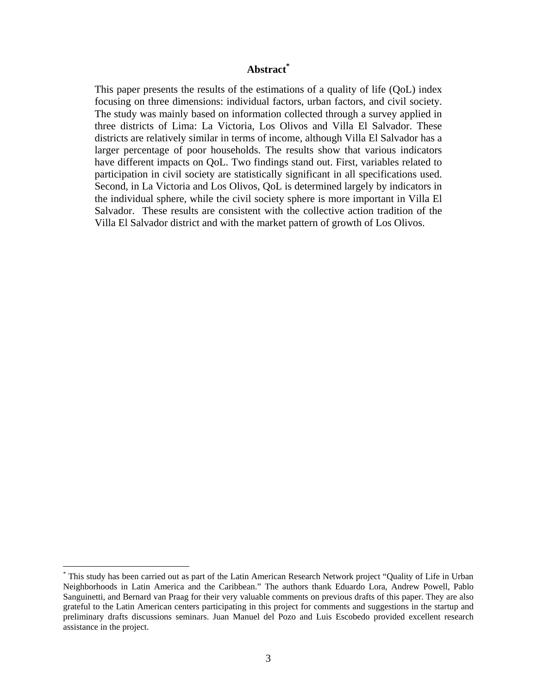## **Abstract\***

This paper presents the results of the estimations of a quality of life (QoL) index focusing on three dimensions: individual factors, urban factors, and civil society. The study was mainly based on information collected through a survey applied in three districts of Lima: La Victoria, Los Olivos and Villa El Salvador. These districts are relatively similar in terms of income, although Villa El Salvador has a larger percentage of poor households. The results show that various indicators have different impacts on QoL. Two findings stand out. First, variables related to participation in civil society are statistically significant in all specifications used. Second, in La Victoria and Los Olivos, QoL is determined largely by indicators in the individual sphere, while the civil society sphere is more important in Villa El Salvador. These results are consistent with the collective action tradition of the Villa El Salvador district and with the market pattern of growth of Los Olivos.

 $\overline{a}$ 

<sup>\*</sup> This study has been carried out as part of the Latin American Research Network project "Quality of Life in Urban Neighborhoods in Latin America and the Caribbean." The authors thank Eduardo Lora, Andrew Powell, Pablo Sanguinetti, and Bernard van Praag for their very valuable comments on previous drafts of this paper. They are also grateful to the Latin American centers participating in this project for comments and suggestions in the startup and preliminary drafts discussions seminars. Juan Manuel del Pozo and Luis Escobedo provided excellent research assistance in the project.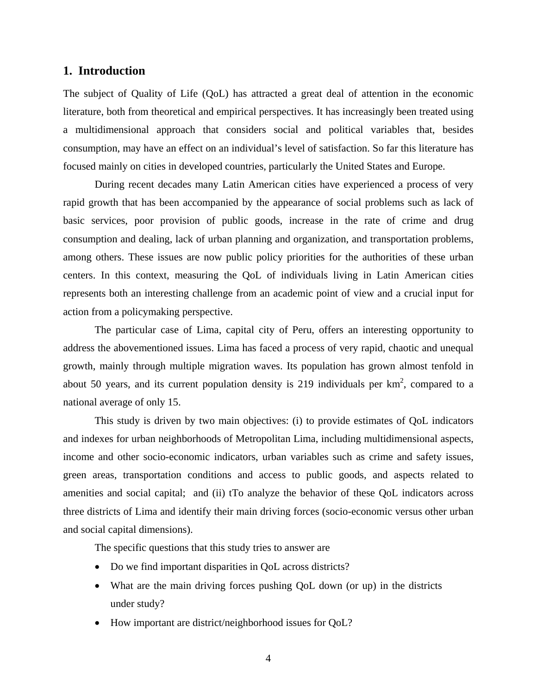## **1. Introduction**

The subject of Quality of Life (QoL) has attracted a great deal of attention in the economic literature, both from theoretical and empirical perspectives. It has increasingly been treated using a multidimensional approach that considers social and political variables that, besides consumption, may have an effect on an individual's level of satisfaction. So far this literature has focused mainly on cities in developed countries, particularly the United States and Europe.

During recent decades many Latin American cities have experienced a process of very rapid growth that has been accompanied by the appearance of social problems such as lack of basic services, poor provision of public goods, increase in the rate of crime and drug consumption and dealing, lack of urban planning and organization, and transportation problems, among others. These issues are now public policy priorities for the authorities of these urban centers. In this context, measuring the QoL of individuals living in Latin American cities represents both an interesting challenge from an academic point of view and a crucial input for action from a policymaking perspective.

The particular case of Lima, capital city of Peru, offers an interesting opportunity to address the abovementioned issues. Lima has faced a process of very rapid, chaotic and unequal growth, mainly through multiple migration waves. Its population has grown almost tenfold in about 50 years, and its current population density is 219 individuals per  $km^2$ , compared to a national average of only 15.

This study is driven by two main objectives: (i) to provide estimates of QoL indicators and indexes for urban neighborhoods of Metropolitan Lima, including multidimensional aspects, income and other socio-economic indicators, urban variables such as crime and safety issues, green areas, transportation conditions and access to public goods, and aspects related to amenities and social capital; and (ii) tTo analyze the behavior of these QoL indicators across three districts of Lima and identify their main driving forces (socio-economic versus other urban and social capital dimensions).

The specific questions that this study tries to answer are

- Do we find important disparities in QoL across districts?
- What are the main driving forces pushing QoL down (or up) in the districts under study?
- How important are district/neighborhood issues for QoL?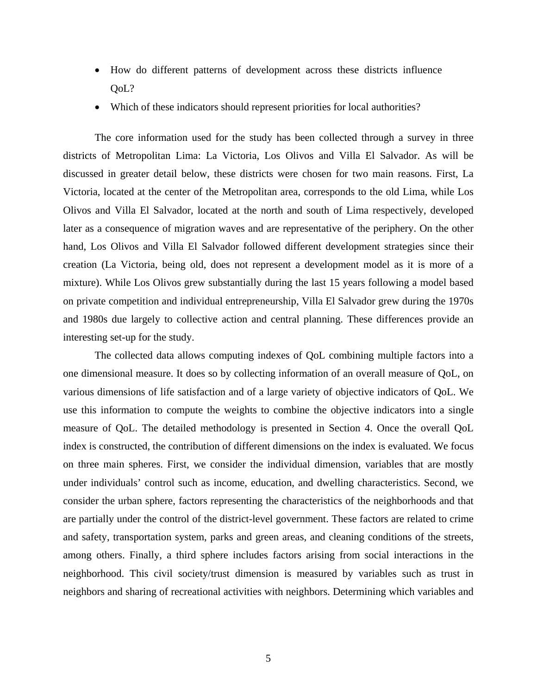- How do different patterns of development across these districts influence OoL?
- Which of these indicators should represent priorities for local authorities?

The core information used for the study has been collected through a survey in three districts of Metropolitan Lima: La Victoria, Los Olivos and Villa El Salvador. As will be discussed in greater detail below, these districts were chosen for two main reasons. First, La Victoria, located at the center of the Metropolitan area, corresponds to the old Lima, while Los Olivos and Villa El Salvador, located at the north and south of Lima respectively, developed later as a consequence of migration waves and are representative of the periphery. On the other hand, Los Olivos and Villa El Salvador followed different development strategies since their creation (La Victoria, being old, does not represent a development model as it is more of a mixture). While Los Olivos grew substantially during the last 15 years following a model based on private competition and individual entrepreneurship, Villa El Salvador grew during the 1970s and 1980s due largely to collective action and central planning. These differences provide an interesting set-up for the study.

The collected data allows computing indexes of QoL combining multiple factors into a one dimensional measure. It does so by collecting information of an overall measure of QoL, on various dimensions of life satisfaction and of a large variety of objective indicators of QoL. We use this information to compute the weights to combine the objective indicators into a single measure of QoL. The detailed methodology is presented in Section 4. Once the overall QoL index is constructed, the contribution of different dimensions on the index is evaluated. We focus on three main spheres. First, we consider the individual dimension, variables that are mostly under individuals' control such as income, education, and dwelling characteristics. Second, we consider the urban sphere, factors representing the characteristics of the neighborhoods and that are partially under the control of the district-level government. These factors are related to crime and safety, transportation system, parks and green areas, and cleaning conditions of the streets, among others. Finally, a third sphere includes factors arising from social interactions in the neighborhood. This civil society/trust dimension is measured by variables such as trust in neighbors and sharing of recreational activities with neighbors. Determining which variables and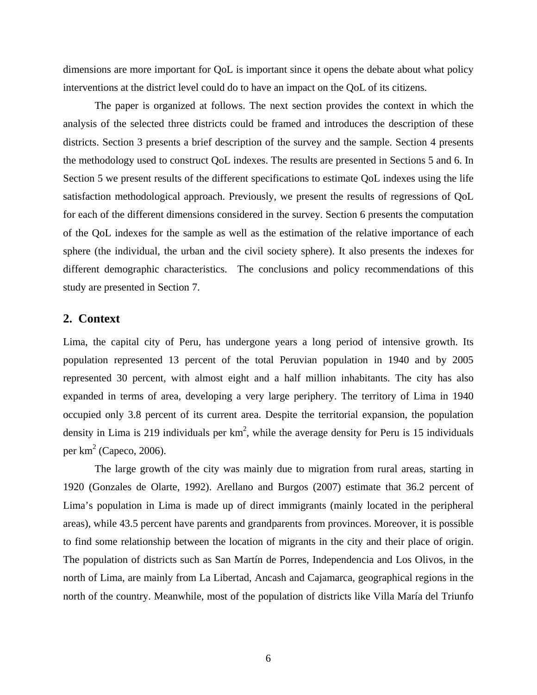dimensions are more important for QoL is important since it opens the debate about what policy interventions at the district level could do to have an impact on the QoL of its citizens.

The paper is organized at follows. The next section provides the context in which the analysis of the selected three districts could be framed and introduces the description of these districts. Section 3 presents a brief description of the survey and the sample. Section 4 presents the methodology used to construct QoL indexes. The results are presented in Sections 5 and 6. In Section 5 we present results of the different specifications to estimate QoL indexes using the life satisfaction methodological approach. Previously, we present the results of regressions of QoL for each of the different dimensions considered in the survey. Section 6 presents the computation of the QoL indexes for the sample as well as the estimation of the relative importance of each sphere (the individual, the urban and the civil society sphere). It also presents the indexes for different demographic characteristics. The conclusions and policy recommendations of this study are presented in Section 7.

### **2. Context**

Lima, the capital city of Peru, has undergone years a long period of intensive growth. Its population represented 13 percent of the total Peruvian population in 1940 and by 2005 represented 30 percent, with almost eight and a half million inhabitants. The city has also expanded in terms of area, developing a very large periphery. The territory of Lima in 1940 occupied only 3.8 percent of its current area. Despite the territorial expansion, the population density in Lima is 219 individuals per  $km^2$ , while the average density for Peru is 15 individuals per  $km^2$  (Capeco, 2006).

The large growth of the city was mainly due to migration from rural areas, starting in 1920 (Gonzales de Olarte, 1992). Arellano and Burgos (2007) estimate that 36.2 percent of Lima's population in Lima is made up of direct immigrants (mainly located in the peripheral areas), while 43.5 percent have parents and grandparents from provinces. Moreover, it is possible to find some relationship between the location of migrants in the city and their place of origin. The population of districts such as San Martín de Porres, Independencia and Los Olivos, in the north of Lima, are mainly from La Libertad, Ancash and Cajamarca, geographical regions in the north of the country. Meanwhile, most of the population of districts like Villa María del Triunfo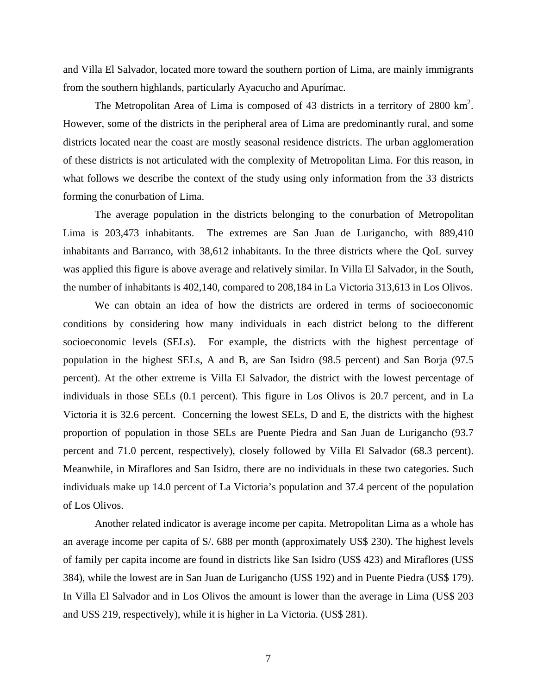and Villa El Salvador, located more toward the southern portion of Lima, are mainly immigrants from the southern highlands, particularly Ayacucho and Apurímac.

The Metropolitan Area of Lima is composed of 43 districts in a territory of  $2800 \text{ km}^2$ . However, some of the districts in the peripheral area of Lima are predominantly rural, and some districts located near the coast are mostly seasonal residence districts. The urban agglomeration of these districts is not articulated with the complexity of Metropolitan Lima. For this reason, in what follows we describe the context of the study using only information from the 33 districts forming the conurbation of Lima.

The average population in the districts belonging to the conurbation of Metropolitan Lima is 203,473 inhabitants. The extremes are San Juan de Lurigancho, with 889,410 inhabitants and Barranco, with 38,612 inhabitants. In the three districts where the QoL survey was applied this figure is above average and relatively similar. In Villa El Salvador, in the South, the number of inhabitants is 402,140, compared to 208,184 in La Victoria 313,613 in Los Olivos.

We can obtain an idea of how the districts are ordered in terms of socioeconomic conditions by considering how many individuals in each district belong to the different socioeconomic levels (SELs). For example, the districts with the highest percentage of population in the highest SELs, A and B, are San Isidro (98.5 percent) and San Borja (97.5 percent). At the other extreme is Villa El Salvador, the district with the lowest percentage of individuals in those SELs (0.1 percent). This figure in Los Olivos is 20.7 percent, and in La Victoria it is 32.6 percent. Concerning the lowest SELs, D and E, the districts with the highest proportion of population in those SELs are Puente Piedra and San Juan de Lurigancho (93.7 percent and 71.0 percent, respectively), closely followed by Villa El Salvador (68.3 percent). Meanwhile, in Miraflores and San Isidro, there are no individuals in these two categories. Such individuals make up 14.0 percent of La Victoria's population and 37.4 percent of the population of Los Olivos.

Another related indicator is average income per capita. Metropolitan Lima as a whole has an average income per capita of S/. 688 per month (approximately US\$ 230). The highest levels of family per capita income are found in districts like San Isidro (US\$ 423) and Miraflores (US\$ 384), while the lowest are in San Juan de Lurigancho (US\$ 192) and in Puente Piedra (US\$ 179). In Villa El Salvador and in Los Olivos the amount is lower than the average in Lima (US\$ 203 and US\$ 219, respectively), while it is higher in La Victoria. (US\$ 281).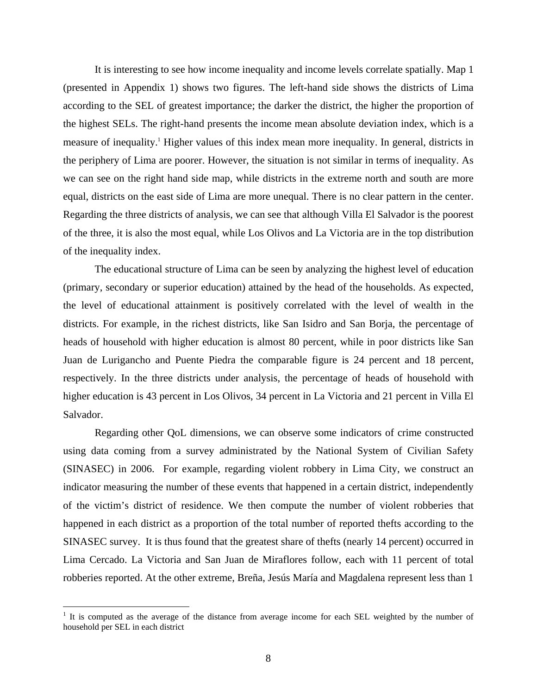It is interesting to see how income inequality and income levels correlate spatially. Map 1 (presented in Appendix 1) shows two figures. The left-hand side shows the districts of Lima according to the SEL of greatest importance; the darker the district, the higher the proportion of the highest SELs. The right-hand presents the income mean absolute deviation index, which is a measure of inequality.<sup>1</sup> Higher values of this index mean more inequality. In general, districts in the periphery of Lima are poorer. However, the situation is not similar in terms of inequality. As we can see on the right hand side map, while districts in the extreme north and south are more equal, districts on the east side of Lima are more unequal. There is no clear pattern in the center. Regarding the three districts of analysis, we can see that although Villa El Salvador is the poorest of the three, it is also the most equal, while Los Olivos and La Victoria are in the top distribution of the inequality index.

The educational structure of Lima can be seen by analyzing the highest level of education (primary, secondary or superior education) attained by the head of the households. As expected, the level of educational attainment is positively correlated with the level of wealth in the districts. For example, in the richest districts, like San Isidro and San Borja, the percentage of heads of household with higher education is almost 80 percent, while in poor districts like San Juan de Lurigancho and Puente Piedra the comparable figure is 24 percent and 18 percent, respectively. In the three districts under analysis, the percentage of heads of household with higher education is 43 percent in Los Olivos, 34 percent in La Victoria and 21 percent in Villa El Salvador.

Regarding other QoL dimensions, we can observe some indicators of crime constructed using data coming from a survey administrated by the National System of Civilian Safety (SINASEC) in 2006. For example, regarding violent robbery in Lima City, we construct an indicator measuring the number of these events that happened in a certain district, independently of the victim's district of residence. We then compute the number of violent robberies that happened in each district as a proportion of the total number of reported thefts according to the SINASEC survey. It is thus found that the greatest share of thefts (nearly 14 percent) occurred in Lima Cercado. La Victoria and San Juan de Miraflores follow, each with 11 percent of total robberies reported. At the other extreme, Breña, Jesús María and Magdalena represent less than 1

 $\overline{a}$ 

 $1$  It is computed as the average of the distance from average income for each SEL weighted by the number of household per SEL in each district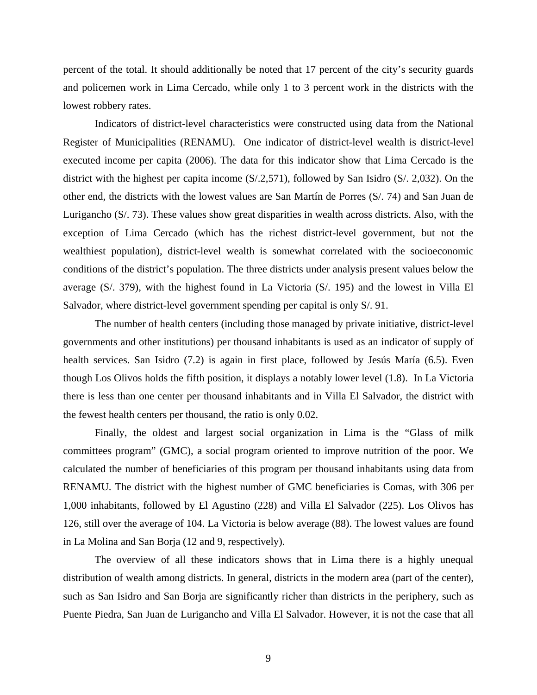percent of the total. It should additionally be noted that 17 percent of the city's security guards and policemen work in Lima Cercado, while only 1 to 3 percent work in the districts with the lowest robbery rates.

Indicators of district-level characteristics were constructed using data from the National Register of Municipalities (RENAMU). One indicator of district-level wealth is district-level executed income per capita (2006). The data for this indicator show that Lima Cercado is the district with the highest per capita income (S/.2,571), followed by San Isidro (S/. 2,032). On the other end, the districts with the lowest values are San Martín de Porres (S/. 74) and San Juan de Lurigancho (S/. 73). These values show great disparities in wealth across districts. Also, with the exception of Lima Cercado (which has the richest district-level government, but not the wealthiest population), district-level wealth is somewhat correlated with the socioeconomic conditions of the district's population. The three districts under analysis present values below the average (S/. 379), with the highest found in La Victoria (S/. 195) and the lowest in Villa El Salvador, where district-level government spending per capital is only S/. 91.

The number of health centers (including those managed by private initiative, district-level governments and other institutions) per thousand inhabitants is used as an indicator of supply of health services. San Isidro (7.2) is again in first place, followed by Jesús María (6.5). Even though Los Olivos holds the fifth position, it displays a notably lower level (1.8). In La Victoria there is less than one center per thousand inhabitants and in Villa El Salvador, the district with the fewest health centers per thousand, the ratio is only 0.02.

Finally, the oldest and largest social organization in Lima is the "Glass of milk committees program" (GMC), a social program oriented to improve nutrition of the poor. We calculated the number of beneficiaries of this program per thousand inhabitants using data from RENAMU. The district with the highest number of GMC beneficiaries is Comas, with 306 per 1,000 inhabitants, followed by El Agustino (228) and Villa El Salvador (225). Los Olivos has 126, still over the average of 104. La Victoria is below average (88). The lowest values are found in La Molina and San Borja (12 and 9, respectively).

The overview of all these indicators shows that in Lima there is a highly unequal distribution of wealth among districts. In general, districts in the modern area (part of the center), such as San Isidro and San Borja are significantly richer than districts in the periphery, such as Puente Piedra, San Juan de Lurigancho and Villa El Salvador. However, it is not the case that all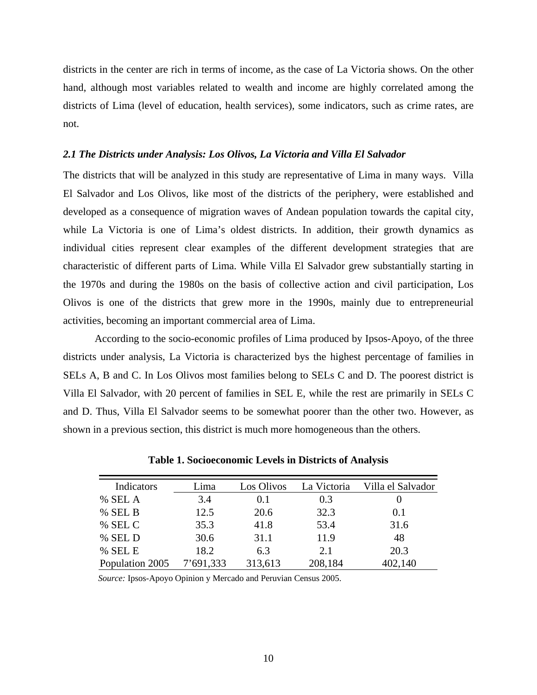districts in the center are rich in terms of income, as the case of La Victoria shows. On the other hand, although most variables related to wealth and income are highly correlated among the districts of Lima (level of education, health services), some indicators, such as crime rates, are not.

#### *2.1 The Districts under Analysis: Los Olivos, La Victoria and Villa El Salvador*

The districts that will be analyzed in this study are representative of Lima in many ways. Villa El Salvador and Los Olivos, like most of the districts of the periphery, were established and developed as a consequence of migration waves of Andean population towards the capital city, while La Victoria is one of Lima's oldest districts. In addition, their growth dynamics as individual cities represent clear examples of the different development strategies that are characteristic of different parts of Lima. While Villa El Salvador grew substantially starting in the 1970s and during the 1980s on the basis of collective action and civil participation, Los Olivos is one of the districts that grew more in the 1990s, mainly due to entrepreneurial activities, becoming an important commercial area of Lima.

According to the socio-economic profiles of Lima produced by Ipsos-Apoyo, of the three districts under analysis, La Victoria is characterized bys the highest percentage of families in SELs A, B and C. In Los Olivos most families belong to SELs C and D. The poorest district is Villa El Salvador, with 20 percent of families in SEL E, while the rest are primarily in SELs C and D. Thus, Villa El Salvador seems to be somewhat poorer than the other two. However, as shown in a previous section, this district is much more homogeneous than the others.

| Indicators      | Lima      | Los Olivos | La Victoria | Villa el Salvador |
|-----------------|-----------|------------|-------------|-------------------|
| % SEL A         | 3.4       | 0.1        | 0.3         |                   |
| % SEL B         | 12.5      | 20.6       | 32.3        | 0.1               |
| % SEL C         | 35.3      | 41.8       | 53.4        | 31.6              |
| % SEL D         | 30.6      | 31.1       | 11.9        | 48                |
| % SEL E         | 18.2      | 6.3        | 2.1         | 20.3              |
| Population 2005 | 7'691,333 | 313,613    | 208,184     | 402,140           |

**Table 1. Socioeconomic Levels in Districts of Analysis** 

*Source:* Ipsos-Apoyo Opinion y Mercado and Peruvian Census 2005.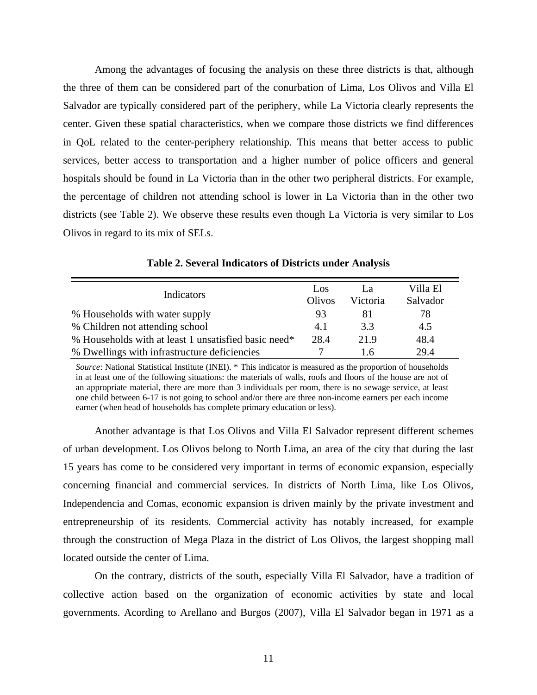Among the advantages of focusing the analysis on these three districts is that, although the three of them can be considered part of the conurbation of Lima, Los Olivos and Villa El Salvador are typically considered part of the periphery, while La Victoria clearly represents the center. Given these spatial characteristics, when we compare those districts we find differences in QoL related to the center-periphery relationship. This means that better access to public services, better access to transportation and a higher number of police officers and general hospitals should be found in La Victoria than in the other two peripheral districts. For example, the percentage of children not attending school is lower in La Victoria than in the other two districts (see Table 2). We observe these results even though La Victoria is very similar to Los Olivos in regard to its mix of SELs.

| Indicators                                           | Los<br>Olivos | La<br>Victoria | Villa El<br>Salvador |
|------------------------------------------------------|---------------|----------------|----------------------|
| % Households with water supply                       | 93            | 81             | 78                   |
| % Children not attending school                      | 4.1           | 3.3            | 4.5                  |
| % Households with at least 1 unsatisfied basic need* | 28.4          | 21.9           | 48.4                 |
| % Dwellings with infrastructure deficiencies         |               | 16             | 29.4                 |

**Table 2. Several Indicators of Districts under Analysis** 

*Source*: National Statistical Institute (INEI). \* This indicator is measured as the proportion of households in at least one of the following situations: the materials of walls, roofs and floors of the house are not of an appropriate material, there are more than 3 individuals per room, there is no sewage service, at least one child between 6-17 is not going to school and/or there are three non-income earners per each income earner (when head of households has complete primary education or less).

Another advantage is that Los Olivos and Villa El Salvador represent different schemes of urban development. Los Olivos belong to North Lima, an area of the city that during the last 15 years has come to be considered very important in terms of economic expansion, especially concerning financial and commercial services. In districts of North Lima, like Los Olivos, Independencia and Comas, economic expansion is driven mainly by the private investment and entrepreneurship of its residents. Commercial activity has notably increased, for example through the construction of Mega Plaza in the district of Los Olivos, the largest shopping mall located outside the center of Lima.

On the contrary, districts of the south, especially Villa El Salvador, have a tradition of collective action based on the organization of economic activities by state and local governments. Acording to Arellano and Burgos (2007), Villa El Salvador began in 1971 as a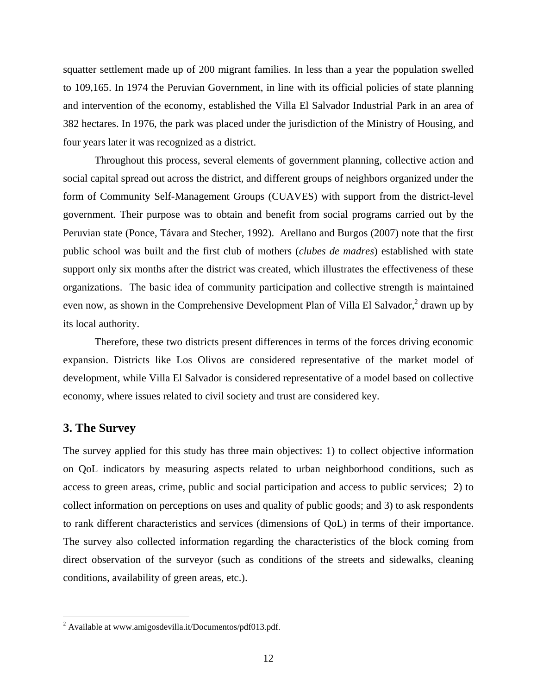squatter settlement made up of 200 migrant families. In less than a year the population swelled to 109,165. In 1974 the Peruvian Government, in line with its official policies of state planning and intervention of the economy, established the Villa El Salvador Industrial Park in an area of 382 hectares. In 1976, the park was placed under the jurisdiction of the Ministry of Housing, and four years later it was recognized as a district.

Throughout this process, several elements of government planning, collective action and social capital spread out across the district, and different groups of neighbors organized under the form of Community Self-Management Groups (CUAVES) with support from the district-level government. Their purpose was to obtain and benefit from social programs carried out by the Peruvian state (Ponce, Távara and Stecher, 1992). Arellano and Burgos (2007) note that the first public school was built and the first club of mothers (*clubes de madres*) established with state support only six months after the district was created, which illustrates the effectiveness of these organizations. The basic idea of community participation and collective strength is maintained even now, as shown in the Comprehensive Development Plan of Villa El Salvador, $3$  drawn up by its local authority.

Therefore, these two districts present differences in terms of the forces driving economic expansion. Districts like Los Olivos are considered representative of the market model of development, while Villa El Salvador is considered representative of a model based on collective economy, where issues related to civil society and trust are considered key.

#### **3. The Survey**

 $\overline{a}$ 

The survey applied for this study has three main objectives: 1) to collect objective information on QoL indicators by measuring aspects related to urban neighborhood conditions, such as access to green areas, crime, public and social participation and access to public services; 2) to collect information on perceptions on uses and quality of public goods; and 3) to ask respondents to rank different characteristics and services (dimensions of QoL) in terms of their importance. The survey also collected information regarding the characteristics of the block coming from direct observation of the surveyor (such as conditions of the streets and sidewalks, cleaning conditions, availability of green areas, etc.).

<sup>&</sup>lt;sup>2</sup> Available at www.amigosdevilla.it/Documentos/pdf013.pdf.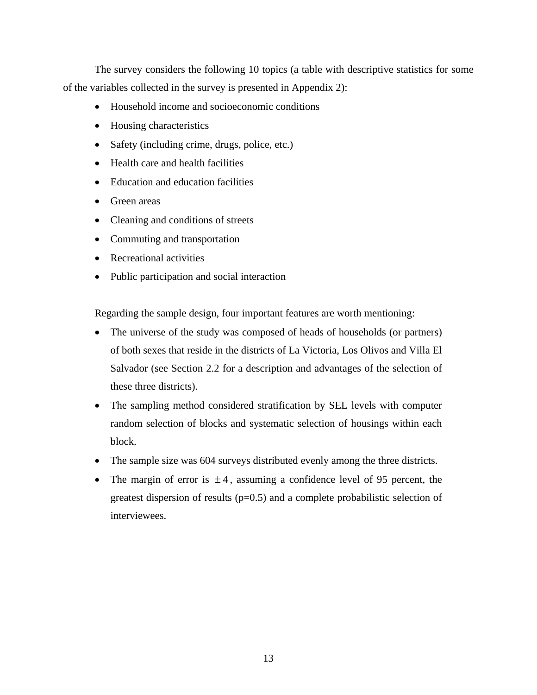The survey considers the following 10 topics (a table with descriptive statistics for some of the variables collected in the survey is presented in Appendix 2):

- Household income and socioeconomic conditions
- Housing characteristics
- Safety (including crime, drugs, police, etc.)
- Health care and health facilities
- Education and education facilities
- Green areas
- Cleaning and conditions of streets
- Commuting and transportation
- Recreational activities
- Public participation and social interaction

Regarding the sample design, four important features are worth mentioning:

- The universe of the study was composed of heads of households (or partners) of both sexes that reside in the districts of La Victoria, Los Olivos and Villa El Salvador (see Section 2.2 for a description and advantages of the selection of these three districts).
- The sampling method considered stratification by SEL levels with computer random selection of blocks and systematic selection of housings within each block.
- The sample size was 604 surveys distributed evenly among the three districts.
- The margin of error is  $\pm 4$ , assuming a confidence level of 95 percent, the greatest dispersion of results  $(p=0.5)$  and a complete probabilistic selection of interviewees.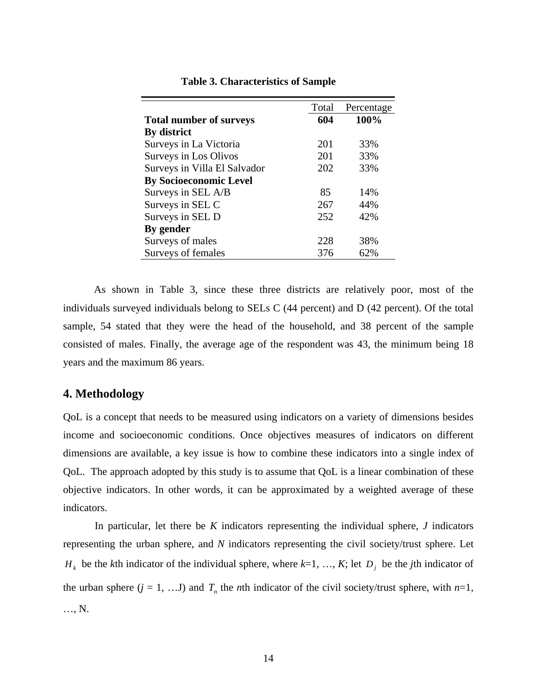|                                | Total | Percentage |
|--------------------------------|-------|------------|
| <b>Total number of surveys</b> | 604   | 100%       |
| By district                    |       |            |
| Surveys in La Victoria         | 201   | 33%        |
| Surveys in Los Olivos          | 201   | 33%        |
| Surveys in Villa El Salvador   | 202   | 33%        |
| <b>By Socioeconomic Level</b>  |       |            |
| Surveys in SEL A/B             | 85    | 14%        |
| Surveys in SEL C               | 267   | 44%        |
| Surveys in SEL D               | 252   | 42%        |
| By gender                      |       |            |
| Surveys of males               | 228   | 38%        |
| Surveys of females             | 376   | 62%        |

#### **Table 3. Characteristics of Sample**

As shown in Table 3, since these three districts are relatively poor, most of the individuals surveyed individuals belong to SELs C (44 percent) and D (42 percent). Of the total sample, 54 stated that they were the head of the household, and 38 percent of the sample consisted of males. Finally, the average age of the respondent was 43, the minimum being 18 years and the maximum 86 years.

### **4. Methodology**

QoL is a concept that needs to be measured using indicators on a variety of dimensions besides income and socioeconomic conditions. Once objectives measures of indicators on different dimensions are available, a key issue is how to combine these indicators into a single index of QoL. The approach adopted by this study is to assume that QoL is a linear combination of these objective indicators. In other words, it can be approximated by a weighted average of these indicators.

In particular, let there be *K* indicators representing the individual sphere, *J* indicators representing the urban sphere, and *N* indicators representing the civil society/trust sphere. Let  $H_k$  be the *k*th indicator of the individual sphere, where  $k=1, ..., K$ ; let  $D_j$  be the *j*th indicator of the urban sphere  $(j = 1, ... J)$  and  $T<sub>n</sub>$  the *n*th indicator of the civil society/trust sphere, with  $n=1$ , …, N.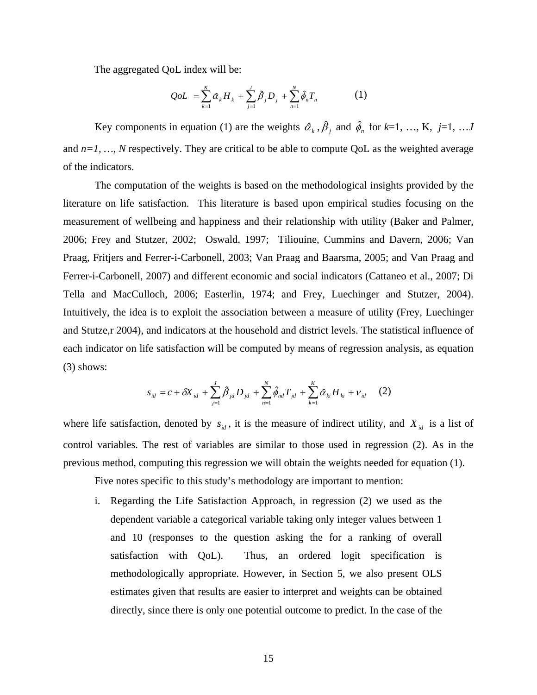The aggregated QoL index will be:

$$
QoL = \sum_{k=1}^{K} \alpha_k H_k + \sum_{j=1}^{J} \beta_j D_j + \sum_{n=1}^{N} \hat{\phi}_n T_n \tag{1}
$$

Key components in equation (1) are the weights  $\alpha_k$ ,  $\beta_j$  and  $\hat{\phi}_n$  for  $k=1, ..., K$ ,  $j=1, ...J$ and  $n=1, \ldots, N$  respectively. They are critical to be able to compute QoL as the weighted average of the indicators.

The computation of the weights is based on the methodological insights provided by the literature on life satisfaction. This literature is based upon empirical studies focusing on the measurement of wellbeing and happiness and their relationship with utility (Baker and Palmer, 2006; Frey and Stutzer, 2002; Oswald, 1997; Tiliouine, Cummins and Davern, 2006; Van Praag, Fritjers and Ferrer-i-Carbonell, 2003; Van Praag and Baarsma, 2005; and Van Praag and Ferrer-i-Carbonell, 2007) and different economic and social indicators (Cattaneo et al., 2007; Di Tella and MacCulloch, 2006; Easterlin, 1974; and Frey, Luechinger and Stutzer, 2004). Intuitively, the idea is to exploit the association between a measure of utility (Frey, Luechinger and Stutze,r 2004), and indicators at the household and district levels. The statistical influence of each indicator on life satisfaction will be computed by means of regression analysis, as equation (3) shows:

$$
s_{id} = c + \delta X_{id} + \sum_{j=1}^{J} \hat{\beta}_{jd} D_{jd} + \sum_{n=1}^{N} \hat{\phi}_{nd} T_{jd} + \sum_{k=1}^{K} \hat{\alpha}_{ki} H_{ki} + v_{id} \quad (2)
$$

where life satisfaction, denoted by  $s_{id}$ , it is the measure of indirect utility, and  $X_{id}$  is a list of control variables. The rest of variables are similar to those used in regression (2). As in the previous method, computing this regression we will obtain the weights needed for equation (1).

Five notes specific to this study's methodology are important to mention:

i. Regarding the Life Satisfaction Approach, in regression (2) we used as the dependent variable a categorical variable taking only integer values between 1 and 10 (responses to the question asking the for a ranking of overall satisfaction with QoL). Thus, an ordered logit specification is methodologically appropriate. However, in Section 5, we also present OLS estimates given that results are easier to interpret and weights can be obtained directly, since there is only one potential outcome to predict. In the case of the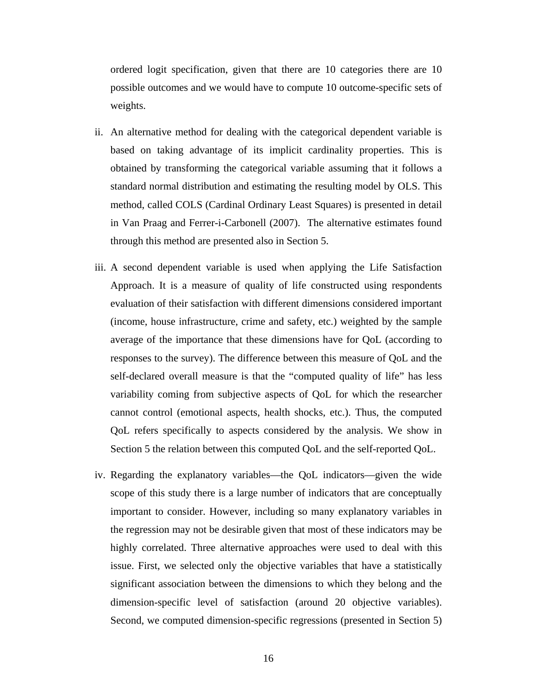ordered logit specification, given that there are 10 categories there are 10 possible outcomes and we would have to compute 10 outcome-specific sets of weights.

- ii. An alternative method for dealing with the categorical dependent variable is based on taking advantage of its implicit cardinality properties. This is obtained by transforming the categorical variable assuming that it follows a standard normal distribution and estimating the resulting model by OLS. This method, called COLS (Cardinal Ordinary Least Squares) is presented in detail in Van Praag and Ferrer-i-Carbonell (2007). The alternative estimates found through this method are presented also in Section 5.
- iii. A second dependent variable is used when applying the Life Satisfaction Approach. It is a measure of quality of life constructed using respondents evaluation of their satisfaction with different dimensions considered important (income, house infrastructure, crime and safety, etc.) weighted by the sample average of the importance that these dimensions have for QoL (according to responses to the survey). The difference between this measure of QoL and the self-declared overall measure is that the "computed quality of life" has less variability coming from subjective aspects of QoL for which the researcher cannot control (emotional aspects, health shocks, etc.). Thus, the computed QoL refers specifically to aspects considered by the analysis. We show in Section 5 the relation between this computed QoL and the self-reported QoL.
- iv. Regarding the explanatory variables—the QoL indicators—given the wide scope of this study there is a large number of indicators that are conceptually important to consider. However, including so many explanatory variables in the regression may not be desirable given that most of these indicators may be highly correlated. Three alternative approaches were used to deal with this issue. First, we selected only the objective variables that have a statistically significant association between the dimensions to which they belong and the dimension-specific level of satisfaction (around 20 objective variables). Second, we computed dimension-specific regressions (presented in Section 5)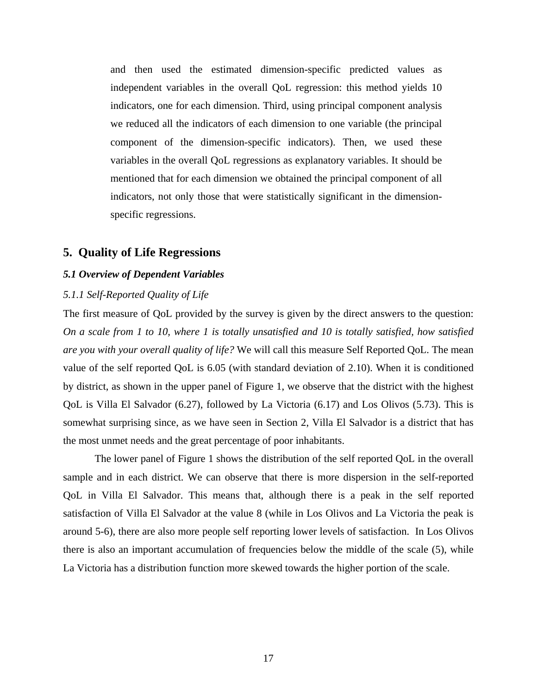and then used the estimated dimension-specific predicted values as independent variables in the overall QoL regression: this method yields 10 indicators, one for each dimension. Third, using principal component analysis we reduced all the indicators of each dimension to one variable (the principal component of the dimension-specific indicators). Then, we used these variables in the overall QoL regressions as explanatory variables. It should be mentioned that for each dimension we obtained the principal component of all indicators, not only those that were statistically significant in the dimensionspecific regressions.

## **5. Quality of Life Regressions**

#### *5.1 Overview of Dependent Variables*

#### *5.1.1 Self-Reported Quality of Life*

The first measure of QoL provided by the survey is given by the direct answers to the question: *On a scale from 1 to 10, where 1 is totally unsatisfied and 10 is totally satisfied, how satisfied are you with your overall quality of life?* We will call this measure Self Reported QoL. The mean value of the self reported QoL is 6.05 (with standard deviation of 2.10). When it is conditioned by district, as shown in the upper panel of Figure 1, we observe that the district with the highest QoL is Villa El Salvador (6.27), followed by La Victoria (6.17) and Los Olivos (5.73). This is somewhat surprising since, as we have seen in Section 2, Villa El Salvador is a district that has the most unmet needs and the great percentage of poor inhabitants.

The lower panel of Figure 1 shows the distribution of the self reported QoL in the overall sample and in each district. We can observe that there is more dispersion in the self-reported QoL in Villa El Salvador. This means that, although there is a peak in the self reported satisfaction of Villa El Salvador at the value 8 (while in Los Olivos and La Victoria the peak is around 5-6), there are also more people self reporting lower levels of satisfaction. In Los Olivos there is also an important accumulation of frequencies below the middle of the scale (5), while La Victoria has a distribution function more skewed towards the higher portion of the scale.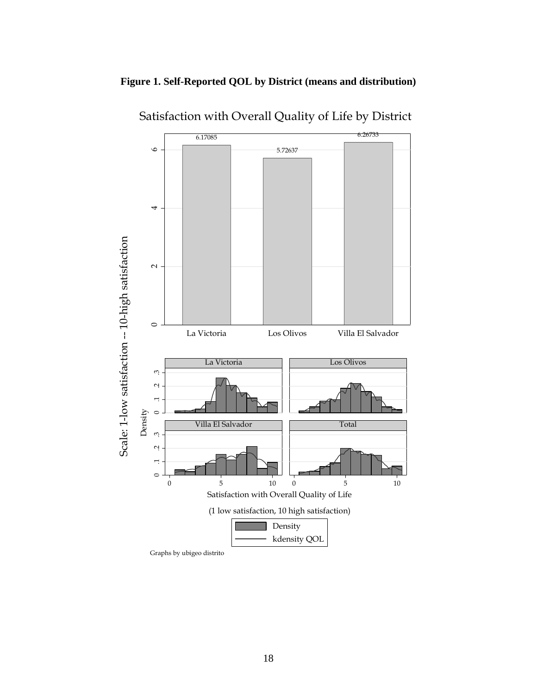



Satisfaction with Overall Quality of Life by District

Graphs by ubigeo distrito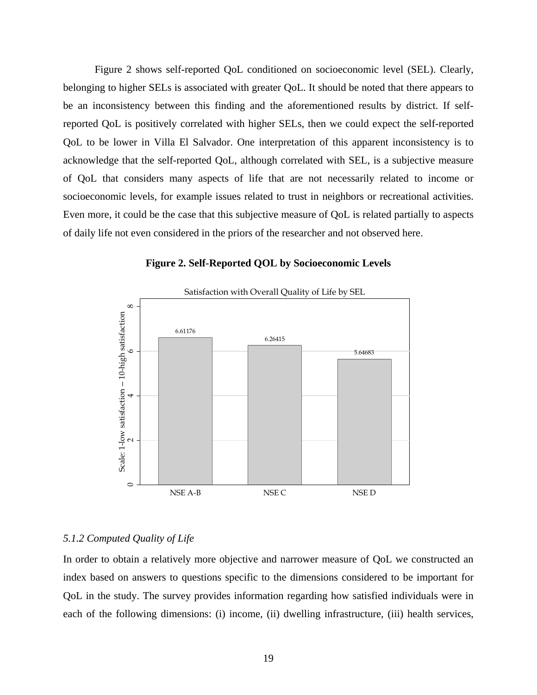Figure 2 shows self-reported QoL conditioned on socioeconomic level (SEL). Clearly, belonging to higher SELs is associated with greater QoL. It should be noted that there appears to be an inconsistency between this finding and the aforementioned results by district. If selfreported QoL is positively correlated with higher SELs, then we could expect the self-reported QoL to be lower in Villa El Salvador. One interpretation of this apparent inconsistency is to acknowledge that the self-reported QoL, although correlated with SEL, is a subjective measure of QoL that considers many aspects of life that are not necessarily related to income or socioeconomic levels, for example issues related to trust in neighbors or recreational activities. Even more, it could be the case that this subjective measure of QoL is related partially to aspects of daily life not even considered in the priors of the researcher and not observed here.



#### **Figure 2. Self-Reported QOL by Socioeconomic Levels**

#### *5.1.2 Computed Quality of Life*

In order to obtain a relatively more objective and narrower measure of QoL we constructed an index based on answers to questions specific to the dimensions considered to be important for QoL in the study. The survey provides information regarding how satisfied individuals were in each of the following dimensions: (i) income, (ii) dwelling infrastructure, (iii) health services,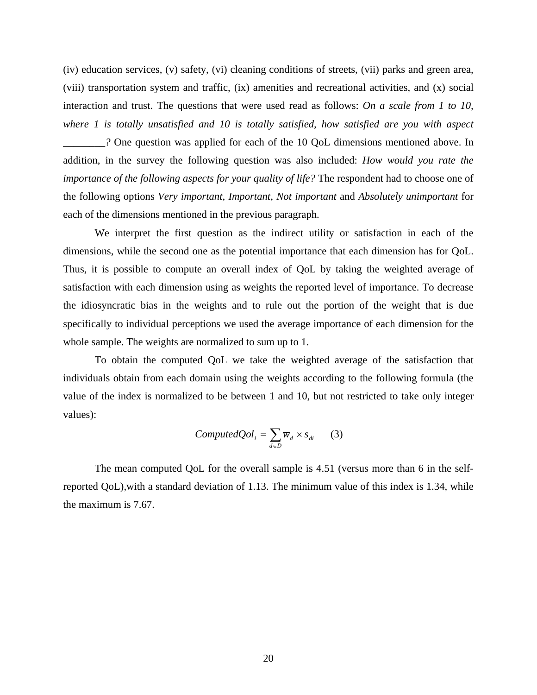(iv) education services, (v) safety, (vi) cleaning conditions of streets, (vii) parks and green area, (viii) transportation system and traffic, (ix) amenities and recreational activities, and (x) social interaction and trust. The questions that were used read as follows: *On a scale from 1 to 10, where 1 is totally unsatisfied and 10 is totally satisfied, how satisfied are you with aspect* 

*\_\_\_\_\_\_\_\_?* One question was applied for each of the 10 QoL dimensions mentioned above. In addition, in the survey the following question was also included: *How would you rate the importance of the following aspects for your quality of life?* The respondent had to choose one of the following options *Very important*, *Important*, *Not important* and *Absolutely unimportant* for each of the dimensions mentioned in the previous paragraph.

We interpret the first question as the indirect utility or satisfaction in each of the dimensions, while the second one as the potential importance that each dimension has for QoL. Thus, it is possible to compute an overall index of QoL by taking the weighted average of satisfaction with each dimension using as weights the reported level of importance. To decrease the idiosyncratic bias in the weights and to rule out the portion of the weight that is due specifically to individual perceptions we used the average importance of each dimension for the whole sample. The weights are normalized to sum up to 1.

To obtain the computed QoL we take the weighted average of the satisfaction that individuals obtain from each domain using the weights according to the following formula (the value of the index is normalized to be between 1 and 10, but not restricted to take only integer values):

$$
Computed Qol_i = \sum_{d \in D} \overline{w}_d \times s_{di} \qquad (3)
$$

The mean computed QoL for the overall sample is 4.51 (versus more than 6 in the selfreported QoL),with a standard deviation of 1.13. The minimum value of this index is 1.34, while the maximum is 7.67.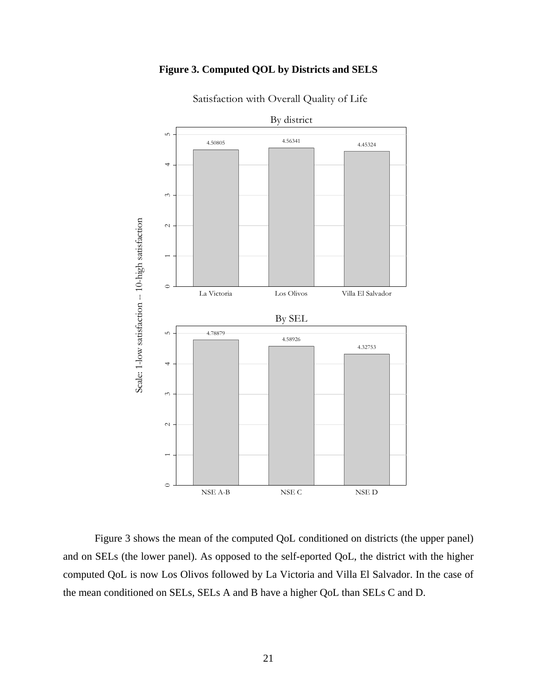## **Figure 3. Computed QOL by Districts and SELS**



Satisfaction with Overall Quality of Life

Figure 3 shows the mean of the computed QoL conditioned on districts (the upper panel) and on SELs (the lower panel). As opposed to the self-eported QoL, the district with the higher computed QoL is now Los Olivos followed by La Victoria and Villa El Salvador. In the case of the mean conditioned on SELs, SELs A and B have a higher QoL than SELs C and D.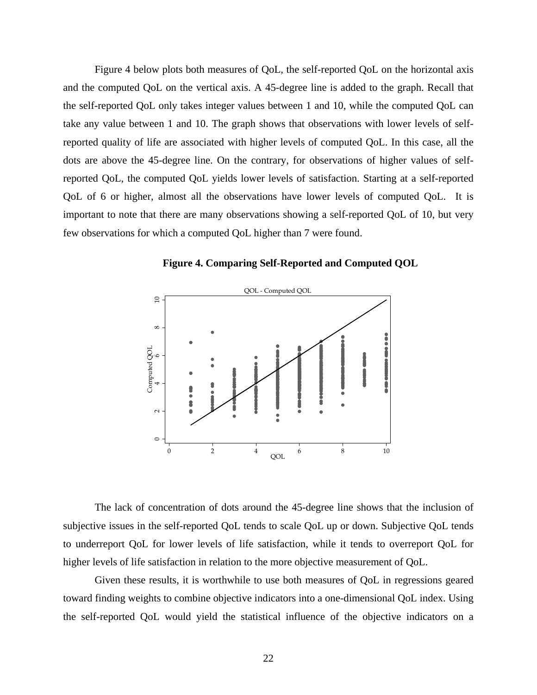Figure 4 below plots both measures of QoL, the self-reported QoL on the horizontal axis and the computed QoL on the vertical axis. A 45-degree line is added to the graph. Recall that the self-reported QoL only takes integer values between 1 and 10, while the computed QoL can take any value between 1 and 10. The graph shows that observations with lower levels of selfreported quality of life are associated with higher levels of computed QoL. In this case, all the dots are above the 45-degree line. On the contrary, for observations of higher values of selfreported QoL, the computed QoL yields lower levels of satisfaction. Starting at a self-reported QoL of 6 or higher, almost all the observations have lower levels of computed QoL. It is important to note that there are many observations showing a self-reported QoL of 10, but very few observations for which a computed QoL higher than 7 were found.





The lack of concentration of dots around the 45-degree line shows that the inclusion of subjective issues in the self-reported QoL tends to scale QoL up or down. Subjective QoL tends to underreport QoL for lower levels of life satisfaction, while it tends to overreport QoL for higher levels of life satisfaction in relation to the more objective measurement of QoL.

Given these results, it is worthwhile to use both measures of QoL in regressions geared toward finding weights to combine objective indicators into a one-dimensional QoL index. Using the self-reported QoL would yield the statistical influence of the objective indicators on a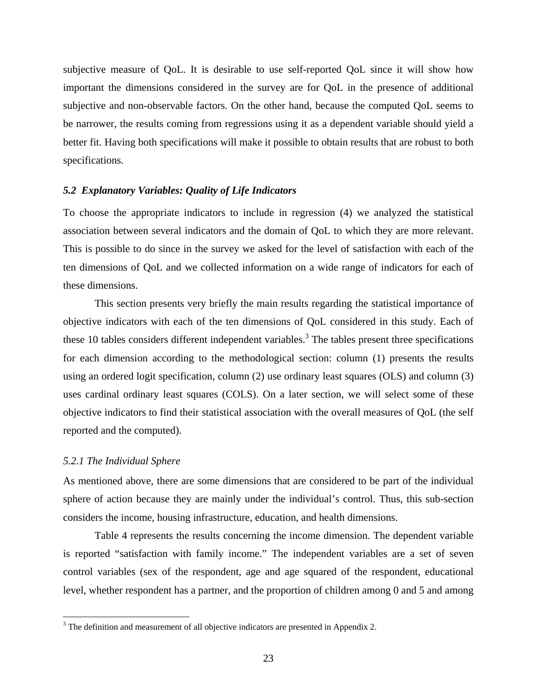subjective measure of QoL. It is desirable to use self-reported QoL since it will show how important the dimensions considered in the survey are for QoL in the presence of additional subjective and non-observable factors. On the other hand, because the computed QoL seems to be narrower, the results coming from regressions using it as a dependent variable should yield a better fit. Having both specifications will make it possible to obtain results that are robust to both specifications.

#### *5.2 Explanatory Variables: Quality of Life Indicators*

To choose the appropriate indicators to include in regression (4) we analyzed the statistical association between several indicators and the domain of QoL to which they are more relevant. This is possible to do since in the survey we asked for the level of satisfaction with each of the ten dimensions of QoL and we collected information on a wide range of indicators for each of these dimensions.

This section presents very briefly the main results regarding the statistical importance of objective indicators with each of the ten dimensions of QoL considered in this study. Each of these 10 tables considers different independent variables.<sup>3</sup> The tables present three specifications for each dimension according to the methodological section: column (1) presents the results using an ordered logit specification, column (2) use ordinary least squares (OLS) and column (3) uses cardinal ordinary least squares (COLS). On a later section, we will select some of these objective indicators to find their statistical association with the overall measures of QoL (the self reported and the computed).

#### *5.2.1 The Individual Sphere*

As mentioned above, there are some dimensions that are considered to be part of the individual sphere of action because they are mainly under the individual's control. Thus, this sub-section considers the income, housing infrastructure, education, and health dimensions.

Table 4 represents the results concerning the income dimension. The dependent variable is reported "satisfaction with family income." The independent variables are a set of seven control variables (sex of the respondent, age and age squared of the respondent, educational level, whether respondent has a partner, and the proportion of children among 0 and 5 and among

<sup>&</sup>lt;sup>3</sup> The definition and measurement of all objective indicators are presented in Appendix 2.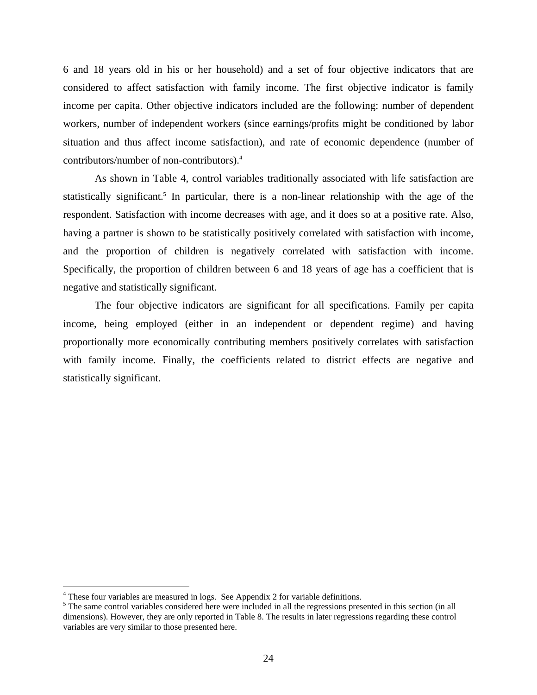6 and 18 years old in his or her household) and a set of four objective indicators that are considered to affect satisfaction with family income. The first objective indicator is family income per capita. Other objective indicators included are the following: number of dependent workers, number of independent workers (since earnings/profits might be conditioned by labor situation and thus affect income satisfaction), and rate of economic dependence (number of contributors/number of non-contributors).4

As shown in Table 4, control variables traditionally associated with life satisfaction are statistically significant.<sup>5</sup> In particular, there is a non-linear relationship with the age of the respondent. Satisfaction with income decreases with age, and it does so at a positive rate. Also, having a partner is shown to be statistically positively correlated with satisfaction with income, and the proportion of children is negatively correlated with satisfaction with income. Specifically, the proportion of children between 6 and 18 years of age has a coefficient that is negative and statistically significant.

The four objective indicators are significant for all specifications. Family per capita income, being employed (either in an independent or dependent regime) and having proportionally more economically contributing members positively correlates with satisfaction with family income. Finally, the coefficients related to district effects are negative and statistically significant.

 $\overline{a}$ 

<sup>&</sup>lt;sup>4</sup> These four variables are measured in logs. See Appendix 2 for variable definitions.

<sup>&</sup>lt;sup>5</sup> The same control variables considered here were included in all the regressions presented in this section (in all dimensions). However, they are only reported in Table 8. The results in later regressions regarding these control variables are very similar to those presented here.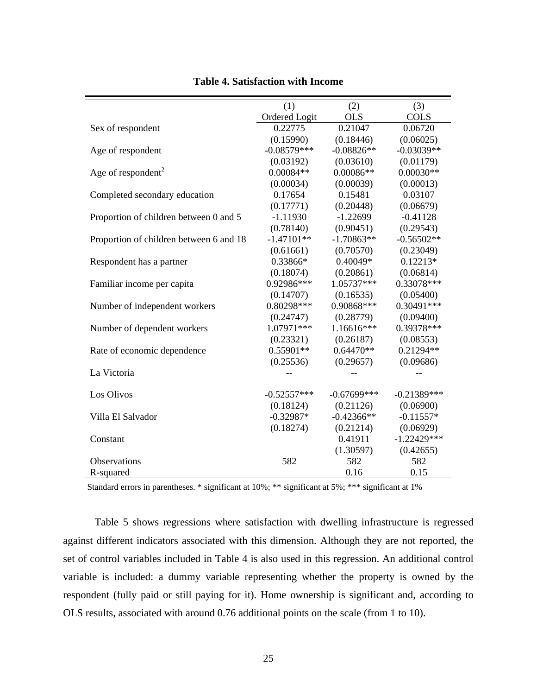| (1)<br>(2)<br>(3)<br><b>Ordered Logit</b><br><b>OLS</b><br><b>COLS</b><br>0.22775<br>0.21047<br>0.06720<br>Sex of respondent<br>(0.15990)<br>(0.18446)<br>(0.06025) |  |
|---------------------------------------------------------------------------------------------------------------------------------------------------------------------|--|
|                                                                                                                                                                     |  |
|                                                                                                                                                                     |  |
|                                                                                                                                                                     |  |
|                                                                                                                                                                     |  |
| $-0.08579***$<br>$-0.08826**$<br>$-0.03039**$<br>Age of respondent                                                                                                  |  |
| (0.01179)<br>(0.03192)<br>(0.03610)                                                                                                                                 |  |
| Age of respondent <sup>2</sup><br>$0.00084**$<br>$0.00086**$<br>$0.00030**$                                                                                         |  |
| (0.00034)<br>(0.00039)<br>(0.00013)                                                                                                                                 |  |
| 0.17654<br>0.15481<br>0.03107<br>Completed secondary education                                                                                                      |  |
| (0.17771)<br>(0.20448)<br>(0.06679)                                                                                                                                 |  |
| $-1.22699$<br>$-0.41128$<br>Proportion of children between 0 and 5<br>$-1.11930$                                                                                    |  |
| (0.90451)<br>(0.29543)<br>(0.78140)                                                                                                                                 |  |
| $-1.47101**$<br>$-1.70863**$<br>$-0.56502**$<br>Proportion of children between 6 and 18                                                                             |  |
| (0.70570)<br>(0.23049)<br>(0.61661)                                                                                                                                 |  |
| 0.40049*<br>$0.12213*$<br>0.33866*<br>Respondent has a partner                                                                                                      |  |
| (0.18074)<br>(0.20861)<br>(0.06814)                                                                                                                                 |  |
| 1.05737***<br>0.92986***<br>0.33078***<br>Familiar income per capita                                                                                                |  |
| (0.05400)<br>(0.14707)<br>(0.16535)                                                                                                                                 |  |
| 0.90868***<br>$0.30491***$<br>0.80298***<br>Number of independent workers                                                                                           |  |
| (0.09400)<br>(0.24747)<br>(0.28779)                                                                                                                                 |  |
| 1.07971***<br>0.39378***<br>1.16616***<br>Number of dependent workers                                                                                               |  |
| (0.08553)<br>(0.23321)<br>(0.26187)                                                                                                                                 |  |
| 0.21294**<br>0.55901**<br>$0.64470**$<br>Rate of economic dependence                                                                                                |  |
| (0.25536)<br>(0.29657)<br>(0.09686)                                                                                                                                 |  |
| La Victoria                                                                                                                                                         |  |
|                                                                                                                                                                     |  |
| Los Olivos<br>$-0.67699***$<br>$-0.21389***$<br>$-0.52557***$                                                                                                       |  |
| (0.18124)<br>(0.21126)<br>(0.06900)                                                                                                                                 |  |
| $-0.32987*$<br>$-0.42366**$<br>$-0.11557*$<br>Villa El Salvador                                                                                                     |  |
| (0.18274)<br>(0.21214)<br>(0.06929)                                                                                                                                 |  |
| $-1.22429***$<br>0.41911<br>Constant                                                                                                                                |  |
| (1.30597)<br>(0.42655)                                                                                                                                              |  |
| Observations<br>582<br>582<br>582                                                                                                                                   |  |
| 0.16<br>0.15<br>R-squared                                                                                                                                           |  |

**Table 4. Satisfaction with Income** 

Standard errors in parentheses. \* significant at 10%; \*\* significant at 5%; \*\*\* significant at 1%

Table 5 shows regressions where satisfaction with dwelling infrastructure is regressed against different indicators associated with this dimension. Although they are not reported, the set of control variables included in Table 4 is also used in this regression. An additional control variable is included: a dummy variable representing whether the property is owned by the respondent (fully paid or still paying for it). Home ownership is significant and, according to OLS results, associated with around 0.76 additional points on the scale (from 1 to 10).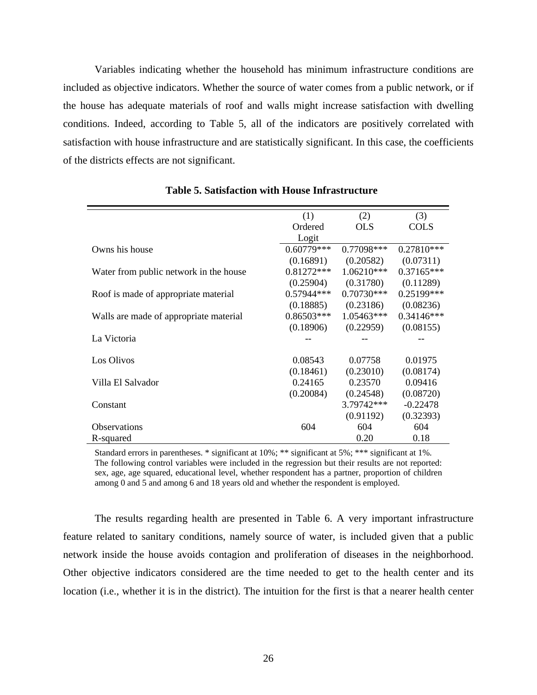Variables indicating whether the household has minimum infrastructure conditions are included as objective indicators. Whether the source of water comes from a public network, or if the house has adequate materials of roof and walls might increase satisfaction with dwelling conditions. Indeed, according to Table 5, all of the indicators are positively correlated with satisfaction with house infrastructure and are statistically significant. In this case, the coefficients of the districts effects are not significant.

|                                        | (1)          | (2)          | (3)          |
|----------------------------------------|--------------|--------------|--------------|
|                                        | Ordered      | <b>OLS</b>   | <b>COLS</b>  |
|                                        | Logit        |              |              |
| Owns his house                         | $0.60779***$ | $0.77098***$ | 0.27810***   |
|                                        | (0.16891)    | (0.20582)    | (0.07311)    |
| Water from public network in the house | $0.81272***$ | $1.06210***$ | $0.37165***$ |
|                                        | (0.25904)    | (0.31780)    | (0.11289)    |
| Roof is made of appropriate material   | 0.57944***   | $0.70730***$ | 0.25199***   |
|                                        | (0.18885)    | (0.23186)    | (0.08236)    |
| Walls are made of appropriate material | $0.86503***$ | 1.05463***   | 0.34146***   |
|                                        | (0.18906)    | (0.22959)    | (0.08155)    |
| La Victoria                            |              |              |              |
|                                        |              |              |              |
| Los Olivos                             | 0.08543      | 0.07758      | 0.01975      |
|                                        | (0.18461)    | (0.23010)    | (0.08174)    |
| Villa El Salvador                      | 0.24165      | 0.23570      | 0.09416      |
|                                        | (0.20084)    | (0.24548)    | (0.08720)    |
| Constant                               |              | 3.79742***   | $-0.22478$   |
|                                        |              | (0.91192)    | (0.32393)    |
| <b>Observations</b>                    | 604          | 604          | 604          |
| R-squared                              |              | 0.20         | 0.18         |

**Table 5. Satisfaction with House Infrastructure** 

Standard errors in parentheses. \* significant at 10%; \*\* significant at 5%; \*\*\* significant at 1%. The following control variables were included in the regression but their results are not reported: sex, age, age squared, educational level, whether respondent has a partner, proportion of children among 0 and 5 and among 6 and 18 years old and whether the respondent is employed.

The results regarding health are presented in Table 6. A very important infrastructure feature related to sanitary conditions, namely source of water, is included given that a public network inside the house avoids contagion and proliferation of diseases in the neighborhood. Other objective indicators considered are the time needed to get to the health center and its location (i.e., whether it is in the district). The intuition for the first is that a nearer health center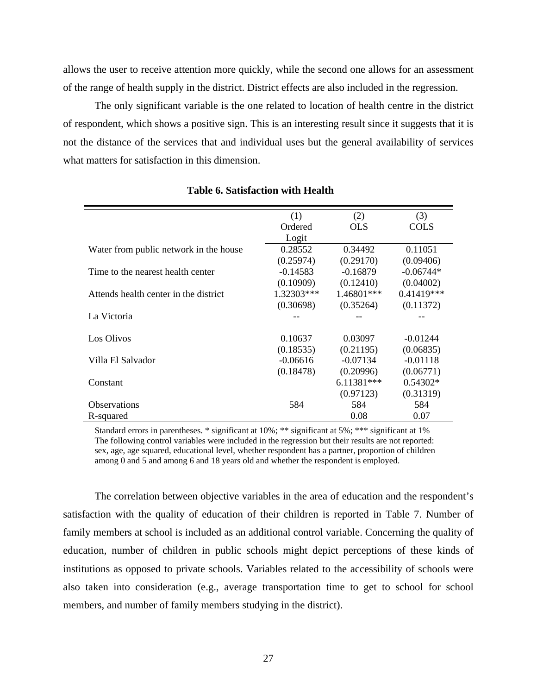allows the user to receive attention more quickly, while the second one allows for an assessment of the range of health supply in the district. District effects are also included in the regression.

The only significant variable is the one related to location of health centre in the district of respondent, which shows a positive sign. This is an interesting result since it suggests that it is not the distance of the services that and individual uses but the general availability of services what matters for satisfaction in this dimension.

|                                        | (1)        | (2)          | (3)          |
|----------------------------------------|------------|--------------|--------------|
|                                        | Ordered    | <b>OLS</b>   | <b>COLS</b>  |
|                                        | Logit      |              |              |
| Water from public network in the house | 0.28552    | 0.34492      | 0.11051      |
|                                        | (0.25974)  | (0.29170)    | (0.09406)    |
| Time to the nearest health center      | $-0.14583$ | $-0.16879$   | $-0.06744*$  |
|                                        | (0.10909)  | (0.12410)    | (0.04002)    |
| Attends health center in the district  | 1.32303*** | 1.46801***   | $0.41419***$ |
|                                        | (0.30698)  | (0.35264)    | (0.11372)    |
| La Victoria                            |            |              |              |
|                                        |            |              |              |
| Los Olivos                             | 0.10637    | 0.03097      | $-0.01244$   |
|                                        | (0.18535)  | (0.21195)    | (0.06835)    |
| Villa El Salvador                      | $-0.06616$ | $-0.07134$   | $-0.01118$   |
|                                        | (0.18478)  | (0.20996)    | (0.06771)    |
| Constant                               |            | $6.11381***$ | $0.54302*$   |
|                                        |            | (0.97123)    | (0.31319)    |
| <b>Observations</b>                    | 584        | 584          | 584          |
| R-squared                              |            | 0.08         | 0.07         |

### **Table 6. Satisfaction with Health**

Standard errors in parentheses. \* significant at 10%; \*\* significant at 5%; \*\*\* significant at 1% The following control variables were included in the regression but their results are not reported: sex, age, age squared, educational level, whether respondent has a partner, proportion of children among 0 and 5 and among 6 and 18 years old and whether the respondent is employed.

The correlation between objective variables in the area of education and the respondent's satisfaction with the quality of education of their children is reported in Table 7. Number of family members at school is included as an additional control variable. Concerning the quality of education, number of children in public schools might depict perceptions of these kinds of institutions as opposed to private schools. Variables related to the accessibility of schools were also taken into consideration (e.g., average transportation time to get to school for school members, and number of family members studying in the district).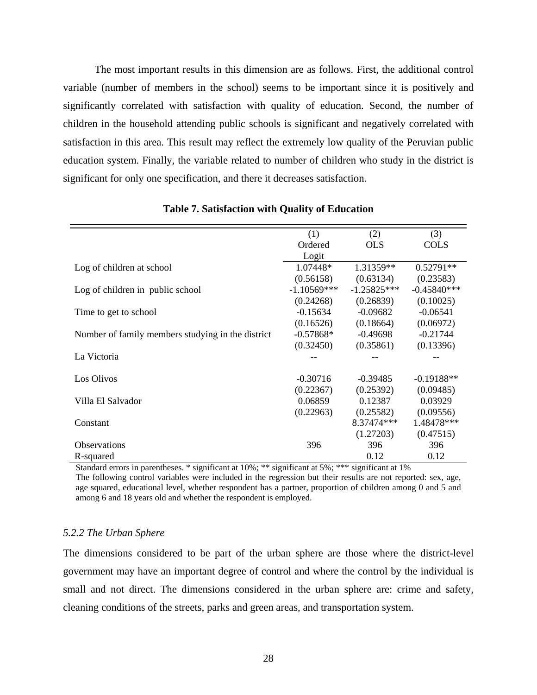The most important results in this dimension are as follows. First, the additional control variable (number of members in the school) seems to be important since it is positively and significantly correlated with satisfaction with quality of education. Second, the number of children in the household attending public schools is significant and negatively correlated with satisfaction in this area. This result may reflect the extremely low quality of the Peruvian public education system. Finally, the variable related to number of children who study in the district is significant for only one specification, and there it decreases satisfaction.

|                                                   | (1)           | (2)           | (3)           |
|---------------------------------------------------|---------------|---------------|---------------|
|                                                   | Ordered       | <b>OLS</b>    | <b>COLS</b>   |
|                                                   | Logit         |               |               |
| Log of children at school                         | 1.07448*      | 1.31359**     | $0.52791**$   |
|                                                   | (0.56158)     | (0.63134)     | (0.23583)     |
| Log of children in public school                  | $-1.10569***$ | $-1.25825***$ | $-0.45840***$ |
|                                                   | (0.24268)     | (0.26839)     | (0.10025)     |
| Time to get to school                             | $-0.15634$    | $-0.09682$    | $-0.06541$    |
|                                                   | (0.16526)     | (0.18664)     | (0.06972)     |
| Number of family members studying in the district | $-0.57868*$   | $-0.49698$    | $-0.21744$    |
|                                                   | (0.32450)     | (0.35861)     | (0.13396)     |
| La Victoria                                       |               |               |               |
|                                                   |               |               |               |
| Los Olivos                                        | $-0.30716$    | $-0.39485$    | $-0.19188**$  |
|                                                   | (0.22367)     | (0.25392)     | (0.09485)     |
| Villa El Salvador                                 | 0.06859       | 0.12387       | 0.03929       |
|                                                   | (0.22963)     | (0.25582)     | (0.09556)     |
| Constant                                          |               | 8.37474***    | 1.48478***    |
|                                                   |               | (1.27203)     | (0.47515)     |
| <b>Observations</b>                               | 396           | 396           | 396           |
| R-squared                                         |               | 0.12          | 0.12          |

#### **Table 7. Satisfaction with Quality of Education**

Standard errors in parentheses. \* significant at 10%; \*\* significant at 5%; \*\*\* significant at 1%

The following control variables were included in the regression but their results are not reported: sex, age, age squared, educational level, whether respondent has a partner, proportion of children among 0 and 5 and among 6 and 18 years old and whether the respondent is employed.

#### *5.2.2 The Urban Sphere*

The dimensions considered to be part of the urban sphere are those where the district-level government may have an important degree of control and where the control by the individual is small and not direct. The dimensions considered in the urban sphere are: crime and safety, cleaning conditions of the streets, parks and green areas, and transportation system.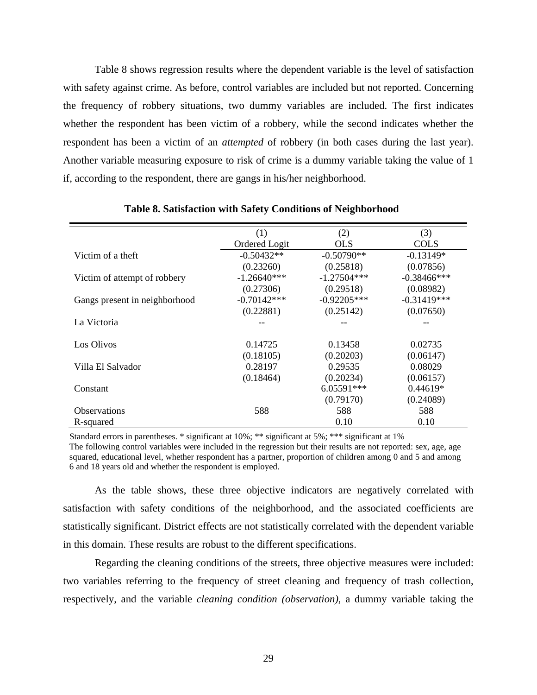Table 8 shows regression results where the dependent variable is the level of satisfaction with safety against crime. As before, control variables are included but not reported. Concerning the frequency of robbery situations, two dummy variables are included. The first indicates whether the respondent has been victim of a robbery, while the second indicates whether the respondent has been a victim of an *attempted* of robbery (in both cases during the last year). Another variable measuring exposure to risk of crime is a dummy variable taking the value of 1 if, according to the respondent, there are gangs in his/her neighborhood.

|                               | (1)           | (2)           | (3)            |
|-------------------------------|---------------|---------------|----------------|
|                               | Ordered Logit | <b>OLS</b>    | <b>COLS</b>    |
| Victim of a theft             | $-0.50432**$  | $-0.50790**$  | $-0.13149*$    |
|                               | (0.23260)     | (0.25818)     | (0.07856)      |
| Victim of attempt of robbery  | $-1.26640***$ | $-1.27504***$ | $-0.38466$ *** |
|                               | (0.27306)     | (0.29518)     | (0.08982)      |
| Gangs present in neighborhood | $-0.70142***$ | $-0.92205***$ | $-0.31419***$  |
|                               | (0.22881)     | (0.25142)     | (0.07650)      |
| La Victoria                   |               |               |                |
|                               |               |               |                |
| Los Olivos                    | 0.14725       | 0.13458       | 0.02735        |
|                               | (0.18105)     | (0.20203)     | (0.06147)      |
| Villa El Salvador             | 0.28197       | 0.29535       | 0.08029        |
|                               | (0.18464)     | (0.20234)     | (0.06157)      |
| Constant                      |               | $6.05591***$  | $0.44619*$     |
|                               |               | (0.79170)     | (0.24089)      |
| <b>Observations</b>           | 588           | 588           | 588            |
| R-squared                     |               | 0.10          | 0.10           |

#### **Table 8. Satisfaction with Safety Conditions of Neighborhood**

Standard errors in parentheses. \* significant at 10%; \*\* significant at 5%; \*\*\* significant at 1% The following control variables were included in the regression but their results are not reported: sex, age, age squared, educational level, whether respondent has a partner, proportion of children among 0 and 5 and among 6 and 18 years old and whether the respondent is employed.

As the table shows, these three objective indicators are negatively correlated with satisfaction with safety conditions of the neighborhood, and the associated coefficients are statistically significant. District effects are not statistically correlated with the dependent variable in this domain. These results are robust to the different specifications.

Regarding the cleaning conditions of the streets, three objective measures were included: two variables referring to the frequency of street cleaning and frequency of trash collection, respectively, and the variable *cleaning condition (observation)*, a dummy variable taking the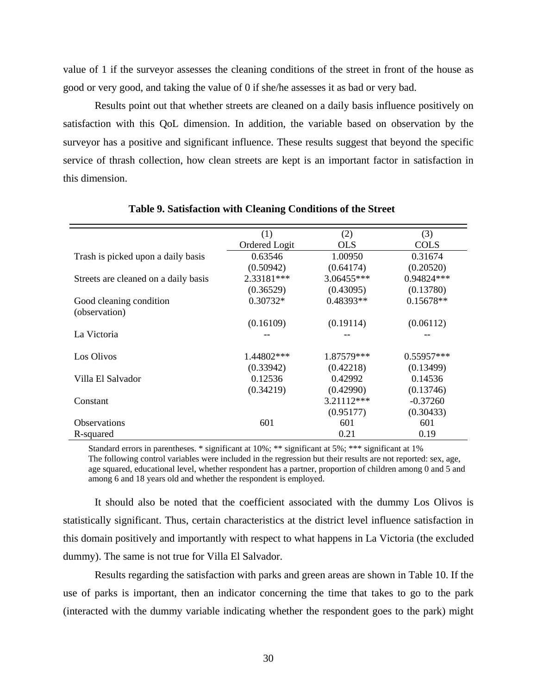value of 1 if the surveyor assesses the cleaning conditions of the street in front of the house as good or very good, and taking the value of 0 if she/he assesses it as bad or very bad.

Results point out that whether streets are cleaned on a daily basis influence positively on satisfaction with this QoL dimension. In addition, the variable based on observation by the surveyor has a positive and significant influence. These results suggest that beyond the specific service of thrash collection, how clean streets are kept is an important factor in satisfaction in this dimension.

|                                      | (1)           | (2)        | (3)          |
|--------------------------------------|---------------|------------|--------------|
|                                      | Ordered Logit | <b>OLS</b> | <b>COLS</b>  |
| Trash is picked upon a daily basis   | 0.63546       | 1.00950    | 0.31674      |
|                                      | (0.50942)     | (0.64174)  | (0.20520)    |
| Streets are cleaned on a daily basis | 2.33181***    | 3.06455*** | $0.94824***$ |
|                                      | (0.36529)     | (0.43095)  | (0.13780)    |
| Good cleaning condition              | $0.30732*$    | 0.48393**  | $0.15678**$  |
| (observation)                        |               |            |              |
|                                      | (0.16109)     | (0.19114)  | (0.06112)    |
| La Victoria                          |               |            |              |
|                                      |               |            |              |
| Los Olivos                           | 1.44802***    | 1.87579*** | 0.55957***   |
|                                      | (0.33942)     | (0.42218)  | (0.13499)    |
| Villa El Salvador                    | 0.12536       | 0.42992    | 0.14536      |
|                                      | (0.34219)     | (0.42990)  | (0.13746)    |
| Constant                             |               | 3.21112*** | $-0.37260$   |
|                                      |               | (0.95177)  | (0.30433)    |
| <b>Observations</b>                  | 601           | 601        | 601          |
| R-squared                            |               | 0.21       | 0.19         |

#### **Table 9. Satisfaction with Cleaning Conditions of the Street**

Standard errors in parentheses. \* significant at 10%; \*\* significant at 5%; \*\*\* significant at 1% The following control variables were included in the regression but their results are not reported: sex, age, age squared, educational level, whether respondent has a partner, proportion of children among 0 and 5 and among 6 and 18 years old and whether the respondent is employed.

It should also be noted that the coefficient associated with the dummy Los Olivos is statistically significant. Thus, certain characteristics at the district level influence satisfaction in this domain positively and importantly with respect to what happens in La Victoria (the excluded dummy). The same is not true for Villa El Salvador.

Results regarding the satisfaction with parks and green areas are shown in Table 10. If the use of parks is important, then an indicator concerning the time that takes to go to the park (interacted with the dummy variable indicating whether the respondent goes to the park) might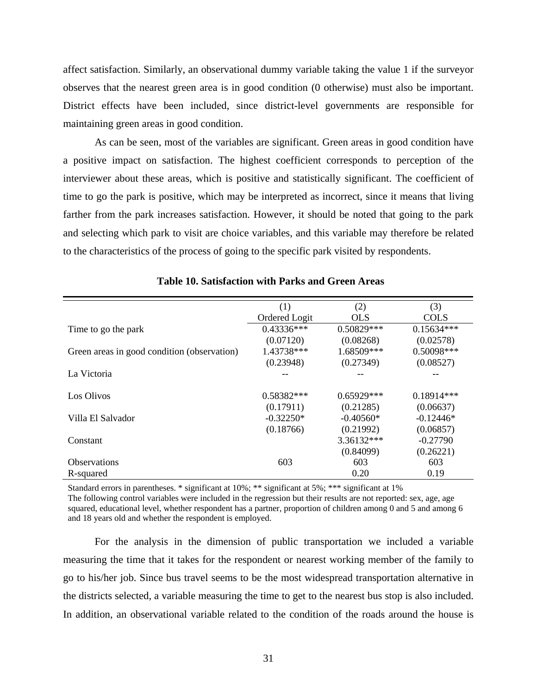affect satisfaction. Similarly, an observational dummy variable taking the value 1 if the surveyor observes that the nearest green area is in good condition (0 otherwise) must also be important. District effects have been included, since district-level governments are responsible for maintaining green areas in good condition.

As can be seen, most of the variables are significant. Green areas in good condition have a positive impact on satisfaction. The highest coefficient corresponds to perception of the interviewer about these areas, which is positive and statistically significant. The coefficient of time to go the park is positive, which may be interpreted as incorrect, since it means that living farther from the park increases satisfaction. However, it should be noted that going to the park and selecting which park to visit are choice variables, and this variable may therefore be related to the characteristics of the process of going to the specific park visited by respondents.

|                                             | (1)           | (2)          | (3)          |
|---------------------------------------------|---------------|--------------|--------------|
|                                             | Ordered Logit | <b>OLS</b>   | <b>COLS</b>  |
| Time to go the park                         | $0.43336***$  | $0.50829***$ | $0.15634***$ |
|                                             | (0.07120)     | (0.08268)    | (0.02578)    |
| Green areas in good condition (observation) | 1.43738***    | 1.68509***   | 0.50098***   |
|                                             | (0.23948)     | (0.27349)    | (0.08527)    |
| La Victoria                                 |               |              |              |
|                                             |               |              |              |
| Los Olivos                                  | $0.58382***$  | $0.65929***$ | $0.18914***$ |
|                                             | (0.17911)     | (0.21285)    | (0.06637)    |
| Villa El Salvador                           | $-0.32250*$   | $-0.40560*$  | $-0.12446*$  |
|                                             | (0.18766)     | (0.21992)    | (0.06857)    |
| Constant                                    |               | $3.36132***$ | $-0.27790$   |
|                                             |               | (0.84099)    | (0.26221)    |
| <b>Observations</b>                         | 603           | 603          | 603          |
| R-squared                                   |               | 0.20         | 0.19         |

**Table 10. Satisfaction with Parks and Green Areas** 

Standard errors in parentheses. \* significant at 10%; \*\* significant at 5%; \*\*\* significant at 1%

The following control variables were included in the regression but their results are not reported: sex, age, age squared, educational level, whether respondent has a partner, proportion of children among 0 and 5 and among 6 and 18 years old and whether the respondent is employed.

For the analysis in the dimension of public transportation we included a variable measuring the time that it takes for the respondent or nearest working member of the family to go to his/her job. Since bus travel seems to be the most widespread transportation alternative in the districts selected, a variable measuring the time to get to the nearest bus stop is also included. In addition, an observational variable related to the condition of the roads around the house is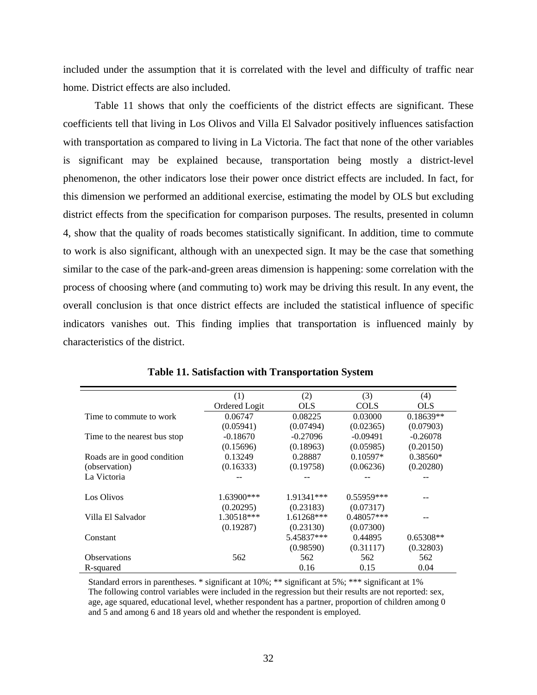included under the assumption that it is correlated with the level and difficulty of traffic near home. District effects are also included.

Table 11 shows that only the coefficients of the district effects are significant. These coefficients tell that living in Los Olivos and Villa El Salvador positively influences satisfaction with transportation as compared to living in La Victoria. The fact that none of the other variables is significant may be explained because, transportation being mostly a district-level phenomenon, the other indicators lose their power once district effects are included. In fact, for this dimension we performed an additional exercise, estimating the model by OLS but excluding district effects from the specification for comparison purposes. The results, presented in column 4, show that the quality of roads becomes statistically significant. In addition, time to commute to work is also significant, although with an unexpected sign. It may be the case that something similar to the case of the park-and-green areas dimension is happening: some correlation with the process of choosing where (and commuting to) work may be driving this result. In any event, the overall conclusion is that once district effects are included the statistical influence of specific indicators vanishes out. This finding implies that transportation is influenced mainly by characteristics of the district.

|                              | (1)           | (2)        | (3)          | (4)         |
|------------------------------|---------------|------------|--------------|-------------|
|                              | Ordered Logit | <b>OLS</b> | <b>COLS</b>  | <b>OLS</b>  |
| Time to commute to work      | 0.06747       | 0.08225    | 0.03000      | $0.18639**$ |
|                              | (0.05941)     | (0.07494)  | (0.02365)    | (0.07903)   |
| Time to the nearest bus stop | $-0.18670$    | $-0.27096$ | $-0.09491$   | $-0.26078$  |
|                              | (0.15696)     | (0.18963)  | (0.05985)    | (0.20150)   |
| Roads are in good condition  | 0.13249       | 0.28887    | $0.10597*$   | $0.38560*$  |
| (observation)                | (0.16333)     | (0.19758)  | (0.06236)    | (0.20280)   |
| La Victoria                  |               |            |              |             |
|                              |               |            |              |             |
| Los Olivos                   | 1.63900***    | 1.91341*** | $0.55959***$ |             |
|                              | (0.20295)     | (0.23183)  | (0.07317)    |             |
| Villa El Salvador            | 1.30518***    | 1.61268*** | $0.48057***$ |             |
|                              | (0.19287)     | (0.23130)  | (0.07300)    |             |
| Constant                     |               | 5.45837*** | 0.44895      | $0.65308**$ |
|                              |               | (0.98590)  | (0.31117)    | (0.32803)   |
| <b>Observations</b>          | 562           | 562        | 562          | 562         |
| R-squared                    |               | 0.16       | 0.15         | 0.04        |

|  | <b>Table 11. Satisfaction with Transportation System</b> |  |  |  |  |
|--|----------------------------------------------------------|--|--|--|--|
|--|----------------------------------------------------------|--|--|--|--|

Standard errors in parentheses. \* significant at 10%; \*\* significant at 5%; \*\*\* significant at 1% The following control variables were included in the regression but their results are not reported: sex, age, age squared, educational level, whether respondent has a partner, proportion of children among 0 and 5 and among 6 and 18 years old and whether the respondent is employed.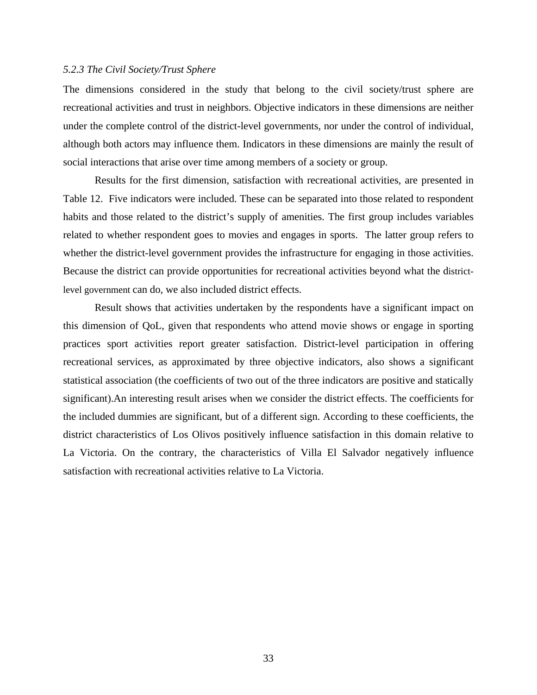#### *5.2.3 The Civil Society/Trust Sphere*

The dimensions considered in the study that belong to the civil society/trust sphere are recreational activities and trust in neighbors. Objective indicators in these dimensions are neither under the complete control of the district-level governments, nor under the control of individual, although both actors may influence them. Indicators in these dimensions are mainly the result of social interactions that arise over time among members of a society or group.

Results for the first dimension, satisfaction with recreational activities, are presented in Table 12. Five indicators were included. These can be separated into those related to respondent habits and those related to the district's supply of amenities. The first group includes variables related to whether respondent goes to movies and engages in sports. The latter group refers to whether the district-level government provides the infrastructure for engaging in those activities. Because the district can provide opportunities for recreational activities beyond what the districtlevel government can do, we also included district effects.

Result shows that activities undertaken by the respondents have a significant impact on this dimension of QoL, given that respondents who attend movie shows or engage in sporting practices sport activities report greater satisfaction. District-level participation in offering recreational services, as approximated by three objective indicators, also shows a significant statistical association (the coefficients of two out of the three indicators are positive and statically significant).An interesting result arises when we consider the district effects. The coefficients for the included dummies are significant, but of a different sign. According to these coefficients, the district characteristics of Los Olivos positively influence satisfaction in this domain relative to La Victoria. On the contrary, the characteristics of Villa El Salvador negatively influence satisfaction with recreational activities relative to La Victoria.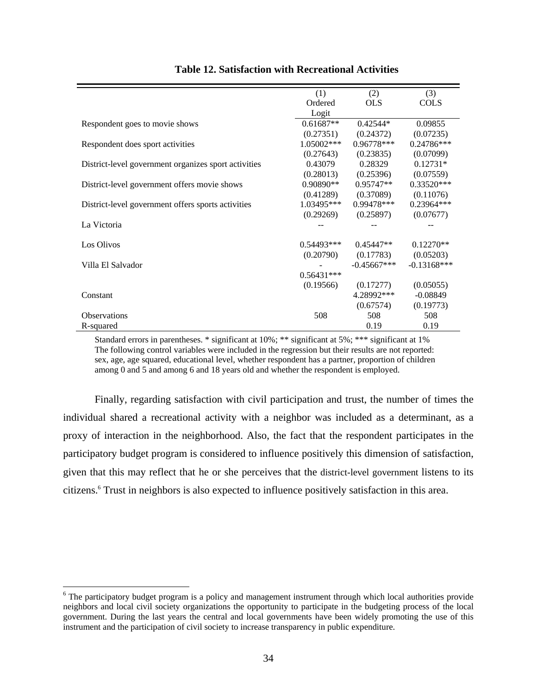|                                                      | (1)          | (2)           | (3)            |
|------------------------------------------------------|--------------|---------------|----------------|
|                                                      | Ordered      | <b>OLS</b>    | <b>COLS</b>    |
|                                                      | Logit        |               |                |
| Respondent goes to movie shows                       | $0.61687**$  | $0.42544*$    | 0.09855        |
|                                                      | (0.27351)    | (0.24372)     | (0.07235)      |
| Respondent does sport activities                     | $1.05002***$ | $0.96778***$  | $0.24786***$   |
|                                                      | (0.27643)    | (0.23835)     | (0.07099)      |
| District-level government organizes sport activities | 0.43079      | 0.28329       | $0.12731*$     |
|                                                      | (0.28013)    | (0.25396)     | (0.07559)      |
| District-level government offers movie shows         | $0.90890**$  | $0.95747**$   | $0.33520***$   |
|                                                      | (0.41289)    | (0.37089)     | (0.11076)      |
| District-level government offers sports activities   | $1.03495***$ | $0.99478***$  | $0.23964***$   |
|                                                      | (0.29269)    | (0.25897)     | (0.07677)      |
| La Victoria                                          |              |               |                |
|                                                      |              |               |                |
| Los Olivos                                           | $0.54493***$ | $0.45447**$   | $0.12270**$    |
|                                                      | (0.20790)    | (0.17783)     | (0.05203)      |
| Villa El Salvador                                    |              | $-0.45667***$ | $-0.13168$ *** |
|                                                      | $0.56431***$ |               |                |
|                                                      | (0.19566)    | (0.17277)     | (0.05055)      |
| Constant                                             |              | 4.28992***    | $-0.08849$     |
|                                                      |              | (0.67574)     | (0.19773)      |
| <b>Observations</b>                                  | 508          | 508           | 508            |
| R-squared                                            |              | 0.19          | 0.19           |

#### **Table 12. Satisfaction with Recreational Activities**

Standard errors in parentheses. \* significant at 10%; \*\* significant at 5%; \*\*\* significant at 1% The following control variables were included in the regression but their results are not reported: sex, age, age squared, educational level, whether respondent has a partner, proportion of children among 0 and 5 and among 6 and 18 years old and whether the respondent is employed.

Finally, regarding satisfaction with civil participation and trust, the number of times the individual shared a recreational activity with a neighbor was included as a determinant, as a proxy of interaction in the neighborhood. Also, the fact that the respondent participates in the participatory budget program is considered to influence positively this dimension of satisfaction, given that this may reflect that he or she perceives that the district-level government listens to its citizens.6 Trust in neighbors is also expected to influence positively satisfaction in this area.

 $\overline{a}$ 

<sup>&</sup>lt;sup>6</sup> The participatory budget program is a policy and management instrument through which local authorities provide neighbors and local civil society organizations the opportunity to participate in the budgeting process of the local government. During the last years the central and local governments have been widely promoting the use of this instrument and the participation of civil society to increase transparency in public expenditure.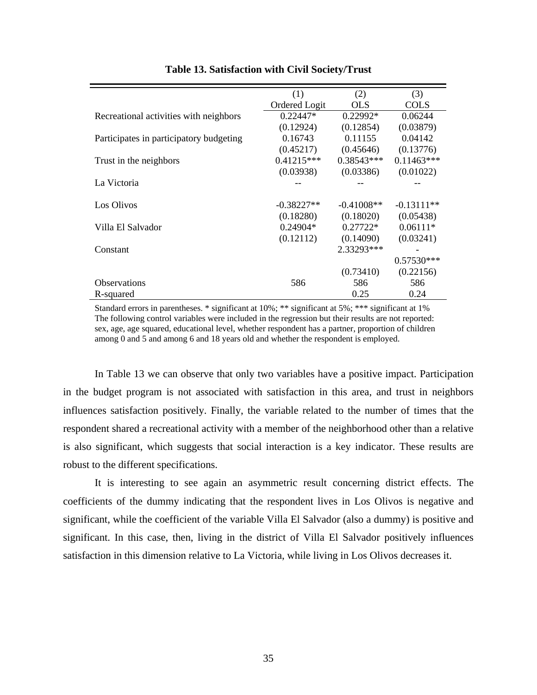|                                         | (1)           | (2)          | (3)          |
|-----------------------------------------|---------------|--------------|--------------|
|                                         | Ordered Logit | <b>OLS</b>   | <b>COLS</b>  |
| Recreational activities with neighbors  | $0.22447*$    | 0.22992*     | 0.06244      |
|                                         | (0.12924)     | (0.12854)    | (0.03879)    |
| Participates in participatory budgeting | 0.16743       | 0.11155      | 0.04142      |
|                                         | (0.45217)     | (0.45646)    | (0.13776)    |
| Trust in the neighbors                  | $0.41215***$  | 0.38543***   | $0.11463***$ |
|                                         | (0.03938)     | (0.03386)    | (0.01022)    |
| La Victoria                             |               |              |              |
|                                         |               |              |              |
| Los Olivos                              | $-0.38227**$  | $-0.41008**$ | $-0.13111**$ |
|                                         | (0.18280)     | (0.18020)    | (0.05438)    |
| Villa El Salvador                       | $0.24904*$    | $0.27722*$   | $0.06111*$   |
|                                         | (0.12112)     | (0.14090)    | (0.03241)    |
| Constant                                |               | 2.33293***   |              |
|                                         |               |              | $0.57530***$ |
|                                         |               | (0.73410)    | (0.22156)    |
| <b>Observations</b>                     | 586           | 586          | 586          |
| R-squared                               |               | 0.25         | 0.24         |

#### **Table 13. Satisfaction with Civil Society/Trust**

Standard errors in parentheses. \* significant at 10%; \*\* significant at 5%; \*\*\* significant at 1% The following control variables were included in the regression but their results are not reported: sex, age, age squared, educational level, whether respondent has a partner, proportion of children among 0 and 5 and among 6 and 18 years old and whether the respondent is employed.

In Table 13 we can observe that only two variables have a positive impact. Participation in the budget program is not associated with satisfaction in this area, and trust in neighbors influences satisfaction positively. Finally, the variable related to the number of times that the respondent shared a recreational activity with a member of the neighborhood other than a relative is also significant, which suggests that social interaction is a key indicator. These results are robust to the different specifications.

It is interesting to see again an asymmetric result concerning district effects. The coefficients of the dummy indicating that the respondent lives in Los Olivos is negative and significant, while the coefficient of the variable Villa El Salvador (also a dummy) is positive and significant. In this case, then, living in the district of Villa El Salvador positively influences satisfaction in this dimension relative to La Victoria, while living in Los Olivos decreases it.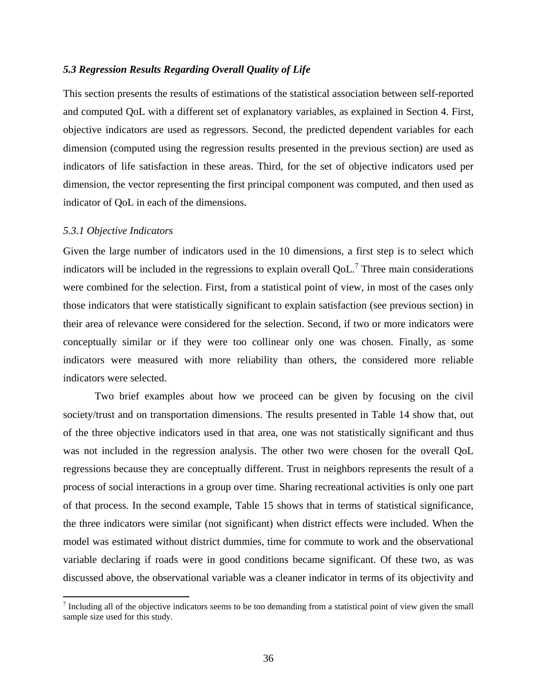#### *5.3 Regression Results Regarding Overall Quality of Life*

This section presents the results of estimations of the statistical association between self-reported and computed QoL with a different set of explanatory variables, as explained in Section 4. First, objective indicators are used as regressors. Second, the predicted dependent variables for each dimension (computed using the regression results presented in the previous section) are used as indicators of life satisfaction in these areas. Third, for the set of objective indicators used per dimension, the vector representing the first principal component was computed, and then used as indicator of QoL in each of the dimensions.

#### *5.3.1 Objective Indicators*

 $\overline{a}$ 

Given the large number of indicators used in the 10 dimensions, a first step is to select which indicators will be included in the regressions to explain overall  $QoL$ .<sup>7</sup> Three main considerations were combined for the selection. First, from a statistical point of view, in most of the cases only those indicators that were statistically significant to explain satisfaction (see previous section) in their area of relevance were considered for the selection. Second, if two or more indicators were conceptually similar or if they were too collinear only one was chosen. Finally, as some indicators were measured with more reliability than others, the considered more reliable indicators were selected.

Two brief examples about how we proceed can be given by focusing on the civil society/trust and on transportation dimensions. The results presented in Table 14 show that, out of the three objective indicators used in that area, one was not statistically significant and thus was not included in the regression analysis. The other two were chosen for the overall QoL regressions because they are conceptually different. Trust in neighbors represents the result of a process of social interactions in a group over time. Sharing recreational activities is only one part of that process. In the second example, Table 15 shows that in terms of statistical significance, the three indicators were similar (not significant) when district effects were included. When the model was estimated without district dummies, time for commute to work and the observational variable declaring if roads were in good conditions became significant. Of these two, as was discussed above, the observational variable was a cleaner indicator in terms of its objectivity and

 $<sup>7</sup>$  Including all of the objective indicators seems to be too demanding from a statistical point of view given the small</sup> sample size used for this study.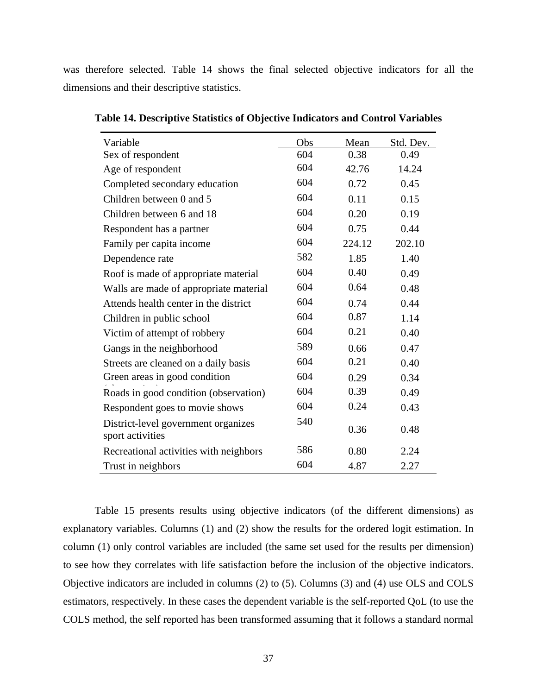was therefore selected. Table 14 shows the final selected objective indicators for all the dimensions and their descriptive statistics.

| Variable                                                | Obs | Mean   | Std. Dev. |
|---------------------------------------------------------|-----|--------|-----------|
| Sex of respondent                                       | 604 | 0.38   | 0.49      |
| Age of respondent                                       | 604 | 42.76  | 14.24     |
| Completed secondary education                           | 604 | 0.72   | 0.45      |
| Children between 0 and 5                                | 604 | 0.11   | 0.15      |
| Children between 6 and 18                               | 604 | 0.20   | 0.19      |
| Respondent has a partner                                | 604 | 0.75   | 0.44      |
| Family per capita income                                | 604 | 224.12 | 202.10    |
| Dependence rate                                         | 582 | 1.85   | 1.40      |
| Roof is made of appropriate material                    | 604 | 0.40   | 0.49      |
| Walls are made of appropriate material                  | 604 | 0.64   | 0.48      |
| Attends health center in the district                   | 604 | 0.74   | 0.44      |
| Children in public school                               | 604 | 0.87   | 1.14      |
| Victim of attempt of robbery                            | 604 | 0.21   | 0.40      |
| Gangs in the neighborhood                               | 589 | 0.66   | 0.47      |
| Streets are cleaned on a daily basis                    | 604 | 0.21   | 0.40      |
| Green areas in good condition                           | 604 | 0.29   | 0.34      |
| Roads in good condition (observation)                   | 604 | 0.39   | 0.49      |
| Respondent goes to movie shows                          | 604 | 0.24   | 0.43      |
| District-level government organizes<br>sport activities | 540 | 0.36   | 0.48      |
| Recreational activities with neighbors                  | 586 | 0.80   | 2.24      |
| Trust in neighbors                                      | 604 | 4.87   | 2.27      |

**Table 14. Descriptive Statistics of Objective Indicators and Control Variables** 

Table 15 presents results using objective indicators (of the different dimensions) as explanatory variables. Columns (1) and (2) show the results for the ordered logit estimation. In column (1) only control variables are included (the same set used for the results per dimension) to see how they correlates with life satisfaction before the inclusion of the objective indicators. Objective indicators are included in columns (2) to (5). Columns (3) and (4) use OLS and COLS estimators, respectively. In these cases the dependent variable is the self-reported QoL (to use the COLS method, the self reported has been transformed assuming that it follows a standard normal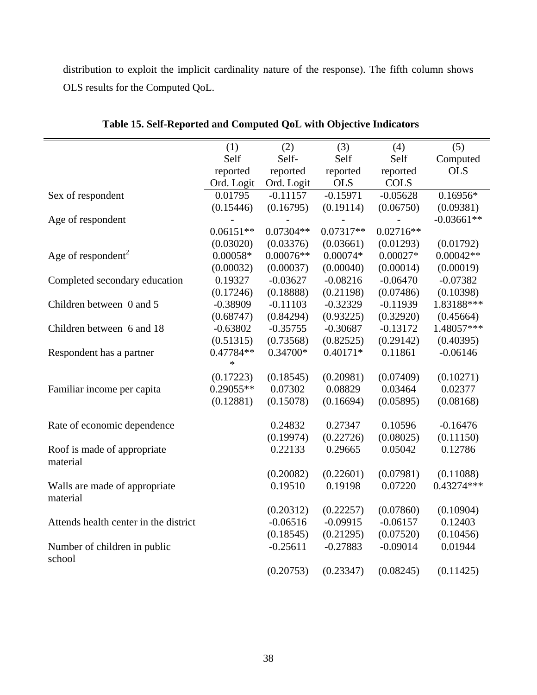distribution to exploit the implicit cardinality nature of the response). The fifth column shows OLS results for the Computed QoL.

|                                       | (1)         | (2)         | (3)        | (4)         | (5)          |
|---------------------------------------|-------------|-------------|------------|-------------|--------------|
|                                       | Self        | Self-       | Self       | Self        | Computed     |
|                                       | reported    | reported    | reported   | reported    | <b>OLS</b>   |
|                                       | Ord. Logit  | Ord. Logit  | <b>OLS</b> | <b>COLS</b> |              |
| Sex of respondent                     | 0.01795     | $-0.11157$  | $-0.15971$ | $-0.05628$  | $0.16956*$   |
|                                       | (0.15446)   | (0.16795)   | (0.19114)  | (0.06750)   | (0.09381)    |
| Age of respondent                     |             |             |            |             | $-0.03661**$ |
|                                       | $0.06151**$ | $0.07304**$ | 0.07317**  | $0.02716**$ |              |
|                                       | (0.03020)   | (0.03376)   | (0.03661)  | (0.01293)   | (0.01792)    |
| Age of respondent <sup>2</sup>        | $0.00058*$  | $0.00076**$ | $0.00074*$ | $0.00027*$  | $0.00042**$  |
|                                       | (0.00032)   | (0.00037)   | (0.00040)  | (0.00014)   | (0.00019)    |
| Completed secondary education         | 0.19327     | $-0.03627$  | $-0.08216$ | $-0.06470$  | $-0.07382$   |
|                                       | (0.17246)   | (0.18888)   | (0.21198)  | (0.07486)   | (0.10398)    |
| Children between 0 and 5              | $-0.38909$  | $-0.11103$  | $-0.32329$ | $-0.11939$  | 1.83188***   |
|                                       | (0.68747)   | (0.84294)   | (0.93225)  | (0.32920)   | (0.45664)    |
| Children between 6 and 18             | $-0.63802$  | $-0.35755$  | $-0.30687$ | $-0.13172$  | 1.48057***   |
|                                       | (0.51315)   | (0.73568)   | (0.82525)  | (0.29142)   | (0.40395)    |
| Respondent has a partner              | 0.47784**   | $0.34700*$  | $0.40171*$ | 0.11861     | $-0.06146$   |
|                                       | $\ast$      |             |            |             |              |
|                                       | (0.17223)   | (0.18545)   | (0.20981)  | (0.07409)   | (0.10271)    |
| Familiar income per capita            | 0.29055**   | 0.07302     | 0.08829    | 0.03464     | 0.02377      |
|                                       | (0.12881)   | (0.15078)   | (0.16694)  | (0.05895)   | (0.08168)    |
| Rate of economic dependence           |             | 0.24832     | 0.27347    | 0.10596     | $-0.16476$   |
|                                       |             | (0.19974)   | (0.22726)  | (0.08025)   | (0.11150)    |
| Roof is made of appropriate           |             | 0.22133     | 0.29665    | 0.05042     | 0.12786      |
| material                              |             |             |            |             |              |
|                                       |             | (0.20082)   | (0.22601)  | (0.07981)   | (0.11088)    |
| Walls are made of appropriate         |             | 0.19510     | 0.19198    | 0.07220     | $0.43274***$ |
| material                              |             |             |            |             |              |
|                                       |             | (0.20312)   | (0.22257)  | (0.07860)   | (0.10904)    |
| Attends health center in the district |             | $-0.06516$  | $-0.09915$ | $-0.06157$  | 0.12403      |
|                                       |             | (0.18545)   | (0.21295)  | (0.07520)   | (0.10456)    |
| Number of children in public          |             | $-0.25611$  | $-0.27883$ | $-0.09014$  | 0.01944      |
| school                                |             | (0.20753)   | (0.23347)  | (0.08245)   | (0.11425)    |
|                                       |             |             |            |             |              |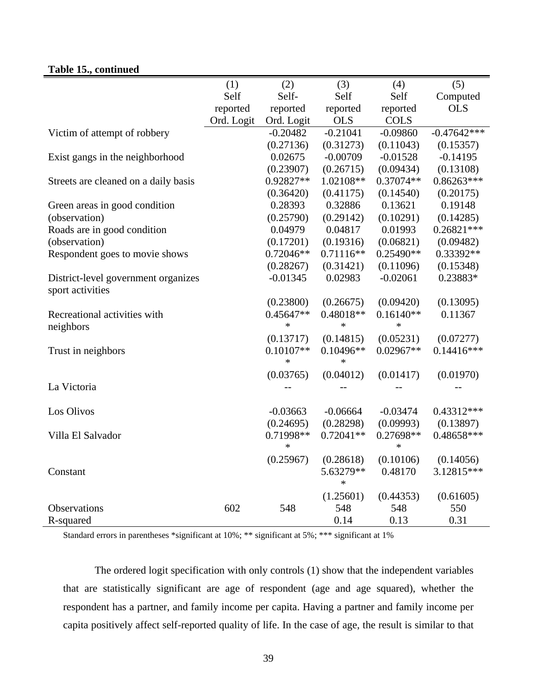# **Table 15., continued**

|                                      | (1)        | (2)         | (3)         | (4)         | (5)           |
|--------------------------------------|------------|-------------|-------------|-------------|---------------|
|                                      | Self       | Self-       | Self        | Self        | Computed      |
|                                      | reported   | reported    | reported    | reported    | <b>OLS</b>    |
|                                      | Ord. Logit | Ord. Logit  | <b>OLS</b>  | <b>COLS</b> |               |
| Victim of attempt of robbery         |            | $-0.20482$  | $-0.21041$  | $-0.09860$  | $-0.47642***$ |
|                                      |            | (0.27136)   | (0.31273)   | (0.11043)   | (0.15357)     |
| Exist gangs in the neighborhood      |            | 0.02675     | $-0.00709$  | $-0.01528$  | $-0.14195$    |
|                                      |            | (0.23907)   | (0.26715)   | (0.09434)   | (0.13108)     |
| Streets are cleaned on a daily basis |            | 0.92827**   | 1.02108**   | 0.37074**   | 0.86263***    |
|                                      |            | (0.36420)   | (0.41175)   | (0.14540)   | (0.20175)     |
| Green areas in good condition        |            | 0.28393     | 0.32886     | 0.13621     | 0.19148       |
| (observation)                        |            | (0.25790)   | (0.29142)   | (0.10291)   | (0.14285)     |
| Roads are in good condition          |            | 0.04979     | 0.04817     | 0.01993     | $0.26821***$  |
| (observation)                        |            | (0.17201)   | (0.19316)   | (0.06821)   | (0.09482)     |
| Respondent goes to movie shows       |            | $0.72046**$ | $0.71116**$ | 0.25490**   | 0.33392**     |
|                                      |            | (0.28267)   | (0.31421)   | (0.11096)   | (0.15348)     |
| District-level government organizes  |            | $-0.01345$  | 0.02983     | $-0.02061$  | 0.23883*      |
| sport activities                     |            |             |             |             |               |
|                                      |            | (0.23800)   | (0.26675)   | (0.09420)   | (0.13095)     |
| Recreational activities with         |            | 0.45647**   | 0.48018**   | $0.16140**$ | 0.11367       |
| neighbors                            |            | $\ast$      | $\ast$      | $\ast$      |               |
|                                      |            | (0.13717)   | (0.14815)   | (0.05231)   | (0.07277)     |
| Trust in neighbors                   |            | $0.10107**$ | $0.10496**$ | $0.02967**$ | $0.14416***$  |
|                                      |            | $\ast$      | $\ast$      |             |               |
|                                      |            | (0.03765)   | (0.04012)   | (0.01417)   | (0.01970)     |
| La Victoria                          |            |             |             |             |               |
|                                      |            |             |             |             |               |
| Los Olivos                           |            | $-0.03663$  | $-0.06664$  | $-0.03474$  | 0.43312***    |
|                                      |            | (0.24695)   | (0.28298)   | (0.09993)   | (0.13897)     |
| Villa El Salvador                    |            | 0.71998**   | $0.72041**$ | 0.27698**   | 0.48658***    |
|                                      |            | $\ast$      |             | $\ast$      |               |
|                                      |            | (0.25967)   | (0.28618)   | (0.10106)   | (0.14056)     |
| Constant                             |            |             | 5.63279**   | 0.48170     | 3.12815***    |
|                                      |            |             | $\ast$      |             |               |
|                                      |            |             | (1.25601)   | (0.44353)   | (0.61605)     |
| Observations                         | 602        | 548         | 548         | 548         | 550           |
| R-squared                            |            |             | 0.14        | 0.13        | 0.31          |

Standard errors in parentheses \*significant at 10%; \*\* significant at 5%; \*\*\* significant at 1%

The ordered logit specification with only controls (1) show that the independent variables that are statistically significant are age of respondent (age and age squared), whether the respondent has a partner, and family income per capita. Having a partner and family income per capita positively affect self-reported quality of life. In the case of age, the result is similar to that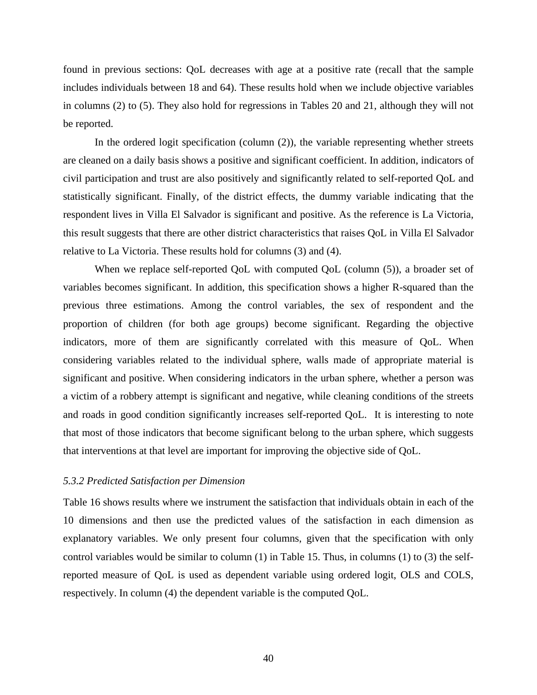found in previous sections: QoL decreases with age at a positive rate (recall that the sample includes individuals between 18 and 64). These results hold when we include objective variables in columns (2) to (5). They also hold for regressions in Tables 20 and 21, although they will not be reported.

In the ordered logit specification (column (2)), the variable representing whether streets are cleaned on a daily basis shows a positive and significant coefficient. In addition, indicators of civil participation and trust are also positively and significantly related to self-reported QoL and statistically significant. Finally, of the district effects, the dummy variable indicating that the respondent lives in Villa El Salvador is significant and positive. As the reference is La Victoria, this result suggests that there are other district characteristics that raises QoL in Villa El Salvador relative to La Victoria. These results hold for columns (3) and (4).

When we replace self-reported QoL with computed QoL (column (5)), a broader set of variables becomes significant. In addition, this specification shows a higher R-squared than the previous three estimations. Among the control variables, the sex of respondent and the proportion of children (for both age groups) become significant. Regarding the objective indicators, more of them are significantly correlated with this measure of QoL. When considering variables related to the individual sphere, walls made of appropriate material is significant and positive. When considering indicators in the urban sphere, whether a person was a victim of a robbery attempt is significant and negative, while cleaning conditions of the streets and roads in good condition significantly increases self-reported QoL. It is interesting to note that most of those indicators that become significant belong to the urban sphere, which suggests that interventions at that level are important for improving the objective side of QoL.

#### *5.3.2 Predicted Satisfaction per Dimension*

Table 16 shows results where we instrument the satisfaction that individuals obtain in each of the 10 dimensions and then use the predicted values of the satisfaction in each dimension as explanatory variables. We only present four columns, given that the specification with only control variables would be similar to column (1) in Table 15. Thus, in columns (1) to (3) the selfreported measure of QoL is used as dependent variable using ordered logit, OLS and COLS, respectively. In column (4) the dependent variable is the computed QoL.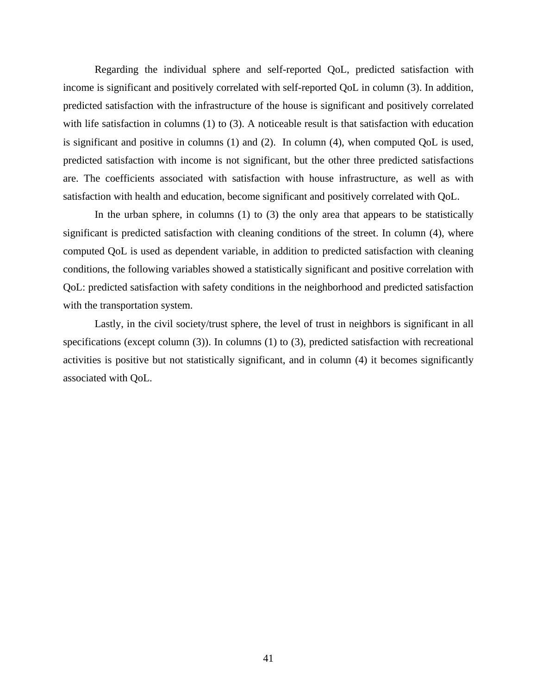Regarding the individual sphere and self-reported QoL, predicted satisfaction with income is significant and positively correlated with self-reported QoL in column (3). In addition, predicted satisfaction with the infrastructure of the house is significant and positively correlated with life satisfaction in columns (1) to (3). A noticeable result is that satisfaction with education is significant and positive in columns (1) and (2). In column (4), when computed QoL is used, predicted satisfaction with income is not significant, but the other three predicted satisfactions are. The coefficients associated with satisfaction with house infrastructure, as well as with satisfaction with health and education, become significant and positively correlated with QoL.

In the urban sphere, in columns (1) to (3) the only area that appears to be statistically significant is predicted satisfaction with cleaning conditions of the street. In column (4), where computed QoL is used as dependent variable, in addition to predicted satisfaction with cleaning conditions, the following variables showed a statistically significant and positive correlation with QoL: predicted satisfaction with safety conditions in the neighborhood and predicted satisfaction with the transportation system.

Lastly, in the civil society/trust sphere, the level of trust in neighbors is significant in all specifications (except column (3)). In columns (1) to (3), predicted satisfaction with recreational activities is positive but not statistically significant, and in column (4) it becomes significantly associated with QoL.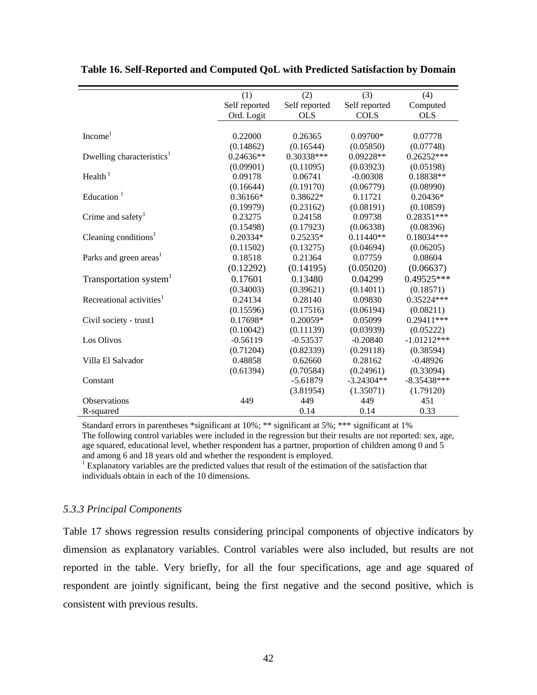|                                       | (1)           | (2)           | (3)           | (4)           |
|---------------------------------------|---------------|---------------|---------------|---------------|
|                                       | Self reported | Self reported | Self reported | Computed      |
|                                       | Ord. Logit    | <b>OLS</b>    | <b>COLS</b>   | <b>OLS</b>    |
|                                       |               |               |               |               |
| Income <sup>1</sup>                   | 0.22000       | 0.26365       | $0.09700*$    | 0.07778       |
|                                       | (0.14862)     | (0.16544)     | (0.05850)     | (0.07748)     |
| Dwelling characteristics <sup>1</sup> | $0.24636**$   | 0.30338***    | 0.09228**     | $0.26252***$  |
|                                       | (0.09901)     | (0.11095)     | (0.03923)     | (0.05198)     |
| Health $1$                            | 0.09178       | 0.06741       | $-0.00308$    | 0.18838**     |
|                                       | (0.16644)     | (0.19170)     | (0.06779)     | (0.08990)     |
| Education $1$                         | $0.36166*$    | 0.38622*      | 0.11721       | $0.20436*$    |
|                                       | (0.19979)     | (0.23162)     | (0.08191)     | (0.10859)     |
| Crime and safety <sup>1</sup>         | 0.23275       | 0.24158       | 0.09738       | $0.28351***$  |
|                                       | (0.15498)     | (0.17923)     | (0.06338)     | (0.08396)     |
| Cleaning conditions <sup>1</sup>      | $0.20334*$    | $0.25235*$    | $0.11440**$   | $0.18034***$  |
|                                       | (0.11502)     | (0.13275)     | (0.04694)     | (0.06205)     |
| Parks and green areas <sup>1</sup>    | 0.18518       | 0.21364       | 0.07759       | 0.08604       |
|                                       | (0.12292)     | (0.14195)     | (0.05020)     | (0.06637)     |
| Transportation system <sup>1</sup>    | 0.17601       | 0.13480       | 0.04299       | 0.49525***    |
|                                       | (0.34003)     | (0.39621)     | (0.14011)     | (0.18571)     |
| Recreational activities <sup>1</sup>  | 0.24134       | 0.28140       | 0.09830       | 0.35224***    |
|                                       | (0.15596)     | (0.17516)     | (0.06194)     | (0.08211)     |
| Civil society - trust1                | 0.17698*      | 0.20059*      | 0.05099       | $0.29411***$  |
|                                       | (0.10042)     | (0.11139)     | (0.03939)     | (0.05222)     |
| Los Olivos                            | $-0.56119$    | $-0.53537$    | $-0.20840$    | $-1.01212***$ |
|                                       | (0.71204)     | (0.82339)     | (0.29118)     | (0.38594)     |
| Villa El Salvador                     | 0.48858       | 0.62660       | 0.28162       | $-0.48926$    |
|                                       | (0.61394)     | (0.70584)     | (0.24961)     | (0.33094)     |
| Constant                              |               | $-5.61879$    | $-3.24304**$  | $-8.35438***$ |
|                                       |               | (3.81954)     | (1.35071)     | (1.79120)     |
| <b>Observations</b>                   | 449           | 449           | 449           | 451           |
| R-squared                             |               | 0.14          | 0.14          | 0.33          |

|  |  | Table 16. Self-Reported and Computed QoL with Predicted Satisfaction by Domain |
|--|--|--------------------------------------------------------------------------------|
|  |  |                                                                                |

Standard errors in parentheses \*significant at 10%; \*\* significant at 5%; \*\*\* significant at 1% The following control variables were included in the regression but their results are not reported: sex, age, age squared, educational level, whether respondent has a partner, proportion of children among 0 and 5 and among 6 and 18 years old and whether the respondent is employed.

<sup>1</sup> Explanatory variables are the predicted values that result of the estimation of the satisfaction that individuals obtain in each of the 10 dimensions.

#### *5.3.3 Principal Components*

Table 17 shows regression results considering principal components of objective indicators by dimension as explanatory variables. Control variables were also included, but results are not reported in the table. Very briefly, for all the four specifications, age and age squared of respondent are jointly significant, being the first negative and the second positive, which is consistent with previous results.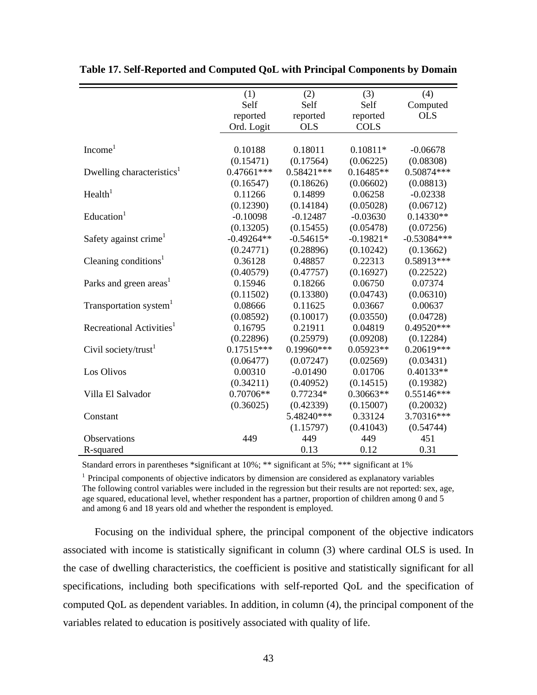|                                       | (1)          | (2)          | (3)         | (4)           |
|---------------------------------------|--------------|--------------|-------------|---------------|
|                                       | Self         | Self         | Self        | Computed      |
|                                       | reported     | reported     | reported    | <b>OLS</b>    |
|                                       | Ord. Logit   | <b>OLS</b>   | <b>COLS</b> |               |
|                                       |              |              |             |               |
| Income <sup>1</sup>                   | 0.10188      | 0.18011      | $0.10811*$  | $-0.06678$    |
|                                       | (0.15471)    | (0.17564)    | (0.06225)   | (0.08308)     |
| Dwelling characteristics <sup>1</sup> | $0.47661***$ | $0.58421***$ | $0.16485**$ | 0.50874***    |
|                                       | (0.16547)    | (0.18626)    | (0.06602)   | (0.08813)     |
| Health <sup>1</sup>                   | 0.11266      | 0.14899      | 0.06258     | $-0.02338$    |
|                                       | (0.12390)    | (0.14184)    | (0.05028)   | (0.06712)     |
| Education <sup>1</sup>                | $-0.10098$   | $-0.12487$   | $-0.03630$  | $0.14330**$   |
|                                       | (0.13205)    | (0.15455)    | (0.05478)   | (0.07256)     |
| Safety against crime <sup>1</sup>     | $-0.49264**$ | $-0.54615*$  | $-0.19821*$ | $-0.53084***$ |
|                                       | (0.24771)    | (0.28896)    | (0.10242)   | (0.13662)     |
| Cleaning conditions <sup>1</sup>      | 0.36128      | 0.48857      | 0.22313     | 0.58913***    |
|                                       | (0.40579)    | (0.47757)    | (0.16927)   | (0.22522)     |
| Parks and green areas <sup>1</sup>    | 0.15946      | 0.18266      | 0.06750     | 0.07374       |
|                                       | (0.11502)    | (0.13380)    | (0.04743)   | (0.06310)     |
| Transportation system <sup>1</sup>    | 0.08666      | 0.11625      | 0.03667     | 0.00637       |
|                                       | (0.08592)    | (0.10017)    | (0.03550)   | (0.04728)     |
| Recreational Activities <sup>1</sup>  | 0.16795      | 0.21911      | 0.04819     | 0.49520***    |
|                                       | (0.22896)    | (0.25979)    | (0.09208)   | (0.12284)     |
| Civil society/trust <sup>1</sup>      | $0.17515***$ | $0.19960***$ | 0.05923**   | 0.20619***    |
|                                       | (0.06477)    | (0.07247)    | (0.02569)   | (0.03431)     |
| Los Olivos                            | 0.00310      | $-0.01490$   | 0.01706     | $0.40133**$   |
|                                       | (0.34211)    | (0.40952)    | (0.14515)   | (0.19382)     |
| Villa El Salvador                     | 0.70706**    | $0.77234*$   | $0.30663**$ | $0.55146***$  |
|                                       | (0.36025)    | (0.42339)    | (0.15007)   | (0.20032)     |
| Constant                              |              | 5.48240***   | 0.33124     | 3.70316***    |
|                                       |              | (1.15797)    | (0.41043)   | (0.54744)     |
| <b>Observations</b>                   | 449          | 449          | 449         | 451           |
| R-squared                             |              | 0.13         | 0.12        | 0.31          |

**Table 17. Self-Reported and Computed QoL with Principal Components by Domain** 

Standard errors in parentheses \*significant at 10%; \*\* significant at 5%; \*\*\* significant at 1%

<sup>1</sup> Principal components of objective indicators by dimension are considered as explanatory variables The following control variables were included in the regression but their results are not reported: sex, age, age squared, educational level, whether respondent has a partner, proportion of children among 0 and 5 and among 6 and 18 years old and whether the respondent is employed.

Focusing on the individual sphere, the principal component of the objective indicators associated with income is statistically significant in column (3) where cardinal OLS is used. In the case of dwelling characteristics, the coefficient is positive and statistically significant for all specifications, including both specifications with self-reported QoL and the specification of computed QoL as dependent variables. In addition, in column (4), the principal component of the variables related to education is positively associated with quality of life.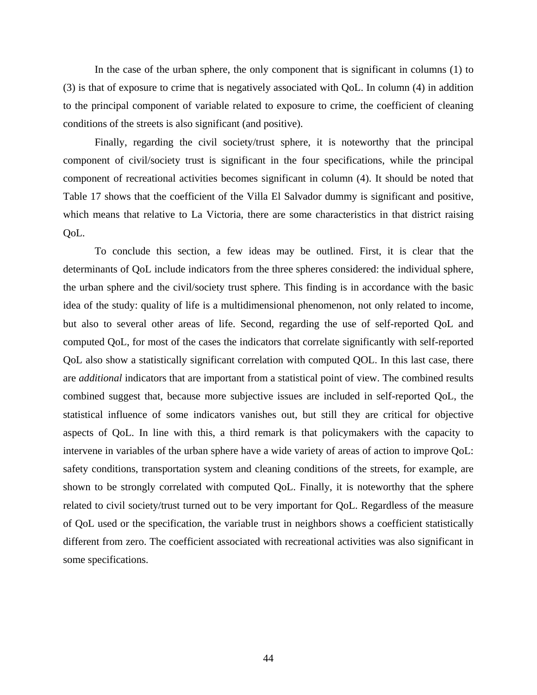In the case of the urban sphere, the only component that is significant in columns (1) to (3) is that of exposure to crime that is negatively associated with QoL. In column (4) in addition to the principal component of variable related to exposure to crime, the coefficient of cleaning conditions of the streets is also significant (and positive).

Finally, regarding the civil society/trust sphere, it is noteworthy that the principal component of civil/society trust is significant in the four specifications, while the principal component of recreational activities becomes significant in column (4). It should be noted that Table 17 shows that the coefficient of the Villa El Salvador dummy is significant and positive, which means that relative to La Victoria, there are some characteristics in that district raising QoL.

To conclude this section, a few ideas may be outlined. First, it is clear that the determinants of QoL include indicators from the three spheres considered: the individual sphere, the urban sphere and the civil/society trust sphere. This finding is in accordance with the basic idea of the study: quality of life is a multidimensional phenomenon, not only related to income, but also to several other areas of life. Second, regarding the use of self-reported QoL and computed QoL, for most of the cases the indicators that correlate significantly with self-reported QoL also show a statistically significant correlation with computed QOL. In this last case, there are *additional* indicators that are important from a statistical point of view. The combined results combined suggest that, because more subjective issues are included in self-reported QoL, the statistical influence of some indicators vanishes out, but still they are critical for objective aspects of QoL. In line with this, a third remark is that policymakers with the capacity to intervene in variables of the urban sphere have a wide variety of areas of action to improve QoL: safety conditions, transportation system and cleaning conditions of the streets, for example, are shown to be strongly correlated with computed QoL. Finally, it is noteworthy that the sphere related to civil society/trust turned out to be very important for QoL. Regardless of the measure of QoL used or the specification, the variable trust in neighbors shows a coefficient statistically different from zero. The coefficient associated with recreational activities was also significant in some specifications.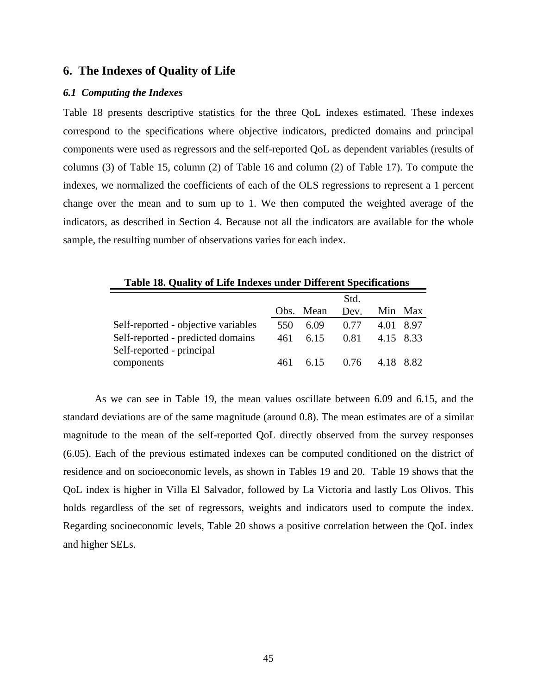### **6. The Indexes of Quality of Life**

#### *6.1 Computing the Indexes*

Table 18 presents descriptive statistics for the three QoL indexes estimated. These indexes correspond to the specifications where objective indicators, predicted domains and principal components were used as regressors and the self-reported QoL as dependent variables (results of columns (3) of Table 15, column (2) of Table 16 and column (2) of Table 17). To compute the indexes, we normalized the coefficients of each of the OLS regressions to represent a 1 percent change over the mean and to sum up to 1. We then computed the weighted average of the indicators, as described in Section 4. Because not all the indicators are available for the whole sample, the resulting number of observations varies for each index.

| <b>Table 18. Quality of Life Indexes under Different Specifications</b> |      |           |                  |           |           |  |
|-------------------------------------------------------------------------|------|-----------|------------------|-----------|-----------|--|
|                                                                         |      |           | Std.             |           |           |  |
|                                                                         |      | Obs. Mean | Dev.             |           | Min Max   |  |
| Self-reported - objective variables                                     | 550  | 6.09      | 0.77             |           | 4.01 8.97 |  |
| Self-reported - predicted domains<br>Self-reported - principal          | 461  | 6.15      | 0.81             | 4.15 8.33 |           |  |
| components                                                              | 461. |           | $6.15\qquad0.76$ | 4.18 8.82 |           |  |

As we can see in Table 19, the mean values oscillate between 6.09 and 6.15, and the standard deviations are of the same magnitude (around 0.8). The mean estimates are of a similar magnitude to the mean of the self-reported QoL directly observed from the survey responses (6.05). Each of the previous estimated indexes can be computed conditioned on the district of residence and on socioeconomic levels, as shown in Tables 19 and 20. Table 19 shows that the QoL index is higher in Villa El Salvador, followed by La Victoria and lastly Los Olivos. This holds regardless of the set of regressors, weights and indicators used to compute the index. Regarding socioeconomic levels, Table 20 shows a positive correlation between the QoL index and higher SELs.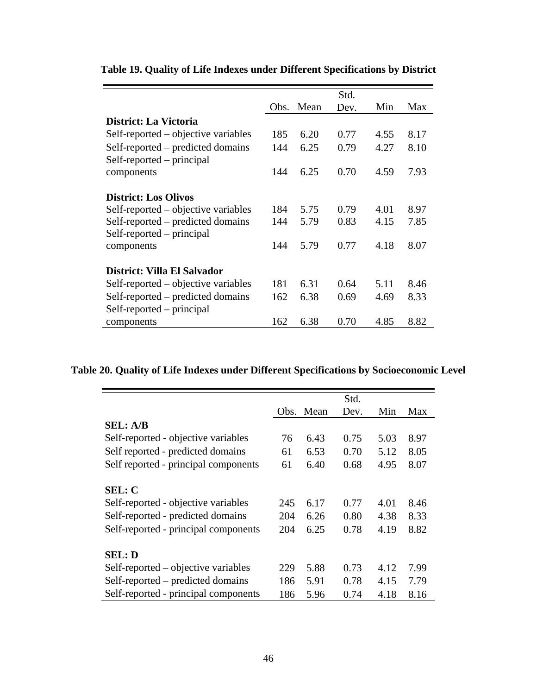|                                     |      |      | Std. |      |      |
|-------------------------------------|------|------|------|------|------|
|                                     | Obs. | Mean | Dev. | Min  | Max  |
| District: La Victoria               |      |      |      |      |      |
| Self-reported – objective variables | 185  | 6.20 | 0.77 | 4.55 | 8.17 |
| Self-reported – predicted domains   | 144  | 6.25 | 0.79 | 4.27 | 8.10 |
| Self-reported – principal           |      |      |      |      |      |
| components                          | 144  | 6.25 | 0.70 | 4.59 | 7.93 |
|                                     |      |      |      |      |      |
| <b>District: Los Olivos</b>         |      |      |      |      |      |
| Self-reported – objective variables | 184  | 5.75 | 0.79 | 4.01 | 8.97 |
| Self-reported – predicted domains   | 144  | 5.79 | 0.83 | 4.15 | 7.85 |
| Self-reported – principal           |      |      |      |      |      |
| components                          | 144  | 5.79 | 0.77 | 4.18 | 8.07 |
|                                     |      |      |      |      |      |
| District: Villa El Salvador         |      |      |      |      |      |
| Self-reported – objective variables | 181  | 6.31 | 0.64 | 5.11 | 8.46 |
| Self-reported – predicted domains   | 162  | 6.38 | 0.69 | 4.69 | 8.33 |
| Self-reported – principal           |      |      |      |      |      |
| components                          | 162  | 6.38 | 0.70 | 4.85 | 8.82 |

## **Table 19. Quality of Life Indexes under Different Specifications by District**

## **Table 20. Quality of Life Indexes under Different Specifications by Socioeconomic Level**

|                                      |     |           | Std. |      |      |
|--------------------------------------|-----|-----------|------|------|------|
|                                      |     | Obs. Mean | Dev. | Min  | Max  |
| <b>SEL: A/B</b>                      |     |           |      |      |      |
| Self-reported - objective variables  | 76  | 6.43      | 0.75 | 5.03 | 8.97 |
| Self reported - predicted domains    | 61  | 6.53      | 0.70 | 5.12 | 8.05 |
| Self reported - principal components | 61  | 6.40      | 0.68 | 4.95 | 8.07 |
| <b>SEL: C</b>                        |     |           |      |      |      |
| Self-reported - objective variables  | 245 | 6.17      | 0.77 | 4.01 | 8.46 |
| Self-reported - predicted domains    | 204 | 6.26      | 0.80 | 4.38 | 8.33 |
| Self-reported - principal components | 204 | 6.25      | 0.78 | 4.19 | 8.82 |
| <b>SEL: D</b>                        |     |           |      |      |      |
| Self-reported – objective variables  | 229 | 5.88      | 0.73 | 4.12 | 7.99 |
| Self-reported – predicted domains    | 186 | 5.91      | 0.78 | 4.15 | 7.79 |
| Self-reported - principal components | 186 | 5.96      | 0.74 | 4.18 | 8.16 |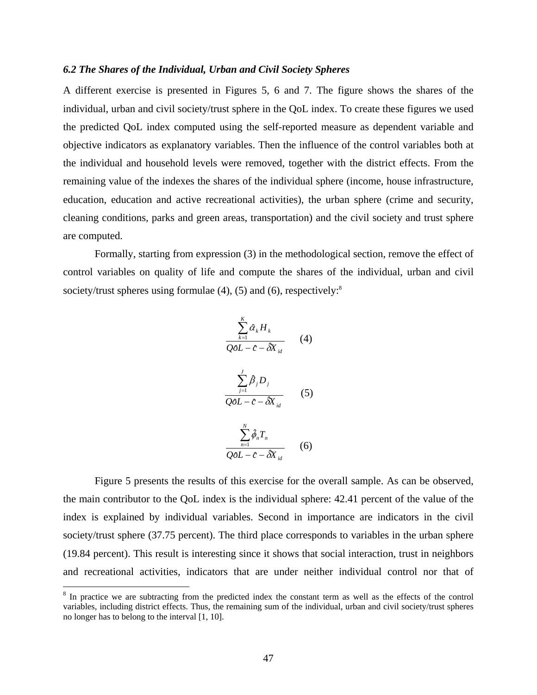#### *6.2 The Shares of the Individual, Urban and Civil Society Spheres*

A different exercise is presented in Figures 5, 6 and 7. The figure shows the shares of the individual, urban and civil society/trust sphere in the QoL index. To create these figures we used the predicted QoL index computed using the self-reported measure as dependent variable and objective indicators as explanatory variables. Then the influence of the control variables both at the individual and household levels were removed, together with the district effects. From the remaining value of the indexes the shares of the individual sphere (income, house infrastructure, education, education and active recreational activities), the urban sphere (crime and security, cleaning conditions, parks and green areas, transportation) and the civil society and trust sphere are computed.

Formally, starting from expression (3) in the methodological section, remove the effect of control variables on quality of life and compute the shares of the individual, urban and civil society/trust spheres using formulae  $(4)$ ,  $(5)$  and  $(6)$ , respectively:<sup>8</sup>

$$
\frac{\sum_{k=1}^{K} \hat{\alpha}_{k} H_{k}}{Q\hat{\theta}L - \hat{c} - \hat{\delta}X_{id}} \qquad (4)
$$
\n
$$
\frac{\sum_{j=1}^{J} \hat{\beta}_{j} D_{j}}{Q\hat{\theta}L - \hat{c} - \hat{\delta}X_{id}} \qquad (5)
$$
\n
$$
\frac{\sum_{n=1}^{N} \hat{\phi}_{n} T_{n}}{Q\hat{\theta}L - \hat{c} - \hat{\delta}X_{id}} \qquad (6)
$$

Figure 5 presents the results of this exercise for the overall sample. As can be observed, the main contributor to the QoL index is the individual sphere: 42.41 percent of the value of the index is explained by individual variables. Second in importance are indicators in the civil society/trust sphere (37.75 percent). The third place corresponds to variables in the urban sphere (19.84 percent). This result is interesting since it shows that social interaction, trust in neighbors and recreational activities, indicators that are under neither individual control nor that of

<sup>&</sup>lt;sup>8</sup> In practice we are subtracting from the predicted index the constant term as well as the effects of the control variables, including district effects. Thus, the remaining sum of the individual, urban and civil society/trust spheres no longer has to belong to the interval [1, 10].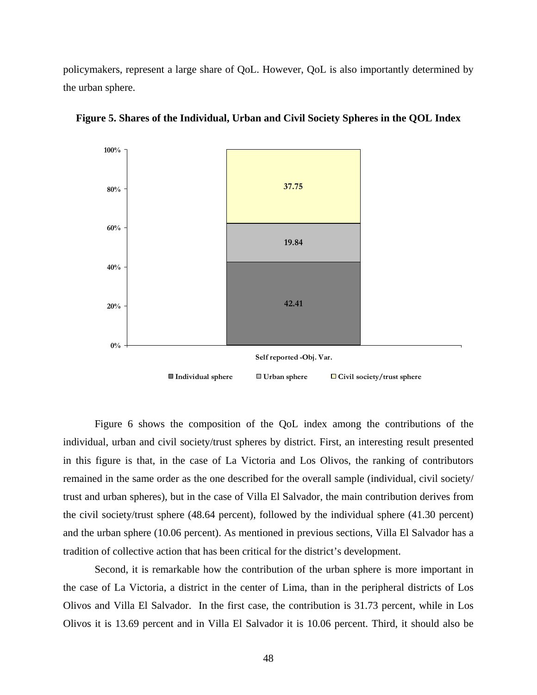policymakers, represent a large share of QoL. However, QoL is also importantly determined by the urban sphere.



**Figure 5. Shares of the Individual, Urban and Civil Society Spheres in the QOL Index** 

Figure 6 shows the composition of the QoL index among the contributions of the individual, urban and civil society/trust spheres by district. First, an interesting result presented in this figure is that, in the case of La Victoria and Los Olivos, the ranking of contributors remained in the same order as the one described for the overall sample (individual, civil society/ trust and urban spheres), but in the case of Villa El Salvador, the main contribution derives from the civil society/trust sphere (48.64 percent), followed by the individual sphere (41.30 percent) and the urban sphere (10.06 percent). As mentioned in previous sections, Villa El Salvador has a tradition of collective action that has been critical for the district's development.

Second, it is remarkable how the contribution of the urban sphere is more important in the case of La Victoria, a district in the center of Lima, than in the peripheral districts of Los Olivos and Villa El Salvador. In the first case, the contribution is 31.73 percent, while in Los Olivos it is 13.69 percent and in Villa El Salvador it is 10.06 percent. Third, it should also be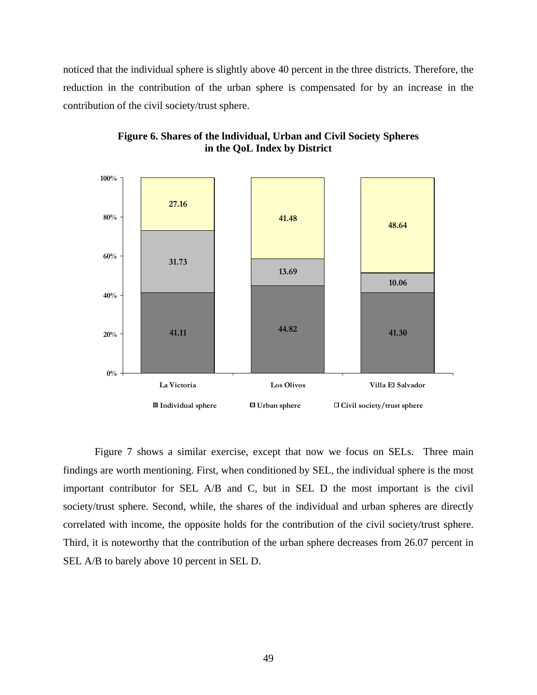noticed that the individual sphere is slightly above 40 percent in the three districts. Therefore, the reduction in the contribution of the urban sphere is compensated for by an increase in the contribution of the civil society/trust sphere.



**Figure 6. Shares of the lndividual, Urban and Civil Society Spheres in the QoL Index by District** 

Figure 7 shows a similar exercise, except that now we focus on SELs. Three main findings are worth mentioning. First, when conditioned by SEL, the individual sphere is the most important contributor for SEL A/B and C, but in SEL D the most important is the civil society/trust sphere. Second, while, the shares of the individual and urban spheres are directly correlated with income, the opposite holds for the contribution of the civil society/trust sphere. Third, it is noteworthy that the contribution of the urban sphere decreases from 26.07 percent in SEL A/B to barely above 10 percent in SEL D.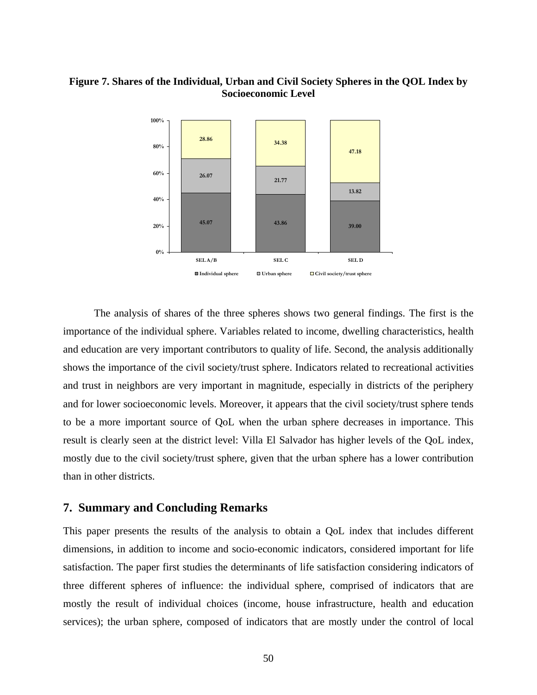## **Figure 7. Shares of the Individual, Urban and Civil Society Spheres in the QOL Index by Socioeconomic Level**



The analysis of shares of the three spheres shows two general findings. The first is the importance of the individual sphere. Variables related to income, dwelling characteristics, health and education are very important contributors to quality of life. Second, the analysis additionally shows the importance of the civil society/trust sphere. Indicators related to recreational activities and trust in neighbors are very important in magnitude, especially in districts of the periphery and for lower socioeconomic levels. Moreover, it appears that the civil society/trust sphere tends to be a more important source of QoL when the urban sphere decreases in importance. This result is clearly seen at the district level: Villa El Salvador has higher levels of the QoL index, mostly due to the civil society/trust sphere, given that the urban sphere has a lower contribution than in other districts.

## **7. Summary and Concluding Remarks**

This paper presents the results of the analysis to obtain a QoL index that includes different dimensions, in addition to income and socio-economic indicators, considered important for life satisfaction. The paper first studies the determinants of life satisfaction considering indicators of three different spheres of influence: the individual sphere, comprised of indicators that are mostly the result of individual choices (income, house infrastructure, health and education services); the urban sphere, composed of indicators that are mostly under the control of local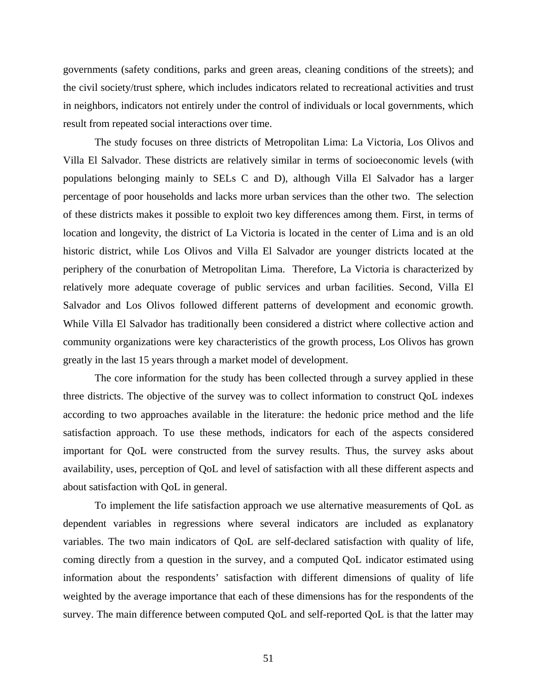governments (safety conditions, parks and green areas, cleaning conditions of the streets); and the civil society/trust sphere, which includes indicators related to recreational activities and trust in neighbors, indicators not entirely under the control of individuals or local governments, which result from repeated social interactions over time.

The study focuses on three districts of Metropolitan Lima: La Victoria, Los Olivos and Villa El Salvador. These districts are relatively similar in terms of socioeconomic levels (with populations belonging mainly to SELs C and D), although Villa El Salvador has a larger percentage of poor households and lacks more urban services than the other two. The selection of these districts makes it possible to exploit two key differences among them. First, in terms of location and longevity, the district of La Victoria is located in the center of Lima and is an old historic district, while Los Olivos and Villa El Salvador are younger districts located at the periphery of the conurbation of Metropolitan Lima. Therefore, La Victoria is characterized by relatively more adequate coverage of public services and urban facilities. Second, Villa El Salvador and Los Olivos followed different patterns of development and economic growth. While Villa El Salvador has traditionally been considered a district where collective action and community organizations were key characteristics of the growth process, Los Olivos has grown greatly in the last 15 years through a market model of development.

The core information for the study has been collected through a survey applied in these three districts. The objective of the survey was to collect information to construct QoL indexes according to two approaches available in the literature: the hedonic price method and the life satisfaction approach. To use these methods, indicators for each of the aspects considered important for QoL were constructed from the survey results. Thus, the survey asks about availability, uses, perception of QoL and level of satisfaction with all these different aspects and about satisfaction with QoL in general.

To implement the life satisfaction approach we use alternative measurements of QoL as dependent variables in regressions where several indicators are included as explanatory variables. The two main indicators of QoL are self-declared satisfaction with quality of life, coming directly from a question in the survey, and a computed QoL indicator estimated using information about the respondents' satisfaction with different dimensions of quality of life weighted by the average importance that each of these dimensions has for the respondents of the survey. The main difference between computed QoL and self-reported QoL is that the latter may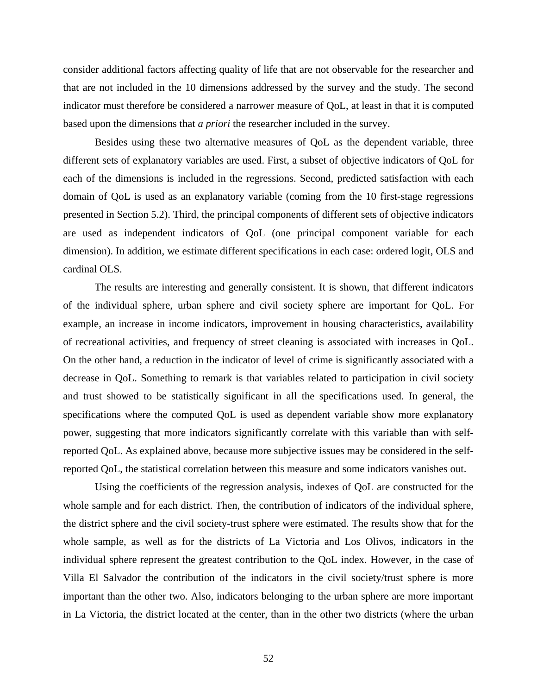consider additional factors affecting quality of life that are not observable for the researcher and that are not included in the 10 dimensions addressed by the survey and the study. The second indicator must therefore be considered a narrower measure of QoL, at least in that it is computed based upon the dimensions that *a priori* the researcher included in the survey.

Besides using these two alternative measures of QoL as the dependent variable, three different sets of explanatory variables are used. First, a subset of objective indicators of QoL for each of the dimensions is included in the regressions. Second, predicted satisfaction with each domain of QoL is used as an explanatory variable (coming from the 10 first-stage regressions presented in Section 5.2). Third, the principal components of different sets of objective indicators are used as independent indicators of QoL (one principal component variable for each dimension). In addition, we estimate different specifications in each case: ordered logit, OLS and cardinal OLS.

The results are interesting and generally consistent. It is shown, that different indicators of the individual sphere, urban sphere and civil society sphere are important for QoL. For example, an increase in income indicators, improvement in housing characteristics, availability of recreational activities, and frequency of street cleaning is associated with increases in QoL. On the other hand, a reduction in the indicator of level of crime is significantly associated with a decrease in QoL. Something to remark is that variables related to participation in civil society and trust showed to be statistically significant in all the specifications used. In general, the specifications where the computed QoL is used as dependent variable show more explanatory power, suggesting that more indicators significantly correlate with this variable than with selfreported QoL. As explained above, because more subjective issues may be considered in the selfreported QoL, the statistical correlation between this measure and some indicators vanishes out.

Using the coefficients of the regression analysis, indexes of QoL are constructed for the whole sample and for each district. Then, the contribution of indicators of the individual sphere, the district sphere and the civil society-trust sphere were estimated. The results show that for the whole sample, as well as for the districts of La Victoria and Los Olivos, indicators in the individual sphere represent the greatest contribution to the QoL index. However, in the case of Villa El Salvador the contribution of the indicators in the civil society/trust sphere is more important than the other two. Also, indicators belonging to the urban sphere are more important in La Victoria, the district located at the center, than in the other two districts (where the urban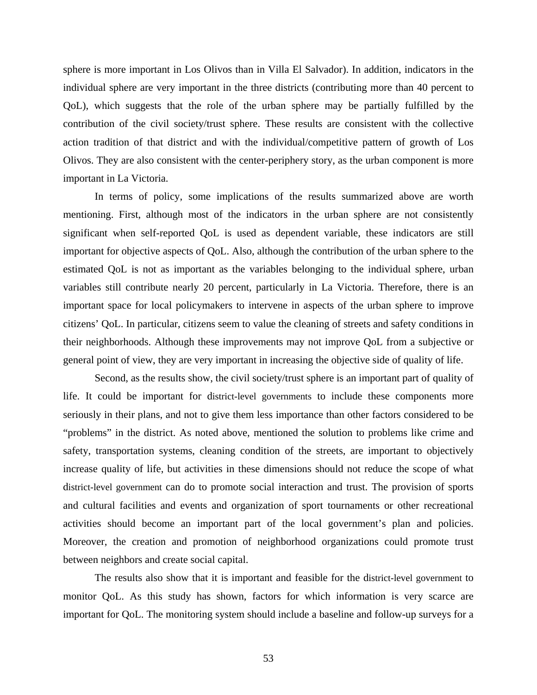sphere is more important in Los Olivos than in Villa El Salvador). In addition, indicators in the individual sphere are very important in the three districts (contributing more than 40 percent to QoL), which suggests that the role of the urban sphere may be partially fulfilled by the contribution of the civil society/trust sphere. These results are consistent with the collective action tradition of that district and with the individual/competitive pattern of growth of Los Olivos. They are also consistent with the center-periphery story, as the urban component is more important in La Victoria.

In terms of policy, some implications of the results summarized above are worth mentioning. First, although most of the indicators in the urban sphere are not consistently significant when self-reported QoL is used as dependent variable, these indicators are still important for objective aspects of QoL. Also, although the contribution of the urban sphere to the estimated QoL is not as important as the variables belonging to the individual sphere, urban variables still contribute nearly 20 percent, particularly in La Victoria. Therefore, there is an important space for local policymakers to intervene in aspects of the urban sphere to improve citizens' QoL. In particular, citizens seem to value the cleaning of streets and safety conditions in their neighborhoods. Although these improvements may not improve QoL from a subjective or general point of view, they are very important in increasing the objective side of quality of life.

Second, as the results show, the civil society/trust sphere is an important part of quality of life. It could be important for district-level governments to include these components more seriously in their plans, and not to give them less importance than other factors considered to be "problems" in the district. As noted above, mentioned the solution to problems like crime and safety, transportation systems, cleaning condition of the streets, are important to objectively increase quality of life, but activities in these dimensions should not reduce the scope of what district-level government can do to promote social interaction and trust. The provision of sports and cultural facilities and events and organization of sport tournaments or other recreational activities should become an important part of the local government's plan and policies. Moreover, the creation and promotion of neighborhood organizations could promote trust between neighbors and create social capital.

The results also show that it is important and feasible for the district-level government to monitor QoL. As this study has shown, factors for which information is very scarce are important for QoL. The monitoring system should include a baseline and follow-up surveys for a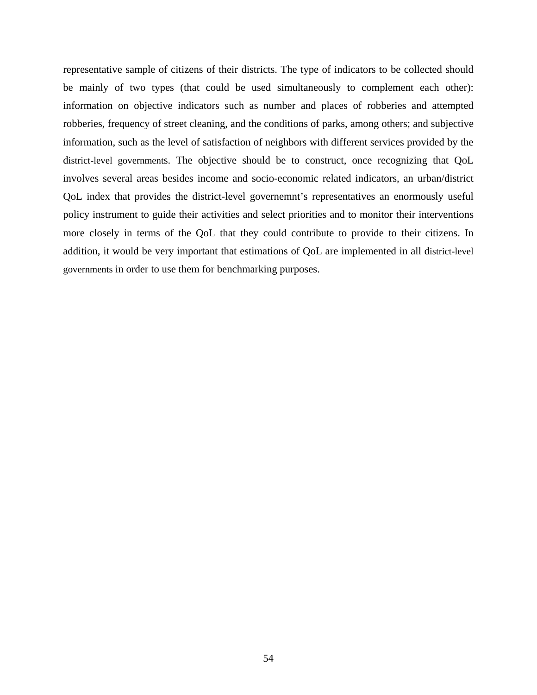representative sample of citizens of their districts. The type of indicators to be collected should be mainly of two types (that could be used simultaneously to complement each other): information on objective indicators such as number and places of robberies and attempted robberies, frequency of street cleaning, and the conditions of parks, among others; and subjective information, such as the level of satisfaction of neighbors with different services provided by the district-level governments. The objective should be to construct, once recognizing that QoL involves several areas besides income and socio-economic related indicators, an urban/district QoL index that provides the district-level governemnt's representatives an enormously useful policy instrument to guide their activities and select priorities and to monitor their interventions more closely in terms of the QoL that they could contribute to provide to their citizens. In addition, it would be very important that estimations of QoL are implemented in all district-level governments in order to use them for benchmarking purposes.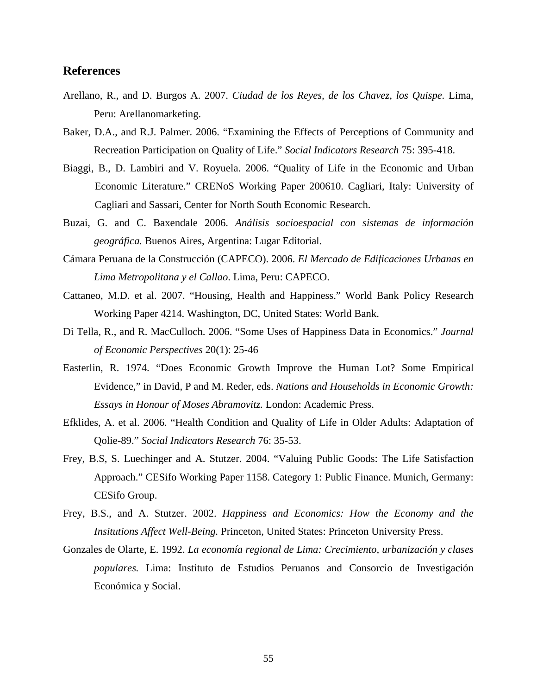### **References**

- Arellano, R., and D. Burgos A. 2007. *Ciudad de los Reyes, de los Chavez, los Quispe.* Lima, Peru: Arellanomarketing.
- Baker, D.A., and R.J. Palmer. 2006. "Examining the Effects of Perceptions of Community and Recreation Participation on Quality of Life." *Social Indicators Research* 75: 395-418.
- Biaggi, B., D. Lambiri and V. Royuela. 2006. "Quality of Life in the Economic and Urban Economic Literature." CRENoS Working Paper 200610. Cagliari, Italy: University of Cagliari and Sassari, Center for North South Economic Research.
- Buzai, G. and C. Baxendale 2006. *Análisis socioespacial con sistemas de información geográfica.* Buenos Aires, Argentina: Lugar Editorial.
- Cámara Peruana de la Construcción (CAPECO). 2006. *El Mercado de Edificaciones Urbanas en Lima Metropolitana y el Callao*. Lima, Peru: CAPECO.
- Cattaneo, M.D. et al. 2007. "Housing, Health and Happiness." World Bank Policy Research Working Paper 4214. Washington, DC, United States: World Bank.
- Di Tella, R., and R. MacCulloch. 2006. "Some Uses of Happiness Data in Economics." *Journal of Economic Perspectives* 20(1): 25-46
- Easterlin, R. 1974. "Does Economic Growth Improve the Human Lot? Some Empirical Evidence," in David, P and M. Reder, eds. *Nations and Households in Economic Growth: Essays in Honour of Moses Abramovitz.* London: Academic Press.
- Efklides, A. et al. 2006. "Health Condition and Quality of Life in Older Adults: Adaptation of Qolie-89." *Social Indicators Research* 76: 35-53.
- Frey, B.S, S. Luechinger and A. Stutzer. 2004. "Valuing Public Goods: The Life Satisfaction Approach." CESifo Working Paper 1158. Category 1: Public Finance. Munich, Germany: CESifo Group.
- Frey, B.S., and A. Stutzer. 2002. *Happiness and Economics: How the Economy and the Insitutions Affect Well-Being.* Princeton, United States: Princeton University Press.
- Gonzales de Olarte, E. 1992. *La economía regional de Lima: Crecimiento, urbanización y clases populares.* Lima: Instituto de Estudios Peruanos and Consorcio de Investigación Económica y Social.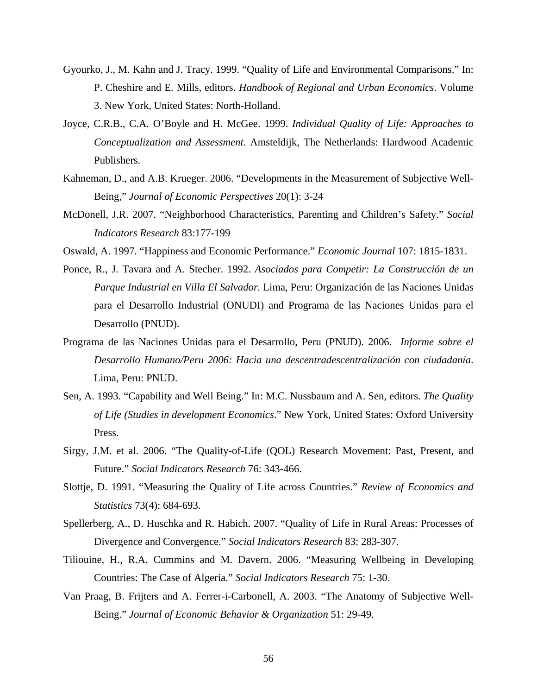- Gyourko, J., M. Kahn and J. Tracy. 1999. "Quality of Life and Environmental Comparisons." In: P. Cheshire and E. Mills, editors. *Handbook of Regional and Urban Economics*. Volume 3. New York, United States: North-Holland.
- Joyce, C.R.B., C.A. O'Boyle and H. McGee. 1999. *Individual Quality of Life: Approaches to Conceptualization and Assessment.* Amsteldijk, The Netherlands: Hardwood Academic Publishers.
- Kahneman, D., and A.B. Krueger. 2006. "Developments in the Measurement of Subjective Well-Being," *Journal of Economic Perspectives* 20(1): 3-24
- McDonell, J.R. 2007. "Neighborhood Characteristics, Parenting and Children's Safety." *Social Indicators Research* 83:177-199
- Oswald, A. 1997. "Happiness and Economic Performance." *Economic Journal* 107: 1815-1831.
- Ponce, R., J. Tavara and A. Stecher. 1992. *Asociados para Competir: La Construcción de un Parque Industrial en Villa El Salvador.* Lima, Peru: Organización de las Naciones Unidas para el Desarrollo Industrial (ONUDI) and Programa de las Naciones Unidas para el Desarrollo (PNUD).
- Programa de las Naciones Unidas para el Desarrollo, Peru (PNUD). 2006. *Informe sobre el Desarrollo Humano/Peru 2006: Hacia una descentradescentralización con ciudadanía*. Lima, Peru: PNUD.
- Sen, A. 1993. "Capability and Well Being." In: M.C. Nussbaum and A. Sen, editors. *The Quality of Life (Studies in development Economics*." New York, United States: Oxford University Press.
- Sirgy, J.M. et al. 2006. "The Quality-of-Life (QOL) Research Movement: Past, Present, and Future." *Social Indicators Research* 76: 343-466.
- Slottje, D. 1991. "Measuring the Quality of Life across Countries." *Review of Economics and Statistics* 73(4): 684-693.
- Spellerberg, A., D. Huschka and R. Habich. 2007. "Quality of Life in Rural Areas: Processes of Divergence and Convergence." *Social Indicators Research* 83: 283-307.
- Tiliouine, H., R.A. Cummins and M. Davern. 2006. "Measuring Wellbeing in Developing Countries: The Case of Algeria." *Social Indicators Research* 75: 1-30.
- Van Praag, B. Frijters and A. Ferrer-i-Carbonell, A. 2003. "The Anatomy of Subjective Well-Being." *Journal of Economic Behavior & Organization* 51: 29-49.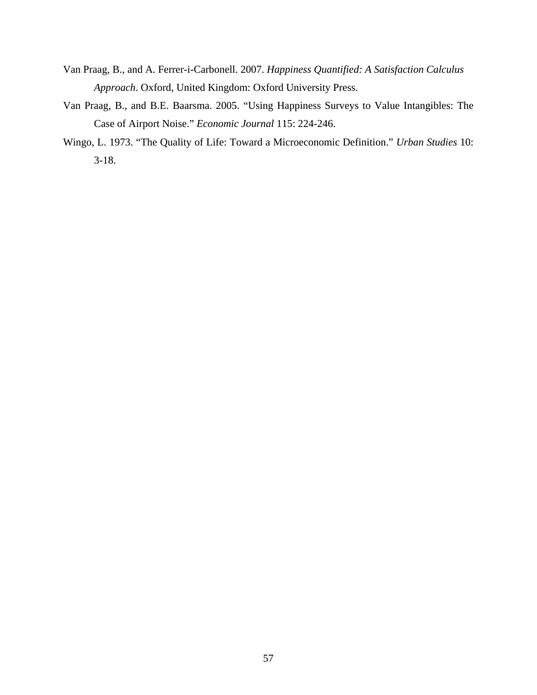- Van Praag, B., and A. Ferrer-i-Carbonell. 2007. *Happiness Quantified: A Satisfaction Calculus Approach*. Oxford, United Kingdom: Oxford University Press.
- Van Praag, B., and B.E. Baarsma. 2005. "Using Happiness Surveys to Value Intangibles: The Case of Airport Noise." *Economic Journal* 115: 224-246.
- Wingo, L. 1973. "The Quality of Life: Toward a Microeconomic Definition." *Urban Studies* 10: 3-18.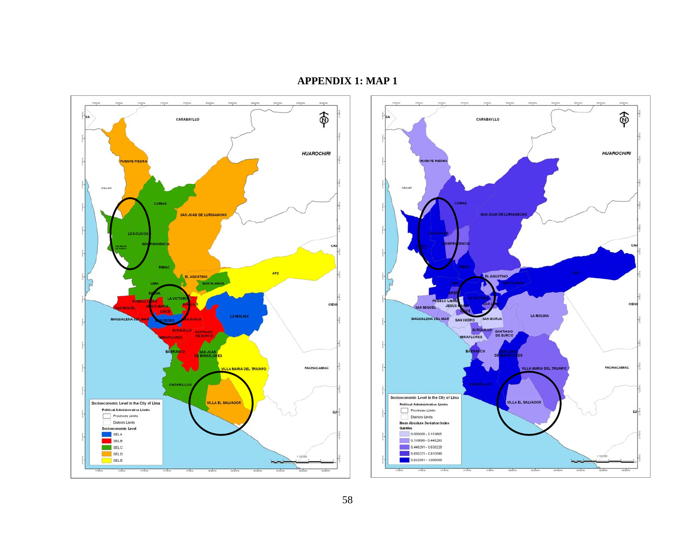

## **APPENDIX 1: MAP 1**

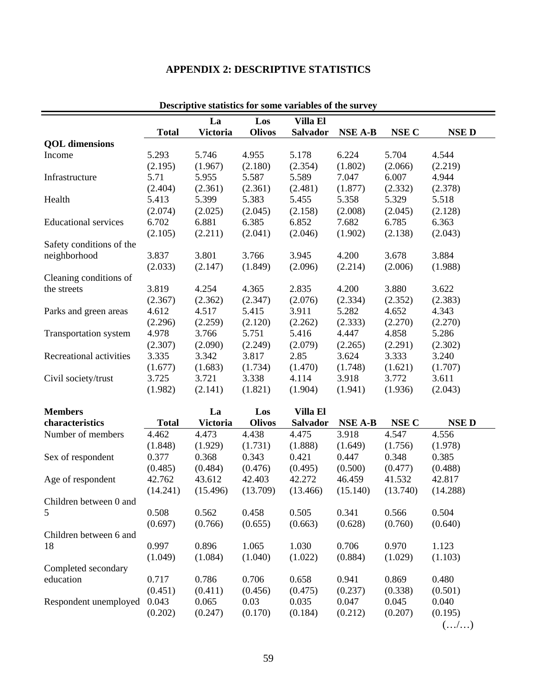| Descriptive statistics for some variables of the survey |                              |                 |               |                 |                |          |             |
|---------------------------------------------------------|------------------------------|-----------------|---------------|-----------------|----------------|----------|-------------|
|                                                         | La<br>Los<br><b>Villa El</b> |                 |               |                 |                |          |             |
|                                                         | <b>Total</b>                 | <b>Victoria</b> | <b>Olivos</b> | Salvador        | <b>NSE A-B</b> | NSE C    | <b>NSED</b> |
| <b>QOL</b> dimensions                                   |                              |                 |               |                 |                |          |             |
| Income                                                  | 5.293                        | 5.746           | 4.955         | 5.178           | 6.224          | 5.704    | 4.544       |
|                                                         | (2.195)                      | (1.967)         | (2.180)       | (2.354)         | (1.802)        | (2.066)  | (2.219)     |
| Infrastructure                                          | 5.71                         | 5.955           | 5.587         | 5.589           | 7.047          | 6.007    | 4.944       |
|                                                         | (2.404)                      | (2.361)         | (2.361)       | (2.481)         | (1.877)        | (2.332)  | (2.378)     |
| Health                                                  | 5.413                        | 5.399           | 5.383         | 5.455           | 5.358          | 5.329    | 5.518       |
|                                                         | (2.074)                      | (2.025)         | (2.045)       | (2.158)         | (2.008)        | (2.045)  | (2.128)     |
| <b>Educational services</b>                             | 6.702                        | 6.881           | 6.385         | 6.852           | 7.682          | 6.785    | 6.363       |
|                                                         | (2.105)                      | (2.211)         | (2.041)       | (2.046)         | (1.902)        | (2.138)  | (2.043)     |
| Safety conditions of the                                |                              |                 |               |                 |                |          |             |
| neighborhood                                            | 3.837                        | 3.801           | 3.766         | 3.945           | 4.200          | 3.678    | 3.884       |
|                                                         | (2.033)                      | (2.147)         | (1.849)       | (2.096)         | (2.214)        | (2.006)  | (1.988)     |
| Cleaning conditions of                                  |                              |                 |               |                 |                |          |             |
| the streets                                             | 3.819                        | 4.254           | 4.365         | 2.835           | 4.200          | 3.880    | 3.622       |
|                                                         | (2.367)                      | (2.362)         | (2.347)       | (2.076)         | (2.334)        | (2.352)  | (2.383)     |
| Parks and green areas                                   | 4.612                        | 4.517           | 5.415         | 3.911           | 5.282          | 4.652    | 4.343       |
|                                                         | (2.296)                      | (2.259)         | (2.120)       | (2.262)         | (2.333)        | (2.270)  | (2.270)     |
| Transportation system                                   | 4.978                        | 3.766           | 5.751         | 5.416           | 4.447          | 4.858    | 5.286       |
|                                                         | (2.307)                      | (2.090)         | (2.249)       | (2.079)         | (2.265)        | (2.291)  | (2.302)     |
| Recreational activities                                 | 3.335                        | 3.342           | 3.817         | 2.85            | 3.624          | 3.333    | 3.240       |
|                                                         | (1.677)                      | (1.683)         | (1.734)       | (1.470)         | (1.748)        | (1.621)  | (1.707)     |
|                                                         | 3.725                        | 3.721           | 3.338         | 4.114           | 3.918          | 3.772    | 3.611       |
| Civil society/trust                                     | (1.982)                      | (2.141)         | (1.821)       | (1.904)         | (1.941)        | (1.936)  | (2.043)     |
|                                                         |                              |                 |               |                 |                |          |             |
| <b>Members</b>                                          |                              | La              | Los           | <b>Villa El</b> |                |          |             |
| characteristics                                         | <b>Total</b>                 | <b>Victoria</b> | <b>Olivos</b> | Salvador        | <b>NSE A-B</b> | NSE C    | <b>NSED</b> |
| Number of members                                       | 4.462                        | 4.473           | 4.438         | 4.475           | 3.918          | 4.547    | 4.556       |
|                                                         | (1.848)                      | (1.929)         | (1.731)       | (1.888)         | (1.649)        | (1.756)  | (1.978)     |
| Sex of respondent                                       | 0.377                        | 0.368           | 0.343         | 0.421           | 0.447          | 0.348    | 0.385       |
|                                                         | (0.485)                      | (0.484)         | (0.476)       | (0.495)         | (0.500)        | (0.477)  | (0.488)     |
| Age of respondent                                       | 42.762                       | 43.612          | 42.403        | 42.272          | 46.459         | 41.532   | 42.817      |
|                                                         |                              |                 |               |                 |                | (13.740) | (14.288)    |
|                                                         | (14.241)                     | (15.496)        | (13.709)      | (13.466)        | (15.140)       |          |             |
| Children between 0 and                                  |                              |                 |               |                 |                |          |             |
| 5                                                       | 0.508                        | 0.562           | 0.458         | 0.505           | 0.341          | 0.566    | 0.504       |
|                                                         | (0.697)                      | (0.766)         | (0.655)       | (0.663)         | (0.628)        | (0.760)  | (0.640)     |
| Children between 6 and                                  |                              |                 |               |                 |                |          |             |
| 18                                                      | 0.997                        | 0.896           | 1.065         | 1.030           | 0.706          | 0.970    | 1.123       |
|                                                         | (1.049)                      | (1.084)         | (1.040)       | (1.022)         | (0.884)        | (1.029)  | (1.103)     |
| Completed secondary                                     |                              |                 |               |                 |                |          |             |
| education                                               | 0.717                        | 0.786           | 0.706         | 0.658           | 0.941          | 0.869    | 0.480       |
|                                                         | (0.451)                      | (0.411)         | (0.456)       | (0.475)         | (0.237)        | (0.338)  | (0.501)     |
| Respondent unemployed                                   | 0.043                        | 0.065           | 0.03          | 0.035           | 0.047          | 0.045    | 0.040       |
|                                                         | (0.202)                      | (0.247)         | (0.170)       | (0.184)         | (0.212)        | (0.207)  | (0.195)     |
|                                                         |                              |                 |               |                 |                |          | (/)         |

## **APPENDIX 2: DESCRIPTIVE STATISTICS**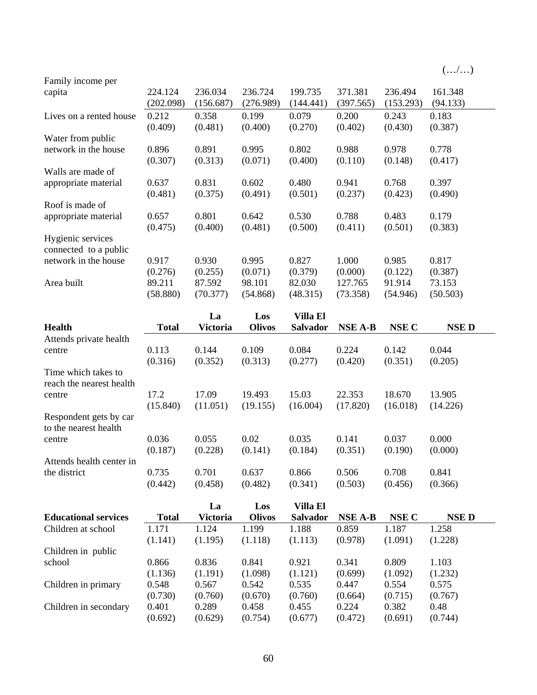|                                            |           |           |           |           |           |           | (/)      |
|--------------------------------------------|-----------|-----------|-----------|-----------|-----------|-----------|----------|
| Family income per                          |           |           |           |           |           |           |          |
| capita                                     | 224.124   | 236.034   | 236.724   | 199.735   | 371.381   | 236.494   | 161.348  |
|                                            | (202.098) | (156.687) | (276.989) | (144.441) | (397.565) | (153.293) | (94.133) |
| Lives on a rented house                    | 0.212     | 0.358     | 0.199     | 0.079     | 0.200     | 0.243     | 0.183    |
|                                            | (0.409)   | (0.481)   | (0.400)   | (0.270)   | (0.402)   | (0.430)   | (0.387)  |
| Water from public                          |           |           |           |           |           |           |          |
| network in the house                       | 0.896     | 0.891     | 0.995     | 0.802     | 0.988     | 0.978     | 0.778    |
|                                            | (0.307)   | (0.313)   | (0.071)   | (0.400)   | (0.110)   | (0.148)   | (0.417)  |
| Walls are made of                          |           |           |           |           |           |           |          |
| appropriate material                       | 0.637     | 0.831     | 0.602     | 0.480     | 0.941     | 0.768     | 0.397    |
|                                            | (0.481)   | (0.375)   | (0.491)   | (0.501)   | (0.237)   | (0.423)   | (0.490)  |
| Roof is made of                            |           |           |           |           |           |           |          |
| appropriate material                       | 0.657     | 0.801     | 0.642     | 0.530     | 0.788     | 0.483     | 0.179    |
|                                            | (0.475)   | (0.400)   | (0.481)   | (0.500)   | (0.411)   | (0.501)   | (0.383)  |
| Hygienic services<br>connected to a public |           |           |           |           |           |           |          |
| network in the house                       | 0.917     | 0.930     | 0.995     | 0.827     | 1.000     | 0.985     | 0.817    |
|                                            | (0.276)   | (0.255)   | (0.071)   | (0.379)   | (0.000)   | (0.122)   | (0.387)  |
| Area built                                 | 89.211    | 87.592    | 98.101    | 82.030    | 127.765   | 91.914    | 73.153   |
|                                            | (58.880)  | (70.377)  | (54.868)  | (48.315)  | (73.358)  | (54.946)  | (50.503) |

|                                                 |              | La              | Los           | <b>Villa El</b> |          |          |             |
|-------------------------------------------------|--------------|-----------------|---------------|-----------------|----------|----------|-------------|
| <b>Health</b>                                   | <b>Total</b> | <b>Victoria</b> | <b>Olivos</b> | <b>Salvador</b> | NSE A-B  | NSE C    | <b>NSED</b> |
| Attends private health                          |              |                 |               |                 |          |          |             |
| centre                                          | 0.113        | 0.144           | 0.109         | 0.084           | 0.224    | 0.142    | 0.044       |
|                                                 | (0.316)      | (0.352)         | (0.313)       | (0.277)         | (0.420)  | (0.351)  | (0.205)     |
| Time which takes to<br>reach the nearest health |              |                 |               |                 |          |          |             |
| centre                                          | 17.2         | 17.09           | 19.493        | 15.03           | 22.353   | 18.670   | 13.905      |
|                                                 | (15.840)     | (11.051)        | (19.155)      | (16.004)        | (17.820) | (16.018) | (14.226)    |
| Respondent gets by car<br>to the nearest health |              |                 |               |                 |          |          |             |
| centre                                          | 0.036        | 0.055           | 0.02          | 0.035           | 0.141    | 0.037    | 0.000       |
|                                                 | (0.187)      | (0.228)         | (0.141)       | (0.184)         | (0.351)  | (0.190)  | (0.000)     |
| Attends health center in                        |              |                 |               |                 |          |          |             |
| the district                                    | 0.735        | 0.701           | 0.637         | 0.866           | 0.506    | 0.708    | 0.841       |
|                                                 | (0.442)      | (0.458)         | (0.482)       | (0.341)         | (0.503)  | (0.456)  | (0.366)     |

|                             |              | La       | Los           | Villa El        |         |         |             |
|-----------------------------|--------------|----------|---------------|-----------------|---------|---------|-------------|
| <b>Educational services</b> | <b>Total</b> | Victoria | <b>Olivos</b> | <b>Salvador</b> | NSE A-B | NSE C   | <b>NSED</b> |
| Children at school          | 1.171        | 1.124    | 1.199         | 1.188           | 0.859   | 1.187   | 1.258       |
|                             | (1.141)      | (1.195)  | (1.118)       | (1.113)         | (0.978) | (1.091) | (1.228)     |
| Children in public          |              |          |               |                 |         |         |             |
| school                      | 0.866        | 0.836    | 0.841         | 0.921           | 0.341   | 0.809   | 1.103       |
|                             | (1.136)      | (1.191)  | (1.098)       | (1.121)         | (0.699) | (1.092) | (1.232)     |
| Children in primary         | 0.548        | 0.567    | 0.542         | 0.535           | 0.447   | 0.554   | 0.575       |
|                             | (0.730)      | (0.760)  | (0.670)       | (0.760)         | (0.664) | (0.715) | (0.767)     |
| Children in secondary       | 0.401        | 0.289    | 0.458         | 0.455           | 0.224   | 0.382   | 0.48        |
|                             | (0.692)      | (0.629)  | (0.754)       | (0.677)         | (0.472) | (0.691) | (0.744)     |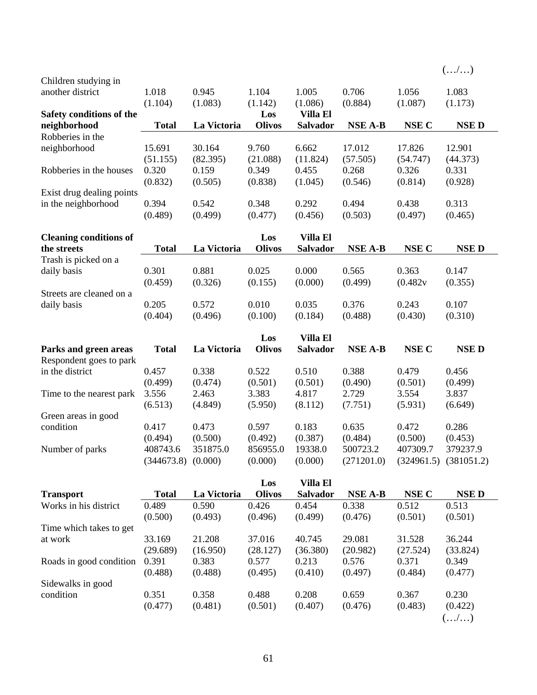|                               |                        |             |               |                 |                |          | (/)                       |
|-------------------------------|------------------------|-------------|---------------|-----------------|----------------|----------|---------------------------|
| Children studying in          |                        |             |               |                 |                |          |                           |
| another district              | 1.018                  | 0.945       | 1.104         | 1.005           | 0.706          | 1.056    | 1.083                     |
|                               | (1.104)                | (1.083)     | (1.142)       | (1.086)         | (0.884)        | (1.087)  | (1.173)                   |
| Safety conditions of the      |                        |             | Los           | <b>Villa El</b> |                |          |                           |
| neighborhood                  | <b>Total</b>           | La Victoria | <b>Olivos</b> | Salvador        | <b>NSE A-B</b> | NSE C    | <b>NSED</b>               |
| Robberies in the              |                        |             |               |                 |                |          |                           |
| neighborhood                  | 15.691                 | 30.164      | 9.760         | 6.662           | 17.012         | 17.826   | 12.901                    |
|                               | (51.155)               | (82.395)    | (21.088)      | (11.824)        | (57.505)       | (54.747) | (44.373)                  |
| Robberies in the houses       | 0.320                  | 0.159       | 0.349         | 0.455           | 0.268          | 0.326    | 0.331                     |
|                               | (0.832)                | (0.505)     | (0.838)       | (1.045)         | (0.546)        | (0.814)  | (0.928)                   |
| Exist drug dealing points     |                        |             |               |                 |                |          |                           |
| in the neighborhood           | 0.394                  | 0.542       | 0.348         | 0.292           | 0.494          | 0.438    | 0.313                     |
|                               | (0.489)                | (0.499)     | (0.477)       | (0.456)         | (0.503)        | (0.497)  | (0.465)                   |
| <b>Cleaning conditions of</b> |                        |             | Los           | Villa El        |                |          |                           |
| the streets                   | <b>Total</b>           | La Victoria | <b>Olivos</b> | Salvador        | <b>NSE A-B</b> | NSE C    | <b>NSED</b>               |
| Trash is picked on a          |                        |             |               |                 |                |          |                           |
| daily basis                   | 0.301                  | 0.881       | 0.025         | 0.000           | 0.565          | 0.363    | 0.147                     |
|                               | (0.459)                | (0.326)     | (0.155)       | (0.000)         | (0.499)        | (0.482v  | (0.355)                   |
| Streets are cleaned on a      |                        |             |               |                 |                |          |                           |
| daily basis                   | 0.205                  | 0.572       | 0.010         | 0.035           | 0.376          | 0.243    | 0.107                     |
|                               | (0.404)                | (0.496)     | (0.100)       | (0.184)         | (0.488)        | (0.430)  | (0.310)                   |
|                               |                        |             |               |                 |                |          |                           |
|                               |                        |             | Los           | <b>Villa El</b> |                |          |                           |
| Parks and green areas         | <b>Total</b>           | La Victoria | <b>Olivos</b> | <b>Salvador</b> | <b>NSE A-B</b> | NSE C    | <b>NSED</b>               |
| Respondent goes to park       |                        |             |               |                 |                |          |                           |
| in the district               | 0.457                  | 0.338       | 0.522         | 0.510           | 0.388          | 0.479    | 0.456                     |
|                               | (0.499)                | (0.474)     | (0.501)       | (0.501)         | (0.490)        | (0.501)  | (0.499)                   |
| Time to the nearest park      | 3.556                  | 2.463       | 3.383         | 4.817           | 2.729          | 3.554    | 3.837                     |
|                               | (6.513)                | (4.849)     | (5.950)       | (8.112)         | (7.751)        | (5.931)  | (6.649)                   |
| Green areas in good           |                        |             |               |                 |                |          |                           |
| condition                     | 0.417                  | 0.473       | 0.597         | 0.183           | 0.635          | 0.472    | 0.286                     |
|                               | (0.494)                | (0.500)     | (0.492)       | (0.387)         | (0.484)        | (0.500)  | (0.453)                   |
| Number of parks               | 408743.6               | 351875.0    | 856955.0      | 19338.0         | 500723.2       | 407309.7 | 379237.9                  |
|                               | $(344673.8)$ $(0.000)$ |             | (0.000)       | (0.000)         | (271201.0)     |          | $(324961.5)$ $(381051.2)$ |
|                               |                        |             | Los           | <b>Villa El</b> |                |          |                           |
| <b>Transport</b>              | <b>Total</b>           | La Victoria | <b>Olivos</b> | Salvador        | <b>NSE A-B</b> | NSE C    | <b>NSED</b>               |
| Works in his district         | 0.489                  | 0.590       | 0.426         | 0.454           | 0.338          | 0.512    | 0.513                     |
|                               | (0.500)                | (0.493)     | (0.496)       | (0.499)         | (0.476)        | (0.501)  | (0.501)                   |
| Time which takes to get       |                        |             |               |                 |                |          |                           |
| at work                       | 33.169                 | 21.208      | 37.016        | 40.745          | 29.081         | 31.528   | 36.244                    |
|                               | (29.689)               | (16.950)    | (28.127)      | (36.380)        | (20.982)       | (27.524) | (33.824)                  |
| Roads in good condition       | 0.391                  | 0.383       | 0.577         | 0.213           | 0.576          | 0.371    | 0.349                     |
|                               | (0.488)                | (0.488)     | (0.495)       | (0.410)         | (0.497)        | (0.484)  | (0.477)                   |
| Sidewalks in good             |                        |             |               |                 |                |          |                           |
| condition                     | 0.351                  | 0.358       | 0.488         | 0.208           | 0.659          | 0.367    | 0.230                     |
|                               | (0.477)                | (0.481)     | (0.501)       | (0.407)         | (0.476)        | (0.483)  | (0.422)                   |
|                               |                        |             |               |                 |                |          | (/)                       |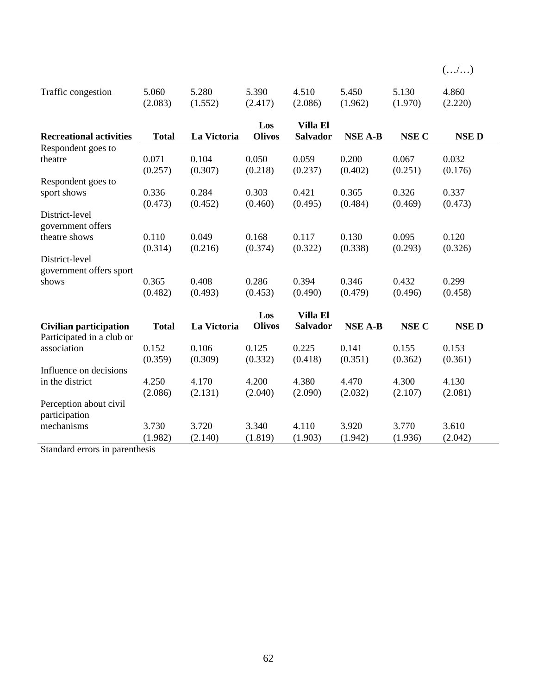|  | $\cdot$ $\cdot$ / | ٠ |  | , |
|--|-------------------|---|--|---|
|  |                   |   |  |   |

| Traffic congestion                                         | 5.060        | 5.280       | 5.390         | 4.510           | 5.450          | 5.130        | 4.860       |
|------------------------------------------------------------|--------------|-------------|---------------|-----------------|----------------|--------------|-------------|
|                                                            | (2.083)      | (1.552)     | (2.417)       | (2.086)         | (1.962)        | (1.970)      | (2.220)     |
|                                                            |              |             |               |                 |                |              |             |
|                                                            |              |             | Los           | <b>Villa El</b> |                |              |             |
| <b>Recreational activities</b>                             | <b>Total</b> | La Victoria | <b>Olivos</b> | Salvador        | <b>NSE A-B</b> | <b>NSE C</b> | <b>NSED</b> |
| Respondent goes to                                         |              |             |               |                 |                |              |             |
| theatre                                                    | 0.071        | 0.104       | 0.050         | 0.059           | 0.200          | 0.067        | 0.032       |
|                                                            | (0.257)      | (0.307)     | (0.218)       | (0.237)         | (0.402)        | (0.251)      | (0.176)     |
| Respondent goes to                                         |              |             |               |                 |                |              |             |
| sport shows                                                | 0.336        | 0.284       | 0.303         | 0.421           | 0.365          | 0.326        | 0.337       |
|                                                            | (0.473)      | (0.452)     | (0.460)       | (0.495)         | (0.484)        | (0.469)      | (0.473)     |
| District-level<br>government offers                        |              |             |               |                 |                |              |             |
| theatre shows                                              | 0.110        | 0.049       | 0.168         | 0.117           | 0.130          | 0.095        | 0.120       |
|                                                            | (0.314)      | (0.216)     | (0.374)       | (0.322)         | (0.338)        | (0.293)      | (0.326)     |
| District-level<br>government offers sport                  |              |             |               |                 |                |              |             |
| shows                                                      | 0.365        | 0.408       | 0.286         | 0.394           | 0.346          | 0.432        | 0.299       |
|                                                            | (0.482)      | (0.493)     | (0.453)       | (0.490)         | (0.479)        | (0.496)      | (0.458)     |
|                                                            |              |             | Los           | <b>Villa El</b> |                |              |             |
| <b>Civilian participation</b><br>Participated in a club or | <b>Total</b> | La Victoria | <b>Olivos</b> | <b>Salvador</b> | <b>NSE A-B</b> | <b>NSE C</b> | <b>NSED</b> |
| association                                                | 0.152        | 0.106       | 0.125         | 0.225           | 0.141          | 0.155        | 0.153       |
|                                                            | (0.359)      | (0.309)     | (0.332)       | (0.418)         | (0.351)        | (0.362)      | (0.361)     |
| Influence on decisions                                     |              |             |               |                 |                |              |             |
| in the district                                            | 4.250        | 4.170       | 4.200         | 4.380           | 4.470          | 4.300        | 4.130       |
|                                                            | (2.086)      | (2.131)     | (2.040)       | (2.090)         | (2.032)        | (2.107)      | (2.081)     |
| Perception about civil<br>participation                    |              |             |               |                 |                |              |             |
| mechanisms                                                 | 3.730        | 3.720       | 3.340         | 4.110           | 3.920          | 3.770        | 3.610       |
|                                                            | (1.982)      | (2.140)     | (1.819)       | (1.903)         | (1.942)        | (1.936)      | (2.042)     |

Standard errors in parenthesis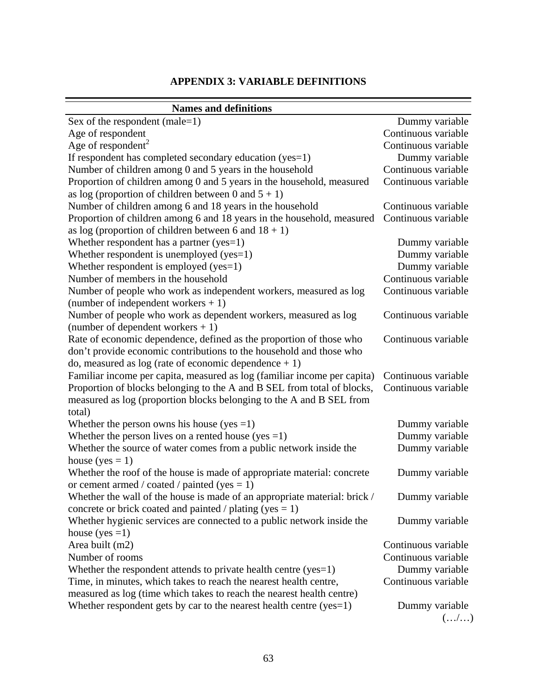## **APPENDIX 3: VARIABLE DEFINITIONS**

| <b>Names and definitions</b>                                                                                                                                                                            |                       |
|---------------------------------------------------------------------------------------------------------------------------------------------------------------------------------------------------------|-----------------------|
| Sex of the respondent (male= $1$ )                                                                                                                                                                      | Dummy variable        |
| Age of respondent                                                                                                                                                                                       | Continuous variable   |
| Age of respondent <sup>2</sup>                                                                                                                                                                          | Continuous variable   |
| If respondent has completed secondary education (yes=1)                                                                                                                                                 | Dummy variable        |
| Number of children among 0 and 5 years in the household                                                                                                                                                 | Continuous variable   |
| Proportion of children among 0 and 5 years in the household, measured                                                                                                                                   | Continuous variable   |
| as log (proportion of children between 0 and $5 + 1$ )                                                                                                                                                  |                       |
| Number of children among 6 and 18 years in the household                                                                                                                                                | Continuous variable   |
| Proportion of children among 6 and 18 years in the household, measured<br>as log (proportion of children between 6 and $18 + 1$ )                                                                       | Continuous variable   |
| Whether respondent has a partner $(yes=1)$                                                                                                                                                              | Dummy variable        |
| Whether respondent is unemployed ( $yes=1$ )                                                                                                                                                            | Dummy variable        |
| Whether respondent is employed (yes=1)                                                                                                                                                                  | Dummy variable        |
| Number of members in the household                                                                                                                                                                      | Continuous variable   |
| Number of people who work as independent workers, measured as log<br>(number of independent workers $+1$ )                                                                                              | Continuous variable   |
| Number of people who work as dependent workers, measured as log<br>(number of dependent workers $+1$ )                                                                                                  | Continuous variable   |
| Rate of economic dependence, defined as the proportion of those who<br>don't provide economic contributions to the household and those who<br>do, measured as $log$ (rate of economic dependence $+1$ ) | Continuous variable   |
| Familiar income per capita, measured as log (familiar income per capita)                                                                                                                                | Continuous variable   |
| Proportion of blocks belonging to the A and B SEL from total of blocks,<br>measured as log (proportion blocks belonging to the A and B SEL from<br>total)                                               | Continuous variable   |
| Whether the person owns his house (yes $=1$ )                                                                                                                                                           | Dummy variable        |
| Whether the person lives on a rented house (yes = 1)                                                                                                                                                    | Dummy variable        |
| Whether the source of water comes from a public network inside the<br>house (yes $= 1$ )                                                                                                                | Dummy variable        |
| Whether the roof of the house is made of appropriate material: concrete<br>or cement armed / coated / painted (yes $= 1$ )                                                                              | Dummy variable        |
| Whether the wall of the house is made of an appropriate material: brick /<br>concrete or brick coated and painted / plating (yes $= 1$ )                                                                | Dummy variable        |
| Whether hygienic services are connected to a public network inside the<br>house (yes $=1$ )                                                                                                             | Dummy variable        |
| Area built (m2)                                                                                                                                                                                         | Continuous variable   |
| Number of rooms                                                                                                                                                                                         | Continuous variable   |
| Whether the respondent attends to private health centre ( $yes=1$ )                                                                                                                                     | Dummy variable        |
| Time, in minutes, which takes to reach the nearest health centre,                                                                                                                                       | Continuous variable   |
| measured as log (time which takes to reach the nearest health centre)                                                                                                                                   |                       |
| Whether respondent gets by car to the nearest health centre $(yes=1)$                                                                                                                                   | Dummy variable<br>(/) |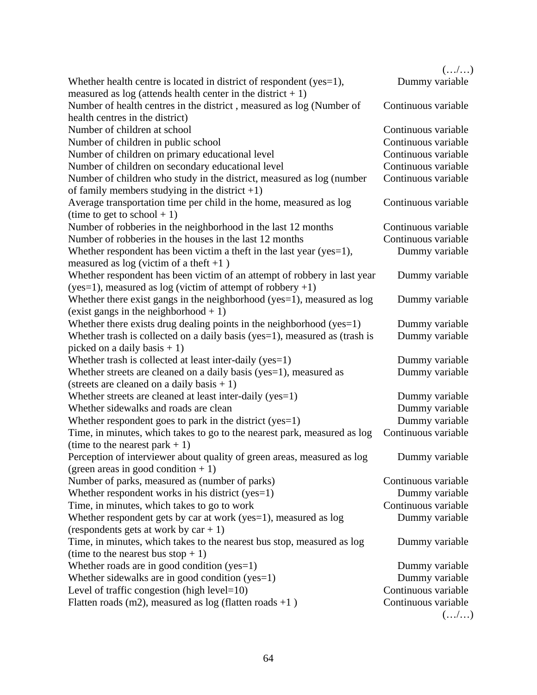|                                                                            | (/)                 |
|----------------------------------------------------------------------------|---------------------|
| Whether health centre is located in district of respondent ( $yes=1$ ),    | Dummy variable      |
| measured as $log$ (attends health center in the district + 1)              |                     |
| Number of health centres in the district, measured as log (Number of       | Continuous variable |
| health centres in the district)                                            |                     |
| Number of children at school                                               | Continuous variable |
| Number of children in public school                                        | Continuous variable |
| Number of children on primary educational level                            | Continuous variable |
| Number of children on secondary educational level                          | Continuous variable |
| Number of children who study in the district, measured as log (number      | Continuous variable |
| of family members studying in the district $+1$ )                          |                     |
| Average transportation time per child in the home, measured as log         | Continuous variable |
| (time to get to school $+1$ )                                              |                     |
| Number of robberies in the neighborhood in the last 12 months              | Continuous variable |
| Number of robberies in the houses in the last 12 months                    | Continuous variable |
| Whether respondent has been victim a theft in the last year (yes=1),       | Dummy variable      |
| measured as $log$ (victim of a theft +1)                                   |                     |
| Whether respondent has been victim of an attempt of robbery in last year   | Dummy variable      |
| $(yes=1)$ , measured as log (victim of attempt of robbery +1)              |                     |
| Whether there exist gangs in the neighborhood (yes=1), measured as log     | Dummy variable      |
| (exist gangs in the neighborhood $+1$ )                                    |                     |
| Whether there exists drug dealing points in the neighborhood (yes=1)       | Dummy variable      |
| Whether trash is collected on a daily basis (yes=1), measured as (trash is | Dummy variable      |
| picked on a daily basis $+1$ )                                             |                     |
| Whether trash is collected at least inter-daily (yes=1)                    | Dummy variable      |
| Whether streets are cleaned on a daily basis (yes=1), measured as          | Dummy variable      |
| (streets are cleaned on a daily basis $+1$ )                               |                     |
| Whether streets are cleaned at least inter-daily (yes=1)                   | Dummy variable      |
| Whether sidewalks and roads are clean                                      | Dummy variable      |
| Whether respondent goes to park in the district (yes=1)                    | Dummy variable      |
| Time, in minutes, which takes to go to the nearest park, measured as log   | Continuous variable |
| (time to the nearest park $+1$ )                                           |                     |
| Perception of interviewer about quality of green areas, measured as log    | Dummy variable      |
| (green areas in good condition $+1$ )                                      |                     |
| Number of parks, measured as (number of parks)                             | Continuous variable |
| Whether respondent works in his district ( $yes=1$ )                       | Dummy variable      |
| Time, in minutes, which takes to go to work                                | Continuous variable |
| Whether respondent gets by car at work (yes=1), measured as log            | Dummy variable      |
| (respondents gets at work by $car + 1$ )                                   |                     |
| Time, in minutes, which takes to the nearest bus stop, measured as log     | Dummy variable      |
| (time to the nearest bus stop $+1$ )                                       |                     |
| Whether roads are in good condition ( $yes=1$ )                            | Dummy variable      |
| Whether sidewalks are in good condition $(yes=1)$                          | Dummy variable      |
| Level of traffic congestion (high $level=10$ )                             | Continuous variable |
| Flatten roads (m2), measured as $log$ (flatten roads +1)                   | Continuous variable |
|                                                                            | (/)                 |
|                                                                            |                     |